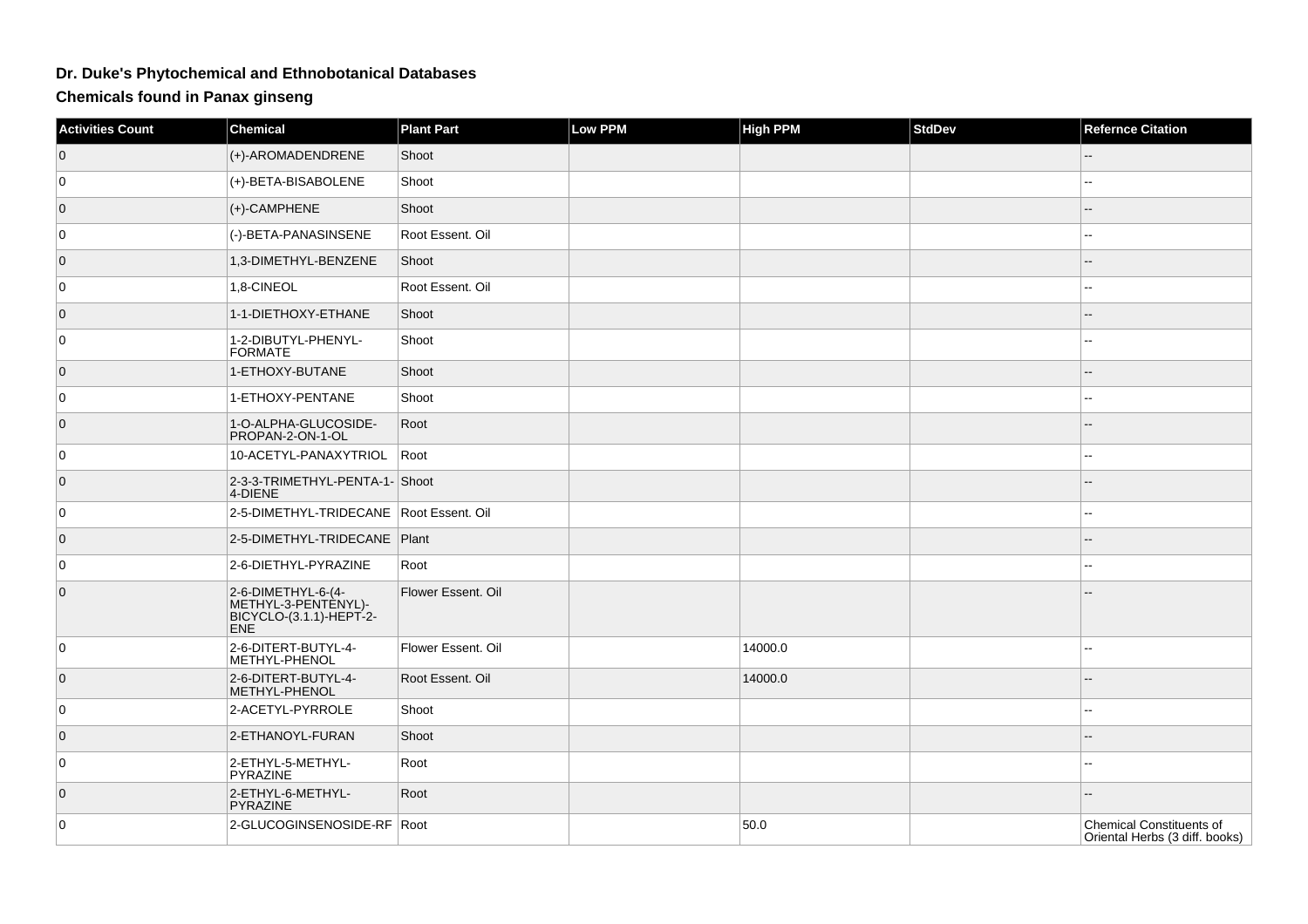## **Dr. Duke's Phytochemical and Ethnobotanical Databases**

**Chemicals found in Panax ginseng**

| Activities Count | <b>Chemical</b>                                                                    | <b>Plant Part</b>  | <b>Low PPM</b> | <b>High PPM</b> | <b>StdDev</b> | <b>Refernce Citation</b>                                          |
|------------------|------------------------------------------------------------------------------------|--------------------|----------------|-----------------|---------------|-------------------------------------------------------------------|
| $\overline{0}$   | (+)-AROMADENDRENE                                                                  | Shoot              |                |                 |               |                                                                   |
| $\overline{0}$   | (+)-BETA-BISABOLENE                                                                | Shoot              |                |                 |               |                                                                   |
| $\overline{0}$   | (+)-CAMPHENE                                                                       | Shoot              |                |                 |               |                                                                   |
| $\overline{0}$   | (-)-BETA-PANASINSENE                                                               | Root Essent. Oil   |                |                 |               |                                                                   |
| $\overline{0}$   | 1,3-DIMETHYL-BENZENE                                                               | Shoot              |                |                 |               |                                                                   |
| $\overline{0}$   | 1,8-CINEOL                                                                         | Root Essent. Oil   |                |                 |               | $\overline{a}$                                                    |
| $\overline{0}$   | 1-1-DIETHOXY-ETHANE                                                                | Shoot              |                |                 |               |                                                                   |
| $\overline{0}$   | 1-2-DIBUTYL-PHENYL-<br><b>FORMATE</b>                                              | Shoot              |                |                 |               |                                                                   |
| $\overline{0}$   | 1-ETHOXY-BUTANE                                                                    | Shoot              |                |                 |               |                                                                   |
| $\overline{0}$   | 1-ETHOXY-PENTANE                                                                   | Shoot              |                |                 |               | --                                                                |
| $\overline{0}$   | 1-O-ALPHA-GLUCOSIDE-<br>PROPAN-2-ON-1-OL                                           | Root               |                |                 |               |                                                                   |
| $\overline{0}$   | 10-ACETYL-PANAXYTRIOL                                                              | Root               |                |                 |               | --                                                                |
| $\overline{0}$   | 2-3-3-TRIMETHYL-PENTA-1- Shoot<br>4-DIENE                                          |                    |                |                 |               |                                                                   |
| $\overline{0}$   | 2-5-DIMETHYL-TRIDECANE Root Essent. Oil                                            |                    |                |                 |               |                                                                   |
| $\overline{0}$   | 2-5-DIMETHYL-TRIDECANE Plant                                                       |                    |                |                 |               |                                                                   |
| $\overline{0}$   | 2-6-DIETHYL-PYRAZINE                                                               | Root               |                |                 |               |                                                                   |
| $\mathbf{0}$     | 2-6-DIMETHYL-6-(4-<br>METHYL-3-PENTENYL)-<br>BICYCLO-(3.1.1)-HEPT-2-<br><b>ENE</b> | Flower Essent. Oil |                |                 |               |                                                                   |
| $\overline{0}$   | 2-6-DITERT-BUTYL-4-<br>METHYL-PHENOL                                               | Flower Essent. Oil |                | 14000.0         |               | --                                                                |
| $\overline{0}$   | 2-6-DITERT-BUTYL-4-<br>METHYL-PHENOL                                               | Root Essent. Oil   |                | 14000.0         |               |                                                                   |
| $\overline{0}$   | 2-ACETYL-PYRROLE                                                                   | Shoot              |                |                 |               |                                                                   |
| $\overline{0}$   | 2-ETHANOYL-FURAN                                                                   | Shoot              |                |                 |               |                                                                   |
| $\overline{0}$   | 2-ETHYL-5-METHYL-<br><b>PYRAZINE</b>                                               | Root               |                |                 |               |                                                                   |
| $\overline{0}$   | 2-ETHYL-6-METHYL-<br>PYRAZINE                                                      | Root               |                |                 |               |                                                                   |
| $\overline{0}$   | 2-GLUCOGINSENOSIDE-RF Root                                                         |                    |                | 50.0            |               | <b>Chemical Constituents of</b><br>Oriental Herbs (3 diff. books) |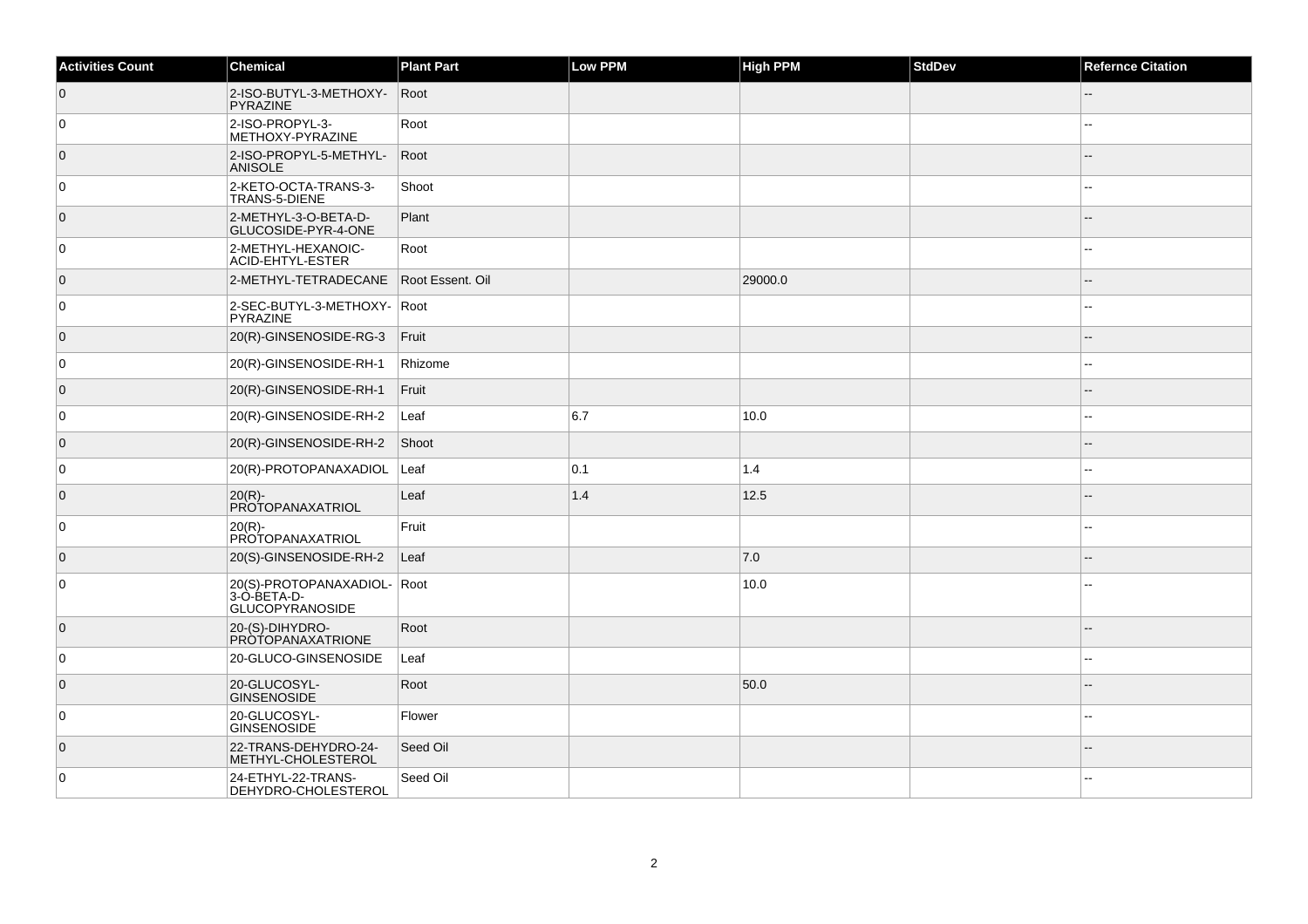| <b>Activities Count</b> | Chemical                                                             | <b>Plant Part</b> | Low PPM | <b>High PPM</b> | <b>StdDev</b> | <b>Refernce Citation</b> |
|-------------------------|----------------------------------------------------------------------|-------------------|---------|-----------------|---------------|--------------------------|
| $\overline{0}$          | 2-ISO-BUTYL-3-METHOXY-<br>PYRAZINE                                   | Root              |         |                 |               |                          |
| $\overline{0}$          | 2-ISO-PROPYL-3-<br>METHOXY-PYRAZINE                                  | Root              |         |                 |               |                          |
| $\overline{0}$          | 2-ISO-PROPYL-5-METHYL-<br><b>ANISOLE</b>                             | Root              |         |                 |               |                          |
| $\overline{0}$          | 2-KETO-OCTA-TRANS-3-<br>TRANS-5-DIENE                                | Shoot             |         |                 |               |                          |
| $\overline{0}$          | 2-METHYL-3-O-BETA-D-<br>GLUCOSIDE-PYR-4-ONE                          | Plant             |         |                 |               |                          |
| $\overline{0}$          | 2-METHYL-HEXANOIC-<br><b>ACID-EHTYL-ESTER</b>                        | Root              |         |                 |               | --                       |
| $\overline{0}$          | 2-METHYL-TETRADECANE                                                 | Root Essent, Oil  |         | 29000.0         |               |                          |
| $\overline{0}$          | 2-SEC-BUTYL-3-METHOXY- Root<br>PYRAZINE                              |                   |         |                 |               |                          |
| $\overline{0}$          | 20(R)-GINSENOSIDE-RG-3                                               | Fruit             |         |                 |               |                          |
| $\mathbf 0$             | 20(R)-GINSENOSIDE-RH-1                                               | Rhizome           |         |                 |               |                          |
| $\overline{0}$          | 20(R)-GINSENOSIDE-RH-1                                               | Fruit             |         |                 |               |                          |
| $\overline{0}$          | 20(R)-GINSENOSIDE-RH-2                                               | Leaf              | 6.7     | 10.0            |               |                          |
| $\overline{0}$          | $20(R)$ -GINSENOSIDE-RH-2                                            | Shoot             |         |                 |               |                          |
| $\overline{0}$          | 20(R)-PROTOPANAXADIOL                                                | Leaf              | 0.1     | 1.4             |               |                          |
| $\overline{0}$          | 20(R)-<br>PROTOPANAXATRIOL                                           | Leaf              | 1.4     | 12.5            |               |                          |
| $\overline{0}$          | $20(R)$ -<br>PROTOPANAXATRIOL                                        | Fruit             |         |                 |               |                          |
| $\overline{0}$          | 20(S)-GINSENOSIDE-RH-2                                               | Leaf              |         | 7.0             |               |                          |
| $\mathbf 0$             | 20(S)-PROTOPANAXADIOL- Root<br>3-Ò-BETA-D-<br><b>GLUCOPYRANOSIDE</b> |                   |         | 10.0            |               |                          |
| $\overline{0}$          | 20-(S)-DIHYDRO-<br><b>PROTOPANAXATRIONE</b>                          | Root              |         |                 |               |                          |
| $\mathbf 0$             | 20-GLUCO-GINSENOSIDE                                                 | Leaf              |         |                 |               | --                       |
| $\overline{0}$          | 20-GLUCOSYL-<br><b>GINSENOSIDE</b>                                   | Root              |         | 50.0            |               |                          |
| $\mathbf 0$             | 20-GLUCOSYL-<br>GINSENOSIDE                                          | Flower            |         |                 |               |                          |
| $\overline{0}$          | 22-TRANS-DEHYDRO-24-<br>METHYL-CHOLESTEROL                           | Seed Oil          |         |                 |               |                          |
| $\mathbf 0$             | 24-ETHYL-22-TRANS-<br>DEHYDRO-CHOLESTEROL                            | Seed Oil          |         |                 |               |                          |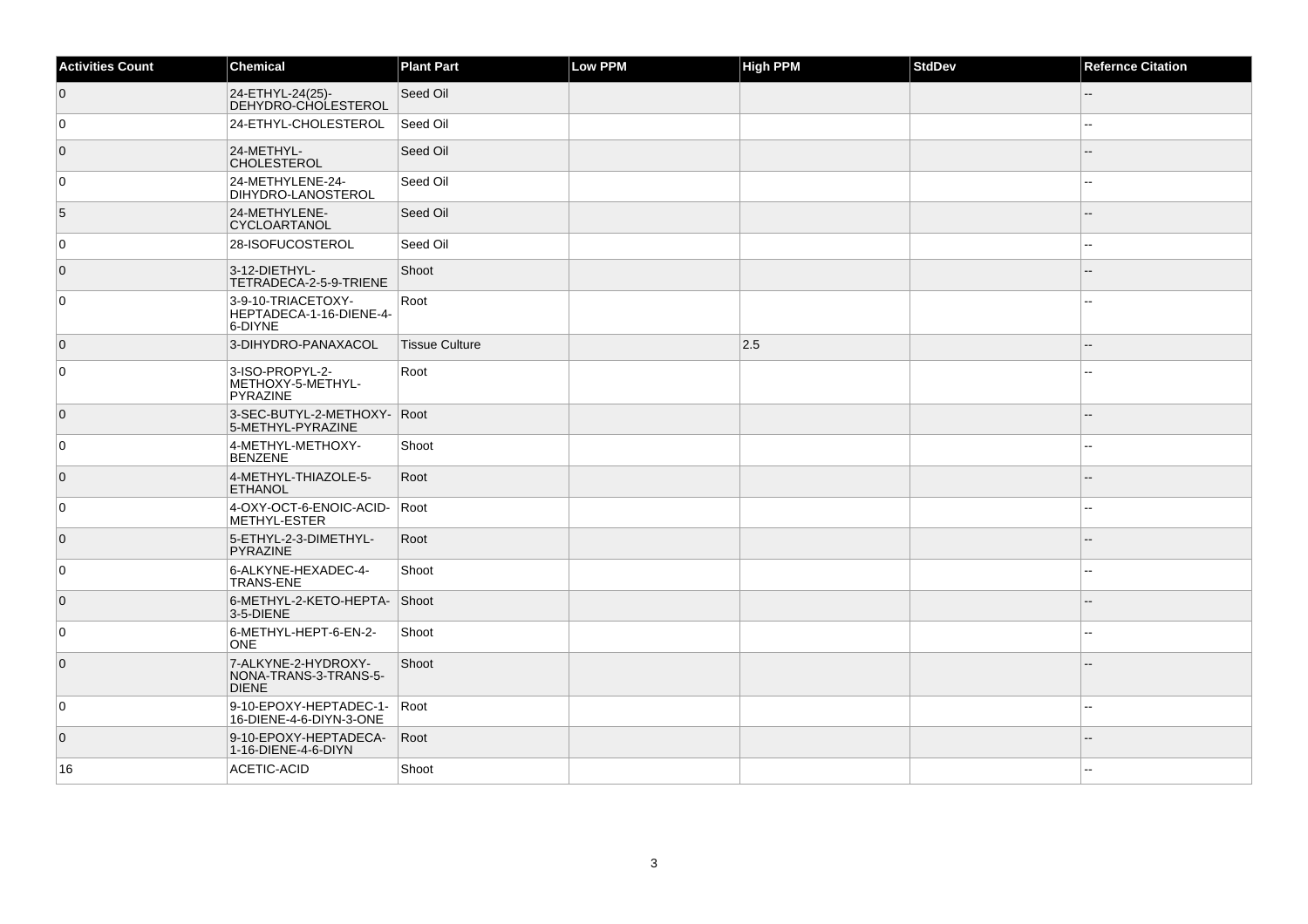| <b>Activities Count</b> | <b>Chemical</b>                                              | <b>Plant Part</b>     | Low PPM | <b>High PPM</b> | <b>StdDev</b> | <b>Refernce Citation</b> |
|-------------------------|--------------------------------------------------------------|-----------------------|---------|-----------------|---------------|--------------------------|
| $\overline{0}$          | 24-ETHYL-24(25)-<br>DEHYDRO-CHOLESTEROL                      | Seed Oil              |         |                 |               |                          |
| 0                       | 24-ETHYL-CHOLESTEROL                                         | Seed Oil              |         |                 |               |                          |
| $\overline{0}$          | 24-METHYL-<br><b>CHOLESTEROL</b>                             | Seed Oil              |         |                 |               | $-$                      |
| 0                       | 24-METHYLENE-24-<br>DIHYDRO-LANOSTEROL                       | Seed Oil              |         |                 |               |                          |
| 5                       | 24-METHYLENE-<br>CYCLOARTANOL                                | Seed Oil              |         |                 |               |                          |
| $\overline{0}$          | 28-ISOFUCOSTEROL                                             | Seed Oil              |         |                 |               | $-$                      |
| $\overline{0}$          | 3-12-DIETHYL-<br>TETRADECA-2-5-9-TRIENE                      | Shoot                 |         |                 |               |                          |
| 0                       | 3-9-10-TRIACETOXY-<br>HEPTADECA-1-16-DIENE-4-<br>6-DIYNE     | Root                  |         |                 |               |                          |
| $\overline{0}$          | 3-DIHYDRO-PANAXACOL                                          | <b>Tissue Culture</b> |         | 2.5             |               |                          |
| $\overline{0}$          | 3-ISO-PROPYL-2-<br>METHOXY-5-METHYL-<br>PYRAZINE             | Root                  |         |                 |               |                          |
| $\overline{0}$          | 3-SEC-BUTYL-2-METHOXY- Root<br>5-METHYL-PYRAZINE             |                       |         |                 |               |                          |
| 0                       | 4-METHYL-METHOXY-<br><b>BENZENE</b>                          | Shoot                 |         |                 |               |                          |
| $\overline{0}$          | 4-METHYL-THIAZOLE-5-<br><b>ETHANOL</b>                       | Root                  |         |                 |               |                          |
| $\overline{0}$          | 4-OXY-OCT-6-ENOIC-ACID-<br>METHYL-ESTER                      | Root                  |         |                 |               |                          |
| $\overline{0}$          | 5-ETHYL-2-3-DIMETHYL-<br>PYRAZINE                            | Root                  |         |                 |               |                          |
| 0                       | 6-ALKYNE-HEXADEC-4-<br><b>TRANS-ENE</b>                      | Shoot                 |         |                 |               |                          |
| $\overline{0}$          | 6-METHYL-2-KETO-HEPTA-<br>3-5-DIENE                          | Shoot                 |         |                 |               | $\sim$                   |
| $\overline{0}$          | 6-METHYL-HEPT-6-EN-2-<br><b>ONE</b>                          | Shoot                 |         |                 |               |                          |
| $\overline{0}$          | 7-ALKYNE-2-HYDROXY-<br>NONA-TRANS-3-TRANS-5-<br><b>DIENE</b> | Shoot                 |         |                 |               |                          |
| $\overline{0}$          | 9-10-EPOXY-HEPTADEC-1-<br>16-DIENE-4-6-DIYN-3-ONE            | Root                  |         |                 |               |                          |
| $\overline{0}$          | 9-10-EPOXY-HEPTADECA-<br>1-16-DIENE-4-6-DIYN                 | Root                  |         |                 |               | $-$                      |
| 16                      | ACETIC-ACID                                                  | Shoot                 |         |                 |               |                          |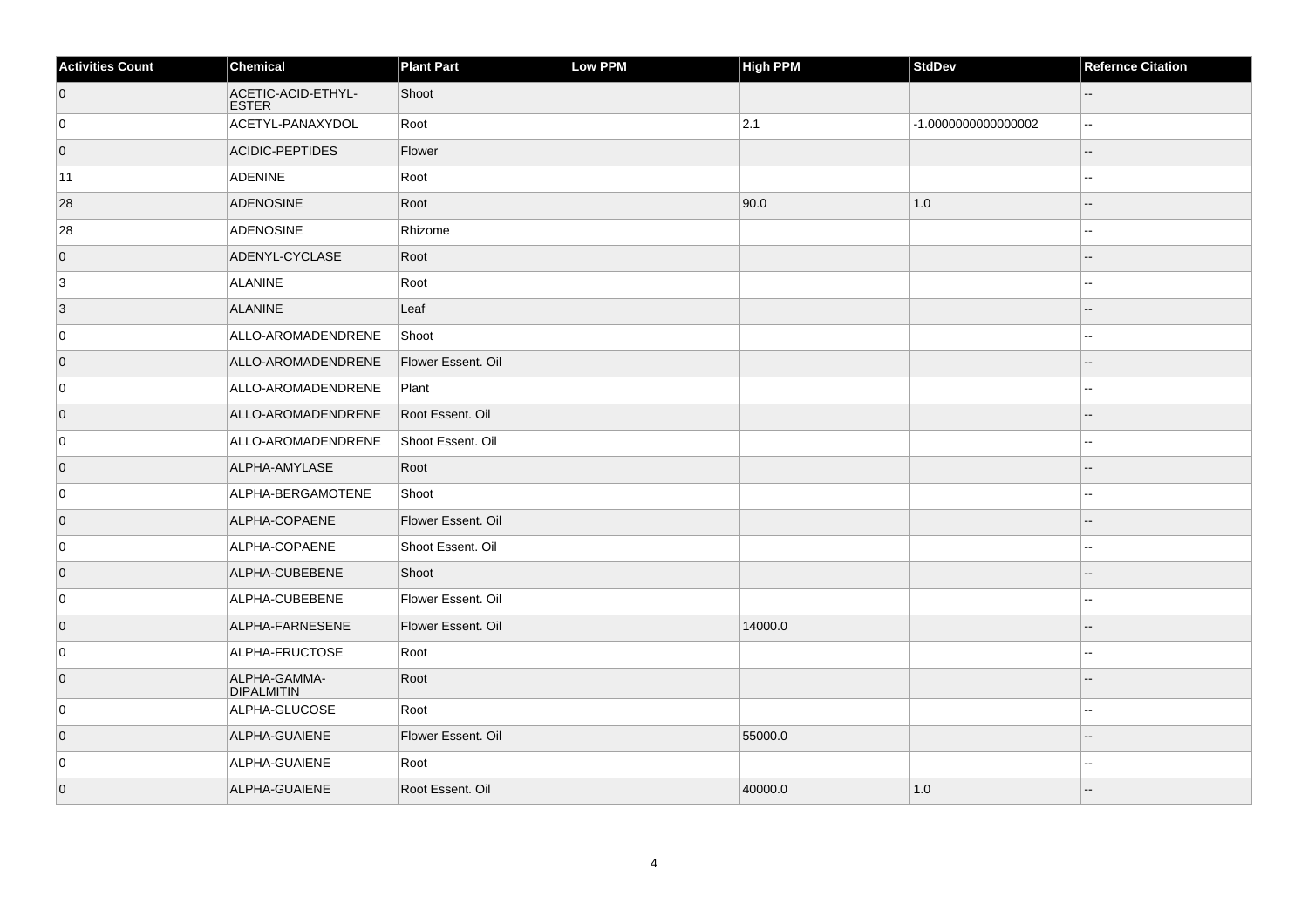| <b>Activities Count</b> | Chemical                           | <b>Plant Part</b>  | Low PPM | <b>High PPM</b> | <b>StdDev</b>      | <b>Refernce Citation</b> |
|-------------------------|------------------------------------|--------------------|---------|-----------------|--------------------|--------------------------|
| $\overline{0}$          | ACETIC-ACID-ETHYL-<br><b>ESTER</b> | Shoot              |         |                 |                    |                          |
| $\overline{0}$          | ACETYL-PANAXYDOL                   | Root               |         | 2.1             | -1.000000000000002 | --                       |
| $\overline{0}$          | ACIDIC-PEPTIDES                    | Flower             |         |                 |                    |                          |
| 11                      | <b>ADENINE</b>                     | Root               |         |                 |                    |                          |
| 28                      | <b>ADENOSINE</b>                   | Root               |         | 90.0            | 1.0                |                          |
| 28                      | <b>ADENOSINE</b>                   | Rhizome            |         |                 |                    | --                       |
| $\overline{0}$          | ADENYL-CYCLASE                     | Root               |         |                 |                    |                          |
| 3                       | ALANINE                            | Root               |         |                 |                    |                          |
| $\vert 3 \vert$         | <b>ALANINE</b>                     | Leaf               |         |                 |                    |                          |
| 0                       | ALLO-AROMADENDRENE                 | Shoot              |         |                 |                    |                          |
| $\overline{0}$          | ALLO-AROMADENDRENE                 | Flower Essent. Oil |         |                 |                    |                          |
| $\overline{0}$          | ALLO-AROMADENDRENE                 | Plant              |         |                 |                    | --                       |
| $\overline{0}$          | ALLO-AROMADENDRENE                 | Root Essent. Oil   |         |                 |                    | $-$                      |
| $\overline{0}$          | ALLO-AROMADENDRENE                 | Shoot Essent. Oil  |         |                 |                    |                          |
| $\overline{0}$          | ALPHA-AMYLASE                      | Root               |         |                 |                    |                          |
| $\overline{0}$          | ALPHA-BERGAMOTENE                  | Shoot              |         |                 |                    |                          |
| $\overline{0}$          | ALPHA-COPAENE                      | Flower Essent. Oil |         |                 |                    |                          |
| $\overline{0}$          | ALPHA-COPAENE                      | Shoot Essent. Oil  |         |                 |                    |                          |
| $\overline{0}$          | ALPHA-CUBEBENE                     | Shoot              |         |                 |                    |                          |
| $\overline{0}$          | ALPHA-CUBEBENE                     | Flower Essent. Oil |         |                 |                    | --                       |
| $\overline{0}$          | ALPHA-FARNESENE                    | Flower Essent. Oil |         | 14000.0         |                    |                          |
| $\overline{0}$          | ALPHA-FRUCTOSE                     | Root               |         |                 |                    |                          |
| $\overline{0}$          | ALPHA-GAMMA-<br><b>DIPALMITIN</b>  | Root               |         |                 |                    |                          |
| $\overline{0}$          | ALPHA-GLUCOSE                      | Root               |         |                 |                    | $\overline{a}$           |
| $\overline{0}$          | ALPHA-GUAIENE                      | Flower Essent. Oil |         | 55000.0         |                    |                          |
| $\overline{0}$          | ALPHA-GUAIENE                      | Root               |         |                 |                    |                          |
| $\overline{0}$          | ALPHA-GUAIENE                      | Root Essent. Oil   |         | 40000.0         | 1.0                |                          |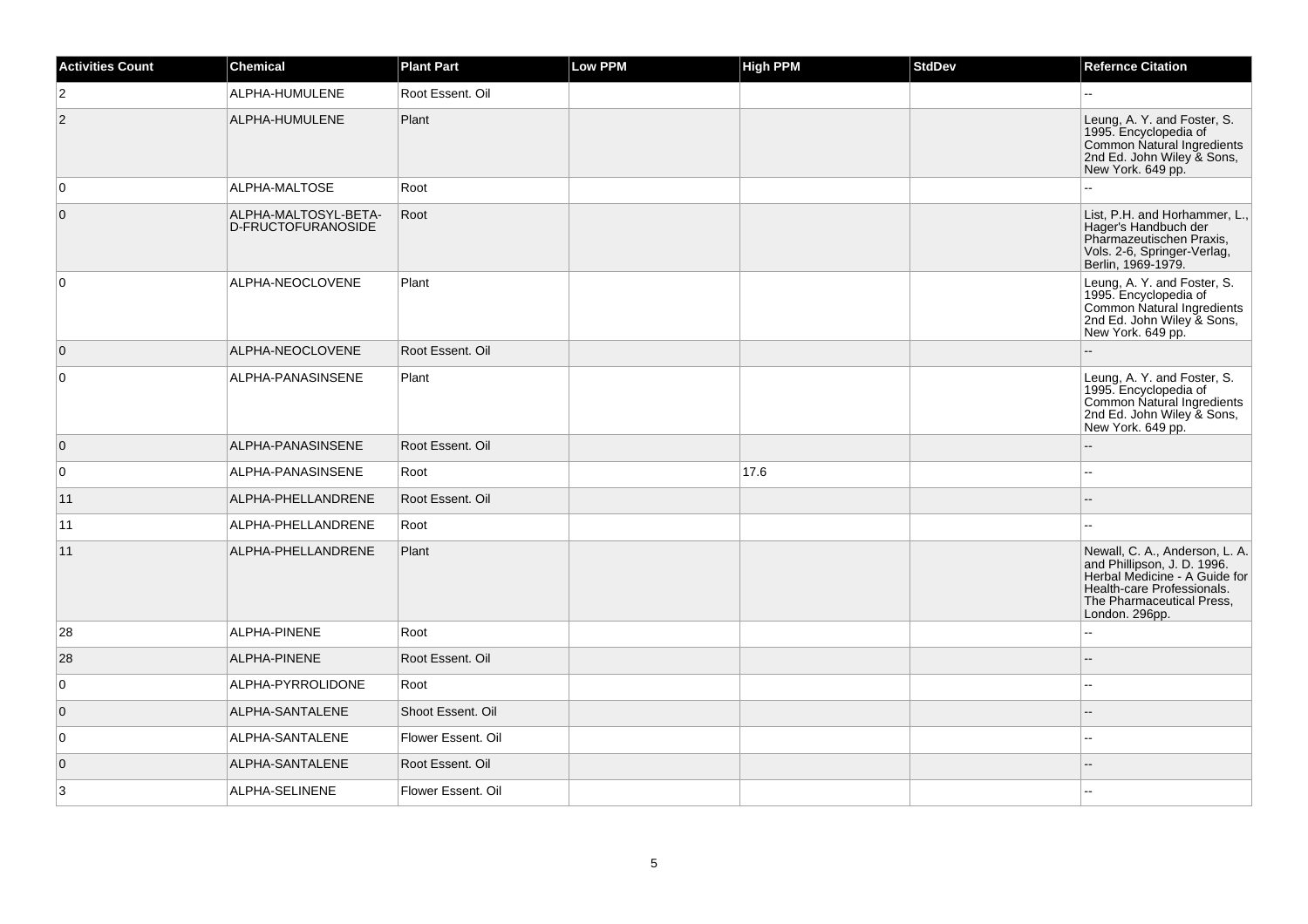| <b>Activities Count</b> | <b>Chemical</b>                            | <b>Plant Part</b>  | Low PPM | <b>High PPM</b> | <b>StdDev</b> | <b>Refernce Citation</b>                                                                                                                                                    |
|-------------------------|--------------------------------------------|--------------------|---------|-----------------|---------------|-----------------------------------------------------------------------------------------------------------------------------------------------------------------------------|
| $\overline{2}$          | ALPHA-HUMULENE                             | Root Essent. Oil   |         |                 |               | $\sim$                                                                                                                                                                      |
| $ 2\rangle$             | ALPHA-HUMULENE                             | Plant              |         |                 |               | Leung, A. Y. and Foster, S.<br>1995. Encyclopedia of<br>Common Natural Ingredients<br>2nd Ed. John Wiley & Sons,<br>New York. 649 pp.                                       |
| 0                       | ALPHA-MALTOSE                              | Root               |         |                 |               |                                                                                                                                                                             |
| $\overline{0}$          | ALPHA-MALTOSYL-BETA-<br>D-FRUCTOFURANOSIDE | Root               |         |                 |               | List, P.H. and Horhammer, L.,<br>Hager's Handbuch der<br>Pharmazeutischen Praxis,<br>Vols. 2-6, Springer-Verlag,<br>Berlin, 1969-1979.                                      |
| $\mathbf 0$             | ALPHA-NEOCLOVENE                           | Plant              |         |                 |               | Leung, A. Y. and Foster, S.<br>1995. Encyclopedia of<br>Common Natural Ingredients<br>2nd Ed. John Wiley & Sons,<br>New York. 649 pp.                                       |
| $\overline{0}$          | ALPHA-NEOCLOVENE                           | Root Essent. Oil   |         |                 |               |                                                                                                                                                                             |
| 0                       | ALPHA-PANASINSENE                          | Plant              |         |                 |               | Leung, A. Y. and Foster, S.<br>1995. Encyclopedia of<br>Common Natural Ingredients<br>2nd Ed. John Wiley & Sons,<br>New York. 649 pp.                                       |
| $\overline{0}$          | ALPHA-PANASINSENE                          | Root Essent, Oil   |         |                 |               |                                                                                                                                                                             |
| 0                       | ALPHA-PANASINSENE                          | Root               |         | 17.6            |               |                                                                                                                                                                             |
| 11                      | ALPHA-PHELLANDRENE                         | Root Essent, Oil   |         |                 |               |                                                                                                                                                                             |
| 11                      | ALPHA-PHELLANDRENE                         | Root               |         |                 |               |                                                                                                                                                                             |
| 11                      | ALPHA-PHELLANDRENE                         | Plant              |         |                 |               | Newall, C. A., Anderson, L. A.<br>and Phillipson, J. D. 1996.<br>Herbal Medicine - A Guide for<br>Health-care Professionals.<br>The Pharmaceutical Press,<br>London. 296pp. |
| 28                      | ALPHA-PINENE                               | Root               |         |                 |               |                                                                                                                                                                             |
| 28                      | ALPHA-PINENE                               | Root Essent, Oil   |         |                 |               |                                                                                                                                                                             |
| $\mathbf 0$             | ALPHA-PYRROLIDONE                          | Root               |         |                 |               |                                                                                                                                                                             |
| $\overline{0}$          | ALPHA-SANTALENE                            | Shoot Essent, Oil  |         |                 |               |                                                                                                                                                                             |
| $\mathsf 0$             | ALPHA-SANTALENE                            | Flower Essent. Oil |         |                 |               |                                                                                                                                                                             |
| $\overline{0}$          | ALPHA-SANTALENE                            | Root Essent. Oil   |         |                 |               |                                                                                                                                                                             |
| 3                       | ALPHA-SELINENE                             | Flower Essent. Oil |         |                 |               |                                                                                                                                                                             |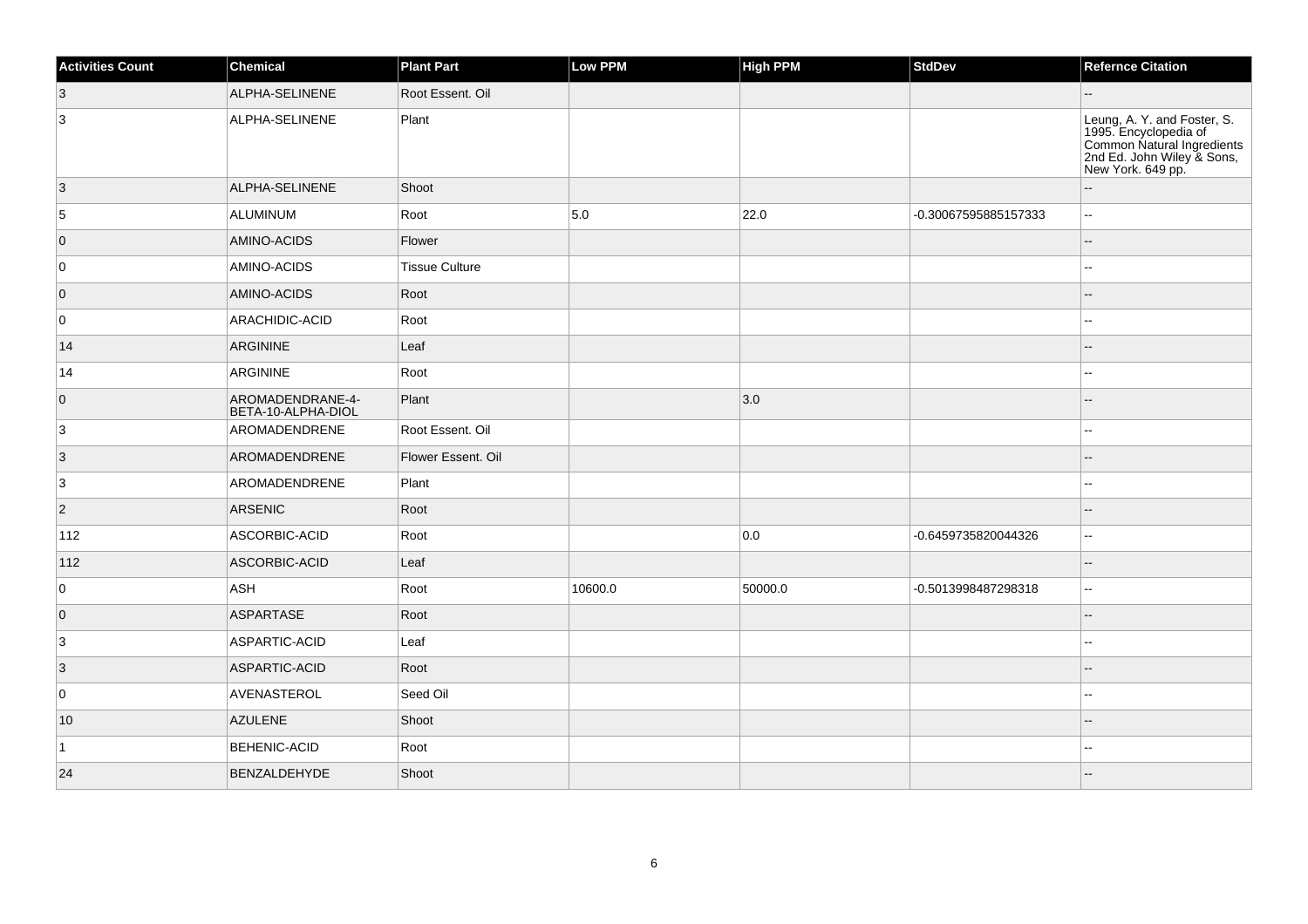| <b>Activities Count</b> | Chemical                               | <b>Plant Part</b>     | Low PPM | <b>High PPM</b> | StdDev               | <b>Refernce Citation</b>                                                                                                              |
|-------------------------|----------------------------------------|-----------------------|---------|-----------------|----------------------|---------------------------------------------------------------------------------------------------------------------------------------|
| $ 3\rangle$             | ALPHA-SELINENE                         | Root Essent. Oil      |         |                 |                      |                                                                                                                                       |
| 3                       | ALPHA-SELINENE                         | Plant                 |         |                 |                      | Leung, A. Y. and Foster, S.<br>1995. Encyclopedia of<br>Common Natural Ingredients<br>2nd Ed. John Wiley & Sons,<br>New York. 649 pp. |
| $\vert 3 \vert$         | ALPHA-SELINENE                         | Shoot                 |         |                 |                      |                                                                                                                                       |
| 5                       | <b>ALUMINUM</b>                        | Root                  | 5.0     | 22.0            | -0.30067595885157333 | $\overline{\phantom{a}}$                                                                                                              |
| $\overline{0}$          | AMINO-ACIDS                            | Flower                |         |                 |                      |                                                                                                                                       |
| 0                       | AMINO-ACIDS                            | <b>Tissue Culture</b> |         |                 |                      | $\overline{a}$                                                                                                                        |
| $\overline{0}$          | AMINO-ACIDS                            | Root                  |         |                 |                      |                                                                                                                                       |
| 0                       | ARACHIDIC-ACID                         | Root                  |         |                 |                      |                                                                                                                                       |
| 14                      | ARGININE                               | Leaf                  |         |                 |                      |                                                                                                                                       |
| 14                      | <b>ARGININE</b>                        | Root                  |         |                 |                      | $\overline{a}$                                                                                                                        |
| $\overline{0}$          | AROMADENDRANE-4-<br>BETA-10-ALPHA-DIOL | Plant                 |         | 3.0             |                      | $\overline{a}$                                                                                                                        |
| 3                       | AROMADENDRENE                          | Root Essent. Oil      |         |                 |                      |                                                                                                                                       |
| $\vert 3 \vert$         | AROMADENDRENE                          | Flower Essent. Oil    |         |                 |                      |                                                                                                                                       |
| 3                       | AROMADENDRENE                          | Plant                 |         |                 |                      |                                                                                                                                       |
| $\vert$ 2               | <b>ARSENIC</b>                         | Root                  |         |                 |                      | $-$                                                                                                                                   |
| $ 112\rangle$           | ASCORBIC-ACID                          | Root                  |         | 0.0             | -0.6459735820044326  | $\overline{a}$                                                                                                                        |
| 112                     | ASCORBIC-ACID                          | Leaf                  |         |                 |                      |                                                                                                                                       |
| 0                       | ASH                                    | Root                  | 10600.0 | 50000.0         | -0.5013998487298318  | $\sim$                                                                                                                                |
| $\overline{0}$          | <b>ASPARTASE</b>                       | Root                  |         |                 |                      |                                                                                                                                       |
| 3                       | ASPARTIC-ACID                          | Leaf                  |         |                 |                      |                                                                                                                                       |
| $\vert 3 \vert$         | ASPARTIC-ACID                          | Root                  |         |                 |                      |                                                                                                                                       |
| 0                       | AVENASTEROL                            | Seed Oil              |         |                 |                      |                                                                                                                                       |
| 10                      | <b>AZULENE</b>                         | Shoot                 |         |                 |                      |                                                                                                                                       |
| $\vert$ 1               | BEHENIC-ACID                           | Root                  |         |                 |                      |                                                                                                                                       |
| 24                      | BENZALDEHYDE                           | Shoot                 |         |                 |                      |                                                                                                                                       |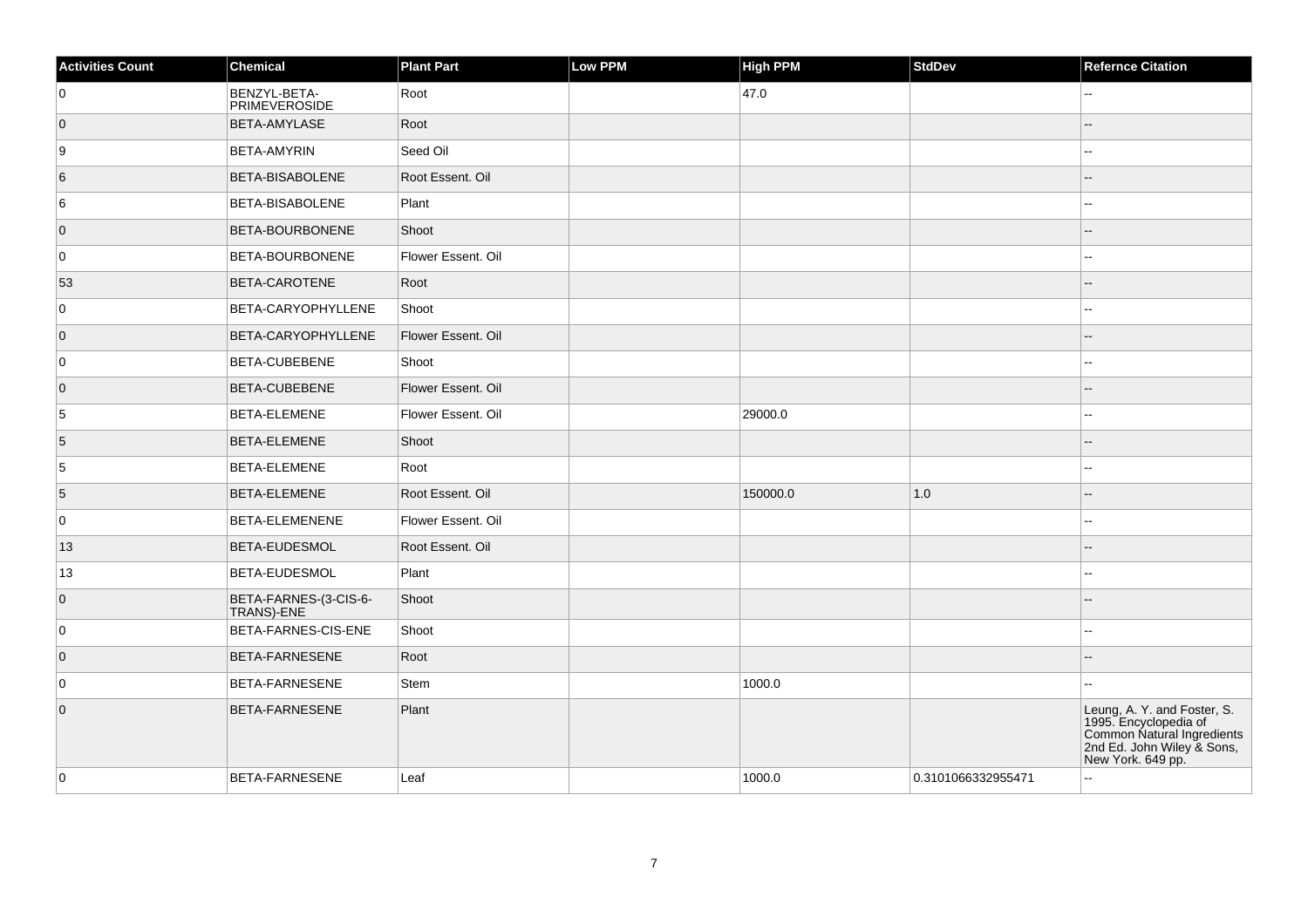| <b>Activities Count</b> | Chemical                             | <b>Plant Part</b>  | Low PPM | <b>High PPM</b> | <b>StdDev</b>      | <b>Refernce Citation</b>                                                                                                              |
|-------------------------|--------------------------------------|--------------------|---------|-----------------|--------------------|---------------------------------------------------------------------------------------------------------------------------------------|
| 0                       | BENZYL-BETA-<br><b>PRIMEVEROSIDE</b> | Root               |         | 47.0            |                    | --                                                                                                                                    |
| $\overline{0}$          | BETA-AMYLASE                         | Root               |         |                 |                    |                                                                                                                                       |
| 9                       | <b>BETA-AMYRIN</b>                   | Seed Oil           |         |                 |                    |                                                                                                                                       |
| 6                       | <b>BETA-BISABOLENE</b>               | Root Essent, Oil   |         |                 |                    |                                                                                                                                       |
| 6                       | <b>BETA-BISABOLENE</b>               | Plant              |         |                 |                    |                                                                                                                                       |
| $\overline{0}$          | <b>BETA-BOURBONENE</b>               | Shoot              |         |                 |                    |                                                                                                                                       |
| 0                       | <b>BETA-BOURBONENE</b>               | Flower Essent. Oil |         |                 |                    |                                                                                                                                       |
| 53                      | <b>BETA-CAROTENE</b>                 | Root               |         |                 |                    |                                                                                                                                       |
| 0                       | BETA-CARYOPHYLLENE                   | Shoot              |         |                 |                    |                                                                                                                                       |
| $\overline{0}$          | BETA-CARYOPHYLLENE                   | Flower Essent. Oil |         |                 |                    |                                                                                                                                       |
| $\mathbf 0$             | <b>BETA-CUBEBENE</b>                 | Shoot              |         |                 |                    |                                                                                                                                       |
| $\overline{0}$          | <b>BETA-CUBEBENE</b>                 | Flower Essent. Oil |         |                 |                    |                                                                                                                                       |
| 5                       | BETA-ELEMENE                         | Flower Essent. Oil |         | 29000.0         |                    |                                                                                                                                       |
| 5                       | BETA-ELEMENE                         | Shoot              |         |                 |                    |                                                                                                                                       |
| 5                       | <b>BETA-ELEMENE</b>                  | Root               |         |                 |                    |                                                                                                                                       |
| 5                       | <b>BETA-ELEMENE</b>                  | Root Essent. Oil   |         | 150000.0        | 1.0                |                                                                                                                                       |
| $\mathbf 0$             | BETA-ELEMENENE                       | Flower Essent. Oil |         |                 |                    |                                                                                                                                       |
| 13                      | BETA-EUDESMOL                        | Root Essent. Oil   |         |                 |                    |                                                                                                                                       |
| 13                      | <b>BETA-EUDESMOL</b>                 | Plant              |         |                 |                    | --                                                                                                                                    |
| $\overline{0}$          | BETA-FARNES-(3-CIS-6-<br>TRANS)-ENE  | Shoot              |         |                 |                    |                                                                                                                                       |
| 0                       | BETA-FARNES-CIS-ENE                  | Shoot              |         |                 |                    |                                                                                                                                       |
| $\overline{0}$          | BETA-FARNESENE                       | Root               |         |                 |                    |                                                                                                                                       |
| $\mathbf 0$             | <b>BETA-FARNESENE</b>                | Stem               |         | 1000.0          |                    |                                                                                                                                       |
| $\mathbf 0$             | <b>BETA-FARNESENE</b>                | Plant              |         |                 |                    | Leung, A. Y. and Foster, S.<br>1995. Encyclopedia of<br>Common Natural Ingredients<br>2nd Ed. John Wiley & Sons,<br>New York. 649 pp. |
| 0                       | <b>BETA-FARNESENE</b>                | Leaf               |         | 1000.0          | 0.3101066332955471 | --                                                                                                                                    |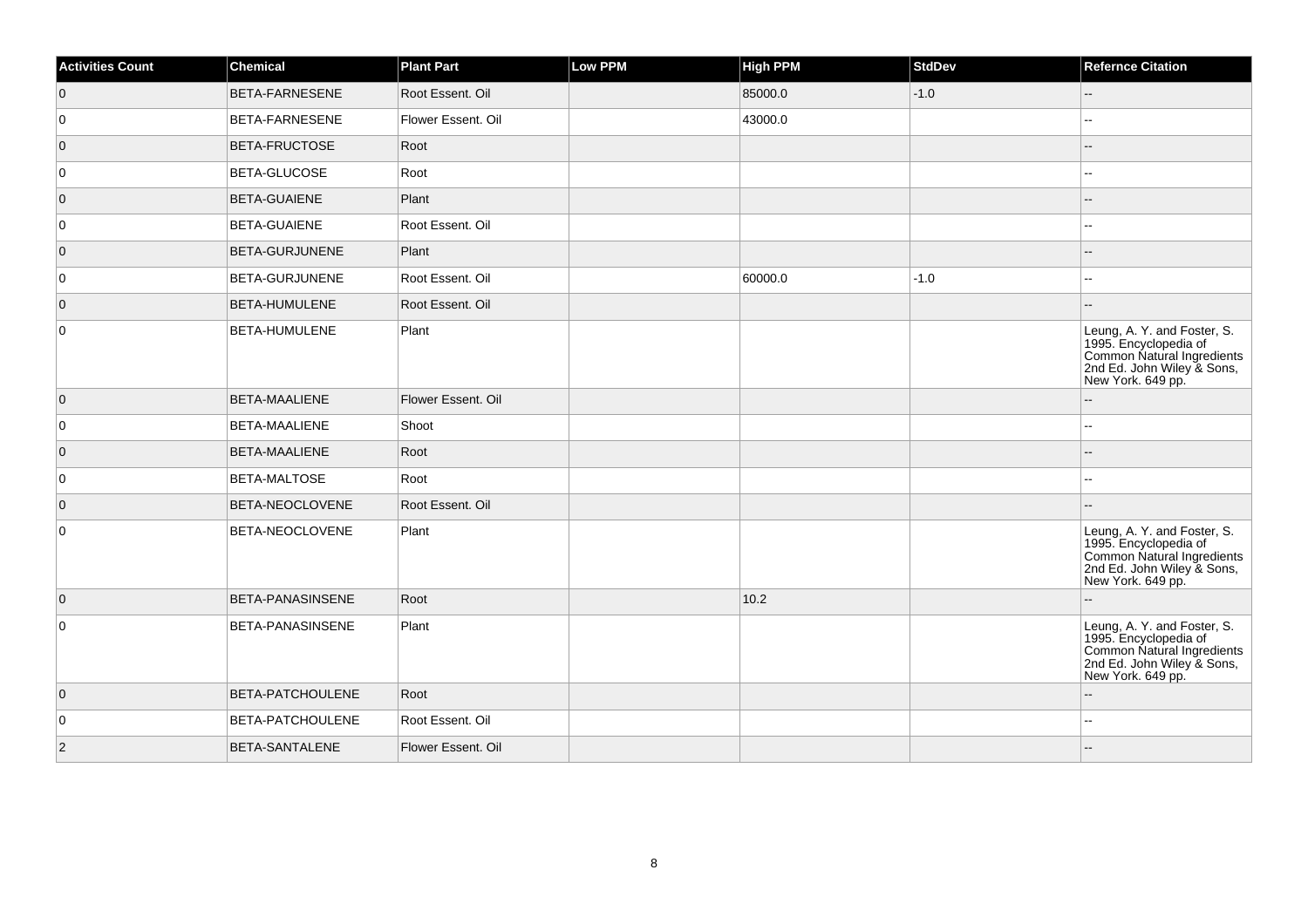| <b>Activities Count</b> | Chemical                | <b>Plant Part</b>  | <b>Low PPM</b> | <b>High PPM</b> | <b>StdDev</b> | <b>Refernce Citation</b>                                                                                                              |
|-------------------------|-------------------------|--------------------|----------------|-----------------|---------------|---------------------------------------------------------------------------------------------------------------------------------------|
| $\overline{0}$          | <b>BETA-FARNESENE</b>   | Root Essent. Oil   |                | 85000.0         | $-1.0$        | $\qquad \qquad -$                                                                                                                     |
| $\overline{0}$          | <b>BETA-FARNESENE</b>   | Flower Essent. Oil |                | 43000.0         |               |                                                                                                                                       |
| $\overline{0}$          | <b>BETA-FRUCTOSE</b>    | Root               |                |                 |               |                                                                                                                                       |
| $\overline{0}$          | <b>BETA-GLUCOSE</b>     | Root               |                |                 |               | --                                                                                                                                    |
| $\overline{0}$          | <b>BETA-GUAIENE</b>     | Plant              |                |                 |               |                                                                                                                                       |
| 0                       | <b>BETA-GUAIENE</b>     | Root Essent. Oil   |                |                 |               |                                                                                                                                       |
| $\overline{0}$          | <b>BETA-GURJUNENE</b>   | Plant              |                |                 |               |                                                                                                                                       |
| $\overline{0}$          | BETA-GURJUNENE          | Root Essent. Oil   |                | 60000.0         | $-1.0$        |                                                                                                                                       |
| $\overline{0}$          | BETA-HUMULENE           | Root Essent. Oil   |                |                 |               |                                                                                                                                       |
| $\overline{0}$          | <b>BETA-HUMULENE</b>    | Plant              |                |                 |               | Leung, A. Y. and Foster, S.<br>1995. Encyclopedia of<br>Common Natural Ingredients<br>2nd Ed. John Wiley & Sons,<br>New York. 649 pp. |
| $\overline{0}$          | <b>BETA-MAALIENE</b>    | Flower Essent. Oil |                |                 |               |                                                                                                                                       |
| 0                       | <b>BETA-MAALIENE</b>    | Shoot              |                |                 |               |                                                                                                                                       |
| $\overline{0}$          | <b>BETA-MAALIENE</b>    | Root               |                |                 |               |                                                                                                                                       |
| $\overline{0}$          | BETA-MALTOSE            | Root               |                |                 |               |                                                                                                                                       |
| $\overline{0}$          | BETA-NEOCLOVENE         | Root Essent, Oil   |                |                 |               |                                                                                                                                       |
| $\overline{0}$          | <b>BETA-NEOCLOVENE</b>  | Plant              |                |                 |               | Leung, A. Y. and Foster, S.<br>1995. Encyclopedia of<br>Common Natural Ingredients<br>2nd Ed. John Wiley & Sons,<br>New York. 649 pp. |
| $\overline{0}$          | <b>BETA-PANASINSENE</b> | Root               |                | 10.2            |               |                                                                                                                                       |
| $\overline{0}$          | <b>BETA-PANASINSENE</b> | Plant              |                |                 |               | Leung, A. Y. and Foster, S.<br>1995. Encyclopedia of<br>Common Natural Ingredients<br>2nd Ed. John Wiley & Sons,<br>New York. 649 pp. |
| $\overline{0}$          | <b>BETA-PATCHOULENE</b> | Root               |                |                 |               |                                                                                                                                       |
| $\overline{0}$          | <b>BETA-PATCHOULENE</b> | Root Essent. Oil   |                |                 |               |                                                                                                                                       |
| 2                       | <b>BETA-SANTALENE</b>   | Flower Essent. Oil |                |                 |               |                                                                                                                                       |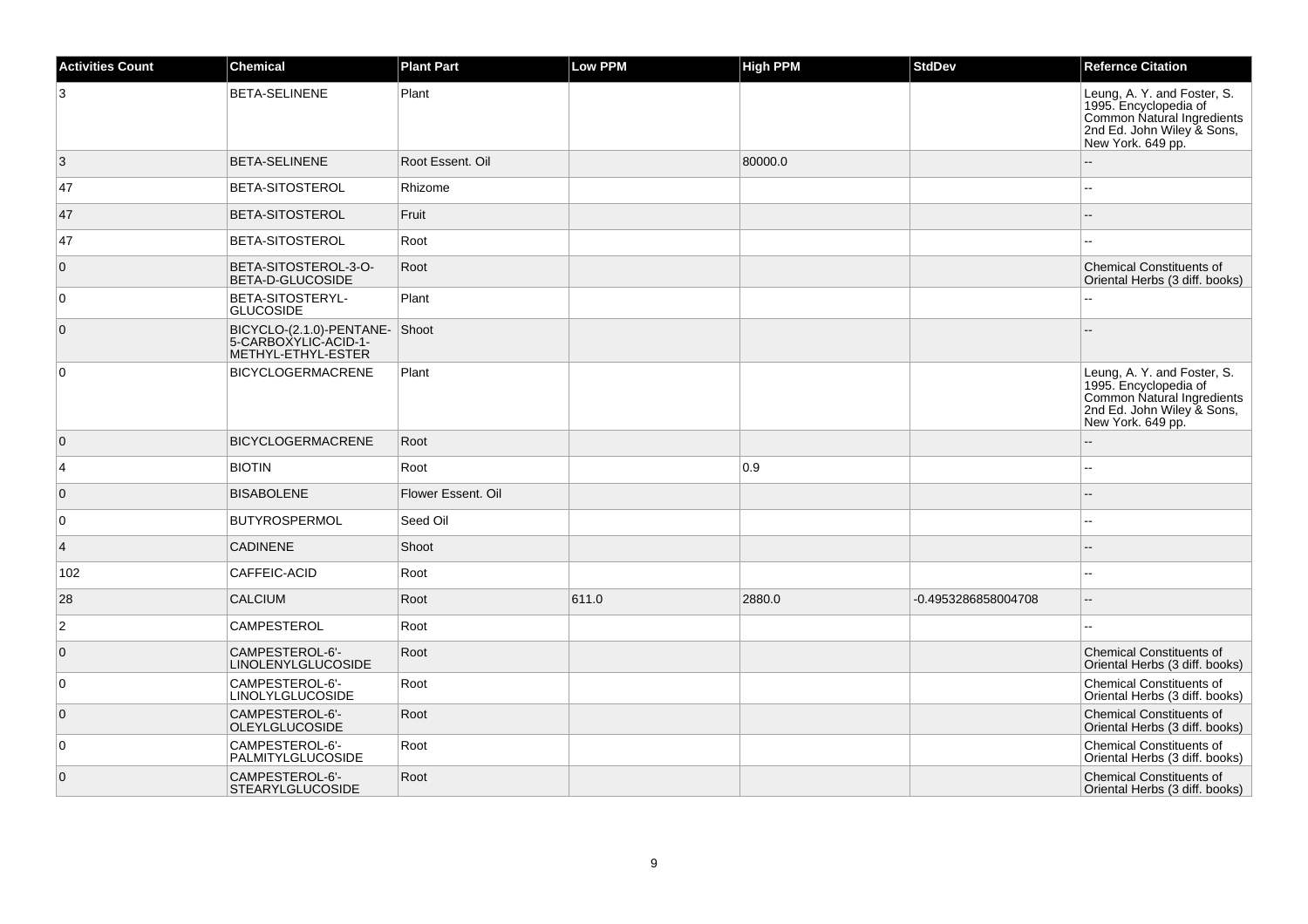| <b>Activities Count</b> | <b>Chemical</b>                                                             | <b>Plant Part</b>  | <b>Low PPM</b> | <b>High PPM</b> | <b>StdDev</b>       | <b>Refernce Citation</b>                                                                                                              |
|-------------------------|-----------------------------------------------------------------------------|--------------------|----------------|-----------------|---------------------|---------------------------------------------------------------------------------------------------------------------------------------|
| 3                       | <b>BETA-SELINENE</b>                                                        | Plant              |                |                 |                     | Leung, A. Y. and Foster, S.<br>1995. Encyclopedia of<br>Common Natural Ingredients<br>2nd Ed. John Wiley & Sons,<br>New York. 649 pp. |
| 3                       | <b>BETA-SELINENE</b>                                                        | Root Essent, Oil   |                | 80000.0         |                     |                                                                                                                                       |
| 47                      | <b>BETA-SITOSTEROL</b>                                                      | Rhizome            |                |                 |                     | ۵.                                                                                                                                    |
| 47                      | <b>BETA-SITOSTEROL</b>                                                      | Fruit              |                |                 |                     |                                                                                                                                       |
| 47                      | BETA-SITOSTEROL                                                             | Root               |                |                 |                     |                                                                                                                                       |
| $\overline{0}$          | BETA-SITOSTEROL-3-O-<br>BETA-D-GLUCOSIDE                                    | Root               |                |                 |                     | <b>Chemical Constituents of</b><br>Oriental Herbs (3 diff. books)                                                                     |
| 0                       | BETA-SITOSTERYL-<br><b>GLUCOSIDE</b>                                        | Plant              |                |                 |                     |                                                                                                                                       |
| $\overline{0}$          | BICYCLO-(2.1.0)-PENTANE-Shoot<br>5-CARBOXYLIC-ACID-1-<br>METHYL-ETHYL-ESTER |                    |                |                 |                     |                                                                                                                                       |
| $\overline{0}$          | <b>BICYCLOGERMACRENE</b>                                                    | Plant              |                |                 |                     | Leung, A. Y. and Foster, S.<br>1995. Encyclopedia of<br>Common Natural Ingredients<br>2nd Ed. John Wiley & Sons,<br>New York. 649 pp. |
| $\overline{0}$          | <b>BICYCLOGERMACRENE</b>                                                    | Root               |                |                 |                     |                                                                                                                                       |
| $\overline{4}$          | <b>BIOTIN</b>                                                               | Root               |                | 0.9             |                     | $\overline{\phantom{a}}$                                                                                                              |
| $\overline{0}$          | <b>BISABOLENE</b>                                                           | Flower Essent, Oil |                |                 |                     | $=$                                                                                                                                   |
| $\overline{0}$          | <b>BUTYROSPERMOL</b>                                                        | Seed Oil           |                |                 |                     | $\overline{a}$                                                                                                                        |
| $\vert$ 4               | <b>CADINENE</b>                                                             | Shoot              |                |                 |                     |                                                                                                                                       |
| 102                     | CAFFEIC-ACID                                                                | Root               |                |                 |                     | $\sim$                                                                                                                                |
| 28                      | <b>CALCIUM</b>                                                              | Root               | 611.0          | 2880.0          | -0.4953286858004708 | $- -$                                                                                                                                 |
| $\overline{2}$          | <b>CAMPESTEROL</b>                                                          | Root               |                |                 |                     | 44                                                                                                                                    |
| $\overline{0}$          | CAMPESTEROL-6'-<br><b>LINOLENYLGLUCOSIDE</b>                                | Root               |                |                 |                     | <b>Chemical Constituents of</b><br>Oriental Herbs (3 diff. books)                                                                     |
| 0                       | CAMPESTEROL-6'-<br><b>LINOLYLGLUCOSIDE</b>                                  | Root               |                |                 |                     | <b>Chemical Constituents of</b><br>Oriental Herbs (3 diff. books)                                                                     |
| $\overline{0}$          | CAMPESTEROL-6'-<br><b>OLEYLGLUCOSIDE</b>                                    | Root               |                |                 |                     | <b>Chemical Constituents of</b><br>Oriental Herbs (3 diff. books)                                                                     |
| $\overline{0}$          | CAMPESTEROL-6'-<br>PALMITYLGLUCOSIDE                                        | Root               |                |                 |                     | <b>Chemical Constituents of</b><br>Oriental Herbs (3 diff. books)                                                                     |
| $\overline{0}$          | CAMPESTEROL-6'-<br><b>STEARYLGLUCOSIDE</b>                                  | Root               |                |                 |                     | <b>Chemical Constituents of</b><br>Oriental Herbs (3 diff. books)                                                                     |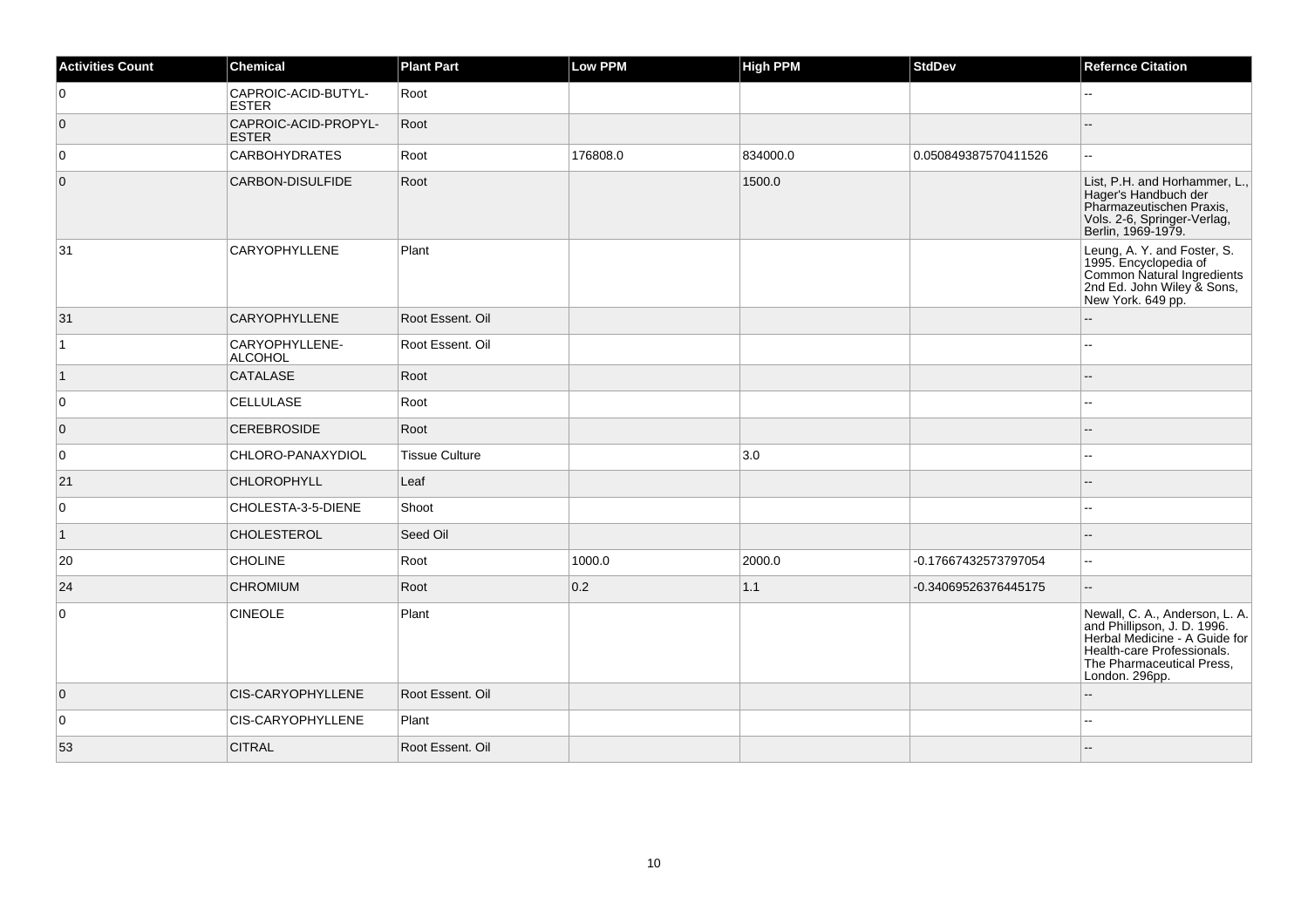| <b>Activities Count</b> | <b>Chemical</b>                      | <b>Plant Part</b>     | <b>Low PPM</b> | <b>High PPM</b> | <b>StdDev</b>        | <b>Refernce Citation</b>                                                                                                                                                    |
|-------------------------|--------------------------------------|-----------------------|----------------|-----------------|----------------------|-----------------------------------------------------------------------------------------------------------------------------------------------------------------------------|
| $\overline{0}$          | CAPROIC-ACID-BUTYL-<br>ESTER         | Root                  |                |                 |                      |                                                                                                                                                                             |
| $\overline{0}$          | CAPROIC-ACID-PROPYL-<br><b>ESTER</b> | Root                  |                |                 |                      |                                                                                                                                                                             |
| $\overline{0}$          | <b>CARBOHYDRATES</b>                 | Root                  | 176808.0       | 834000.0        | 0.050849387570411526 |                                                                                                                                                                             |
| $\overline{0}$          | CARBON-DISULFIDE                     | Root                  |                | 1500.0          |                      | List, P.H. and Horhammer, L.,<br>Hager's Handbuch der<br>Pharmazeutischen Praxis,<br>Vols. 2-6, Springer-Verlag,<br>Berlin, 1969-1979.                                      |
| 31                      | <b>CARYOPHYLLENE</b>                 | Plant                 |                |                 |                      | Leung, A. Y. and Foster, S.<br>1995. Encyclopedia of<br>Common Natural Ingredients<br>2nd Ed. John Wiley & Sons,<br>New York. 649 pp.                                       |
| 31                      | <b>CARYOPHYLLENE</b>                 | Root Essent, Oil      |                |                 |                      | $-$                                                                                                                                                                         |
| 1                       | CARYOPHYLLENE-<br>ALCOHOL            | Root Essent. Oil      |                |                 |                      |                                                                                                                                                                             |
| $\vert$ 1               | CATALASE                             | Root                  |                |                 |                      |                                                                                                                                                                             |
| $\overline{0}$          | <b>CELLULASE</b>                     | Root                  |                |                 |                      |                                                                                                                                                                             |
| $\overline{0}$          | <b>CEREBROSIDE</b>                   | Root                  |                |                 |                      |                                                                                                                                                                             |
| $\overline{0}$          | CHLORO-PANAXYDIOL                    | <b>Tissue Culture</b> |                | 3.0             |                      | $-$                                                                                                                                                                         |
| 21                      | <b>CHLOROPHYLL</b>                   | Leaf                  |                |                 |                      |                                                                                                                                                                             |
| 0                       | CHOLESTA-3-5-DIENE                   | Shoot                 |                |                 |                      |                                                                                                                                                                             |
| $\vert$ 1               | <b>CHOLESTEROL</b>                   | Seed Oil              |                |                 |                      |                                                                                                                                                                             |
| 20                      | <b>CHOLINE</b>                       | Root                  | 1000.0         | 2000.0          | -0.17667432573797054 | $\overline{a}$                                                                                                                                                              |
| 24                      | <b>CHROMIUM</b>                      | Root                  | 0.2            | 1.1             | -0.34069526376445175 | Ξ.                                                                                                                                                                          |
| $\overline{0}$          | <b>CINEOLE</b>                       | Plant                 |                |                 |                      | Newall, C. A., Anderson, L. A.<br>and Phillipson, J. D. 1996.<br>Herbal Medicine - A Guide for<br>Health-care Professionals.<br>The Pharmaceutical Press,<br>London. 296pp. |
| $\overline{0}$          | CIS-CARYOPHYLLENE                    | Root Essent. Oil      |                |                 |                      |                                                                                                                                                                             |
| $\overline{0}$          | CIS-CARYOPHYLLENE                    | Plant                 |                |                 |                      | $\overline{a}$                                                                                                                                                              |
| 53                      | <b>CITRAL</b>                        | Root Essent. Oil      |                |                 |                      |                                                                                                                                                                             |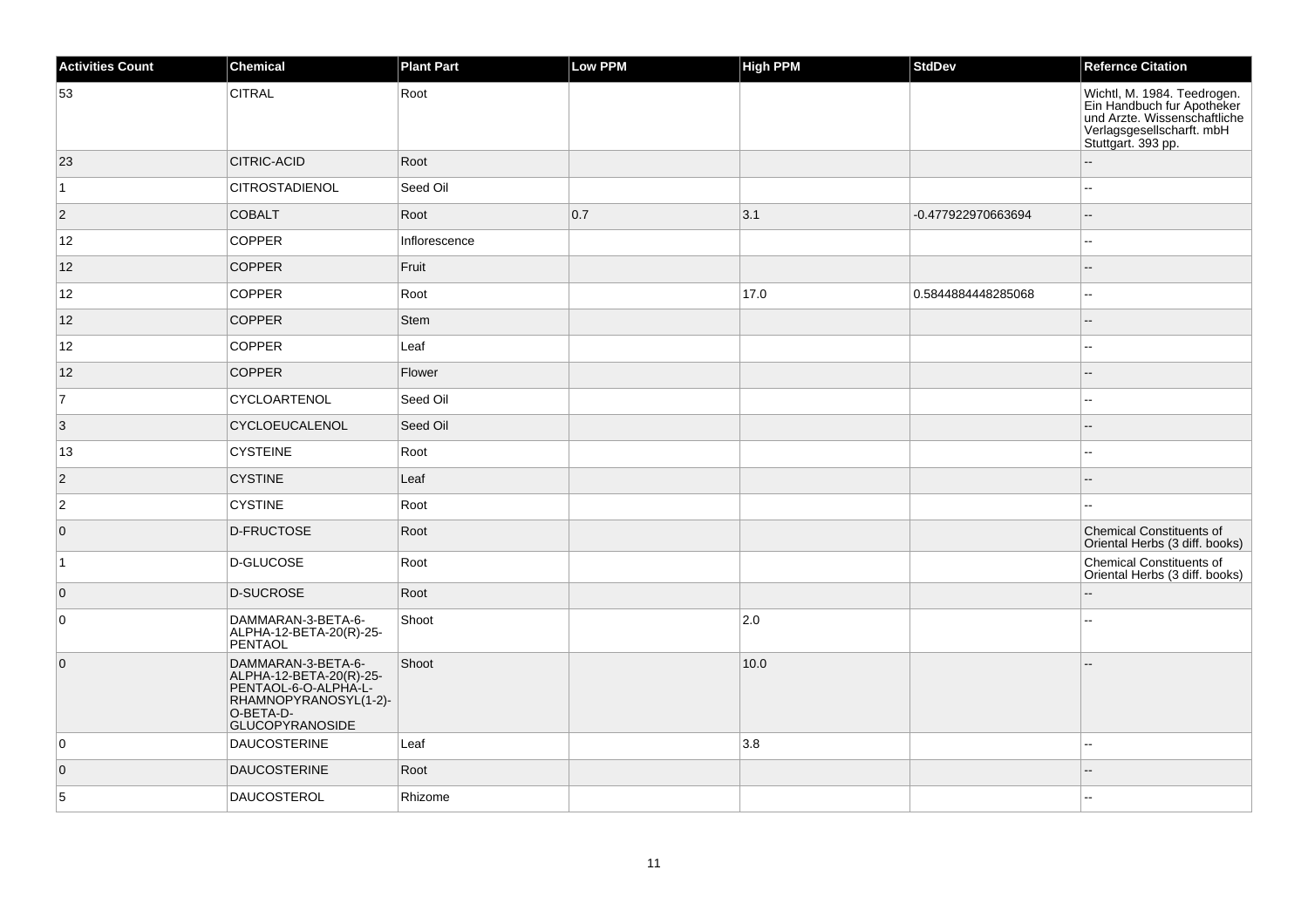| <b>Activities Count</b> | Chemical                                                                                                                              | <b>Plant Part</b> | Low PPM | <b>High PPM</b> | StdDev             | <b>Refernce Citation</b>                                                                                                                     |
|-------------------------|---------------------------------------------------------------------------------------------------------------------------------------|-------------------|---------|-----------------|--------------------|----------------------------------------------------------------------------------------------------------------------------------------------|
| 53                      | <b>CITRAL</b>                                                                                                                         | Root              |         |                 |                    | Wichtl, M. 1984. Teedrogen.<br>Ein Handbuch fur Apotheker<br>und Arzte. Wissenschaftliche<br>Verlagsgesellscharft. mbH<br>Stuttgart. 393 pp. |
| 23                      | <b>CITRIC-ACID</b>                                                                                                                    | Root              |         |                 |                    |                                                                                                                                              |
| $\overline{1}$          | <b>CITROSTADIENOL</b>                                                                                                                 | Seed Oil          |         |                 |                    |                                                                                                                                              |
| $\overline{2}$          | <b>COBALT</b>                                                                                                                         | Root              | 0.7     | 3.1             | -0.477922970663694 | $\overline{a}$                                                                                                                               |
| 12                      | <b>COPPER</b>                                                                                                                         | Inflorescence     |         |                 |                    | 44                                                                                                                                           |
| 12                      | <b>COPPER</b>                                                                                                                         | Fruit             |         |                 |                    |                                                                                                                                              |
| 12                      | <b>COPPER</b>                                                                                                                         | Root              |         | 17.0            | 0.5844884448285068 | цц.                                                                                                                                          |
| 12                      | <b>COPPER</b>                                                                                                                         | <b>Stem</b>       |         |                 |                    | $-$                                                                                                                                          |
| 12                      | <b>COPPER</b>                                                                                                                         | Leaf              |         |                 |                    |                                                                                                                                              |
| 12                      | <b>COPPER</b>                                                                                                                         | Flower            |         |                 |                    |                                                                                                                                              |
| $\overline{7}$          | CYCLOARTENOL                                                                                                                          | Seed Oil          |         |                 |                    | $\overline{\phantom{a}}$                                                                                                                     |
| 3                       | CYCLOEUCALENOL                                                                                                                        | Seed Oil          |         |                 |                    |                                                                                                                                              |
| 13                      | <b>CYSTEINE</b>                                                                                                                       | Root              |         |                 |                    | $-1$                                                                                                                                         |
| $\overline{2}$          | <b>CYSTINE</b>                                                                                                                        | Leaf              |         |                 |                    | --                                                                                                                                           |
| $\overline{2}$          | <b>CYSTINE</b>                                                                                                                        | Root              |         |                 |                    | --                                                                                                                                           |
| $\overline{0}$          | D-FRUCTOSE                                                                                                                            | Root              |         |                 |                    | <b>Chemical Constituents of</b><br>Oriental Herbs (3 diff. books)                                                                            |
| $\vert$ 1               | D-GLUCOSE                                                                                                                             | Root              |         |                 |                    | <b>Chemical Constituents of</b><br>Oriental Herbs (3 diff. books)                                                                            |
| $\overline{0}$          | <b>D-SUCROSE</b>                                                                                                                      | Root              |         |                 |                    |                                                                                                                                              |
| $\overline{0}$          | DAMMARAN-3-BETA-6-<br>ALPHA-12-BETA-20(R)-25-<br>PENTAOL                                                                              | Shoot             |         | 2.0             |                    |                                                                                                                                              |
| $\overline{0}$          | DAMMARAN-3-BETA-6-<br>ALPHA-12-BETA-20(R)-25-<br>PENTAOL-6-O-ALPHA-L-<br>RHAMNOPYRANOSYL(1-2)-<br>O-BETA-D-<br><b>GLUCOPYRANOSIDE</b> | Shoot             |         | 10.0            |                    |                                                                                                                                              |
| $\overline{0}$          | <b>DAUCOSTERINE</b>                                                                                                                   | Leaf              |         | 3.8             |                    | --                                                                                                                                           |
| $\overline{0}$          | <b>DAUCOSTERINE</b>                                                                                                                   | Root              |         |                 |                    |                                                                                                                                              |
| $\overline{5}$          | <b>DAUCOSTEROL</b>                                                                                                                    | Rhizome           |         |                 |                    | $\overline{a}$                                                                                                                               |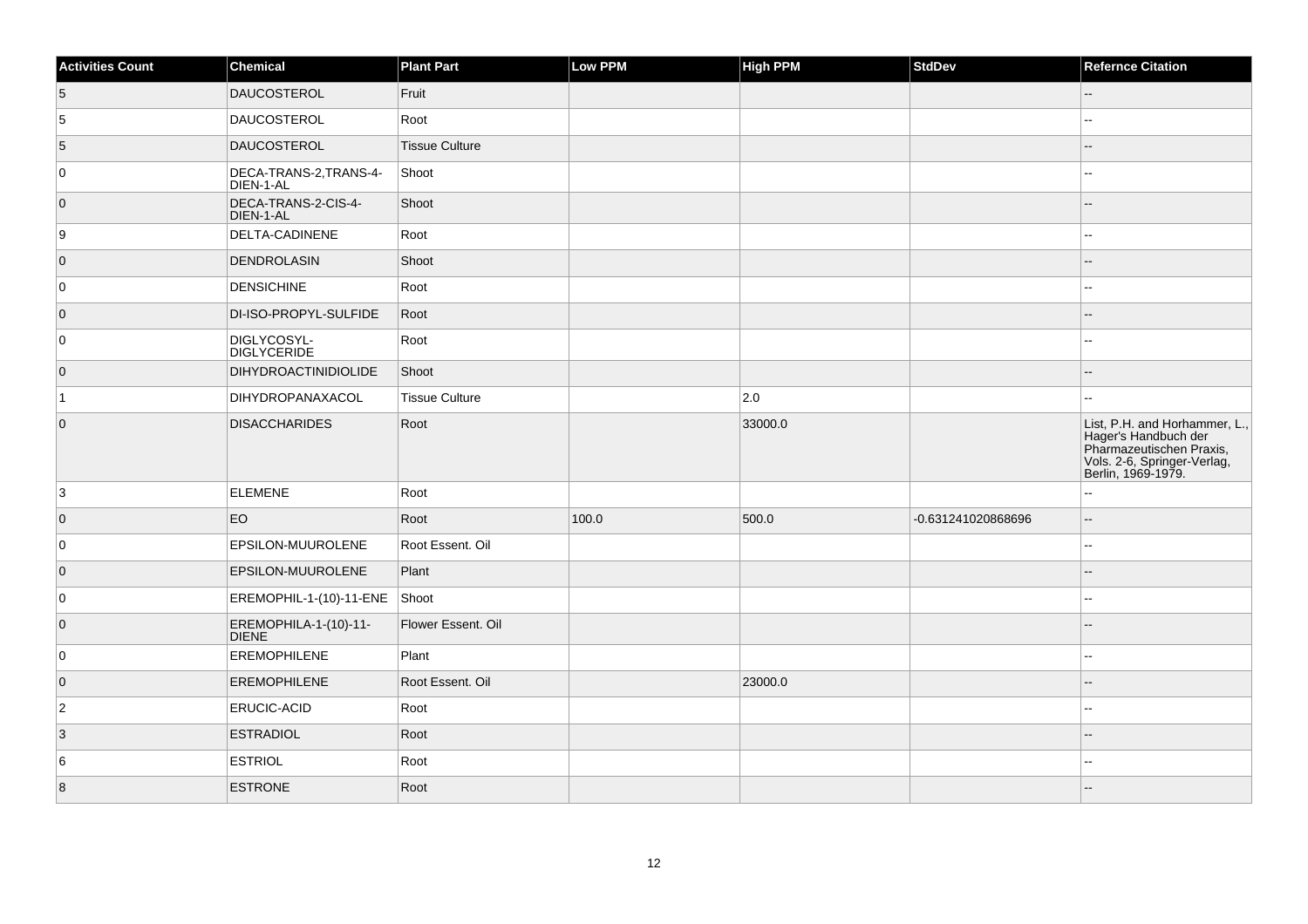| <b>Activities Count</b> | Chemical                              | <b>Plant Part</b>     | Low PPM | <b>High PPM</b> | StdDev             | <b>Refernce Citation</b>                                                                                                               |
|-------------------------|---------------------------------------|-----------------------|---------|-----------------|--------------------|----------------------------------------------------------------------------------------------------------------------------------------|
| $\overline{5}$          | DAUCOSTEROL                           | Fruit                 |         |                 |                    | $-$                                                                                                                                    |
| 5                       | <b>DAUCOSTEROL</b>                    | Root                  |         |                 |                    | Щ,                                                                                                                                     |
| 5                       | <b>DAUCOSTEROL</b>                    | <b>Tissue Culture</b> |         |                 |                    | $-$                                                                                                                                    |
| 0                       | DECA-TRANS-2, TRANS-4-<br>DIEN-1-AL   | Shoot                 |         |                 |                    | --                                                                                                                                     |
| $\overline{0}$          | DECA-TRANS-2-CIS-4-<br>DIEN-1-AL      | Shoot                 |         |                 |                    |                                                                                                                                        |
| 9                       | DELTA-CADINENE                        | Root                  |         |                 |                    |                                                                                                                                        |
| $\overline{0}$          | DENDROLASIN                           | Shoot                 |         |                 |                    |                                                                                                                                        |
| 0                       | <b>DENSICHINE</b>                     | Root                  |         |                 |                    | --                                                                                                                                     |
| $\overline{0}$          | DI-ISO-PROPYL-SULFIDE                 | Root                  |         |                 |                    | --                                                                                                                                     |
| 0                       | DIGLYCOSYL-<br><b>DIGLYCERIDE</b>     | Root                  |         |                 |                    | --                                                                                                                                     |
| $\overline{0}$          | <b>DIHYDROACTINIDIOLIDE</b>           | Shoot                 |         |                 |                    |                                                                                                                                        |
| 1                       | DIHYDROPANAXACOL                      | <b>Tissue Culture</b> |         | 2.0             |                    | --                                                                                                                                     |
| $\overline{0}$          | <b>DISACCHARIDES</b>                  | Root                  |         | 33000.0         |                    | List, P.H. and Horhammer, L.,<br>Hager's Handbuch der<br>Pharmazeutischen Praxis,<br>Vols. 2-6, Springer-Verlag,<br>Berlin, 1969-1979. |
| $\overline{3}$          | <b>ELEMENE</b>                        | Root                  |         |                 |                    | ۵.                                                                                                                                     |
| $\overline{0}$          | <b>EO</b>                             | Root                  | 100.0   | 500.0           | -0.631241020868696 | $\overline{\phantom{a}}$                                                                                                               |
| 0                       | EPSILON-MUUROLENE                     | Root Essent. Oil      |         |                 |                    | --                                                                                                                                     |
| $\overline{0}$          | EPSILON-MUUROLENE                     | Plant                 |         |                 |                    |                                                                                                                                        |
| 0                       | EREMOPHIL-1-(10)-11-ENE               | Shoot                 |         |                 |                    | $\overline{\phantom{a}}$                                                                                                               |
| $\overline{0}$          | EREMOPHILA-1-(10)-11-<br><b>DIENE</b> | Flower Essent. Oil    |         |                 |                    |                                                                                                                                        |
| 0                       | <b>EREMOPHILENE</b>                   | Plant                 |         |                 |                    | $\sim$                                                                                                                                 |
| $\overline{0}$          | <b>EREMOPHILENE</b>                   | Root Essent. Oil      |         | 23000.0         |                    |                                                                                                                                        |
| $\overline{2}$          | ERUCIC-ACID                           | Root                  |         |                 |                    | $\overline{\phantom{a}}$                                                                                                               |
| $\vert$ 3               | <b>ESTRADIOL</b>                      | Root                  |         |                 |                    |                                                                                                                                        |
| 6                       | <b>ESTRIOL</b>                        | Root                  |         |                 |                    |                                                                                                                                        |
| $\overline{8}$          | <b>ESTRONE</b>                        | Root                  |         |                 |                    |                                                                                                                                        |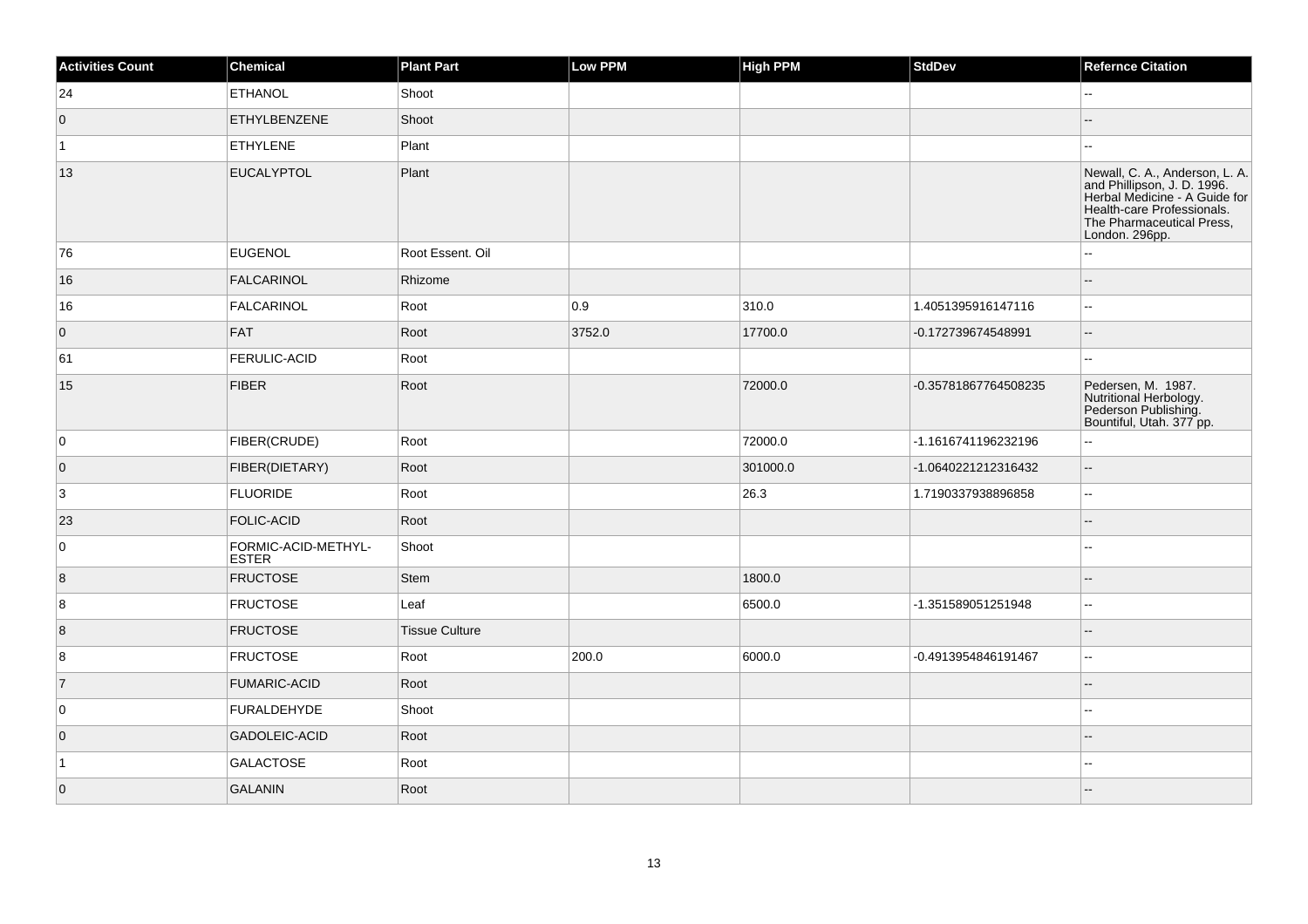| <b>Activities Count</b> | Chemical                            | <b>Plant Part</b>     | Low PPM | <b>High PPM</b> | <b>StdDev</b>        | <b>Refernce Citation</b>                                                                                                                                                    |
|-------------------------|-------------------------------------|-----------------------|---------|-----------------|----------------------|-----------------------------------------------------------------------------------------------------------------------------------------------------------------------------|
| 24                      | <b>ETHANOL</b>                      | Shoot                 |         |                 |                      | $\overline{\phantom{a}}$                                                                                                                                                    |
| $\overline{0}$          | <b>ETHYLBENZENE</b>                 | Shoot                 |         |                 |                      |                                                                                                                                                                             |
| $\vert$ 1               | <b>ETHYLENE</b>                     | Plant                 |         |                 |                      | --                                                                                                                                                                          |
| 13                      | <b>EUCALYPTOL</b>                   | Plant                 |         |                 |                      | Newall, C. A., Anderson, L. A.<br>and Phillipson, J. D. 1996.<br>Herbal Medicine - A Guide for<br>Health-care Professionals.<br>The Pharmaceutical Press,<br>London. 296pp. |
| 76                      | <b>EUGENOL</b>                      | Root Essent. Oil      |         |                 |                      | 44                                                                                                                                                                          |
| 16                      | <b>FALCARINOL</b>                   | Rhizome               |         |                 |                      |                                                                                                                                                                             |
| 16                      | <b>FALCARINOL</b>                   | Root                  | 0.9     | 310.0           | 1.4051395916147116   | $\overline{a}$                                                                                                                                                              |
| $\overline{0}$          | <b>FAT</b>                          | Root                  | 3752.0  | 17700.0         | -0.172739674548991   | --                                                                                                                                                                          |
| 61                      | FERULIC-ACID                        | Root                  |         |                 |                      | $-$                                                                                                                                                                         |
| 15                      | <b>FIBER</b>                        | Root                  |         | 72000.0         | -0.35781867764508235 | Pedersen, M. 1987.<br>Nutritional Herbology.<br>Pederson Publishing.<br>Bountiful, Utah. 377 pp.                                                                            |
| 0                       | FIBER(CRUDE)                        | Root                  |         | 72000.0         | -1.1616741196232196  | $\overline{a}$                                                                                                                                                              |
| $\overline{0}$          | FIBER(DIETARY)                      | Root                  |         | 301000.0        | -1.0640221212316432  | $\overline{\phantom{a}}$                                                                                                                                                    |
| 3                       | <b>FLUORIDE</b>                     | Root                  |         | 26.3            | 1.7190337938896858   | 44                                                                                                                                                                          |
| 23                      | FOLIC-ACID                          | Root                  |         |                 |                      | --                                                                                                                                                                          |
| $\mathsf 0$             | FORMIC-ACID-METHYL-<br><b>ESTER</b> | Shoot                 |         |                 |                      | --                                                                                                                                                                          |
| 8                       | <b>FRUCTOSE</b>                     | Stem                  |         | 1800.0          |                      |                                                                                                                                                                             |
| 8                       | <b>FRUCTOSE</b>                     | Leaf                  |         | 6500.0          | -1.351589051251948   | 44                                                                                                                                                                          |
| $\vert 8$               | <b>FRUCTOSE</b>                     | <b>Tissue Culture</b> |         |                 |                      | $-$                                                                                                                                                                         |
| 8                       | <b>FRUCTOSE</b>                     | Root                  | 200.0   | 6000.0          | -0.4913954846191467  | $\mathcal{L}_{\mathcal{F}}$                                                                                                                                                 |
| $\vert$ 7               | <b>FUMARIC-ACID</b>                 | Root                  |         |                 |                      |                                                                                                                                                                             |
| 0                       | <b>FURALDEHYDE</b>                  | Shoot                 |         |                 |                      | 44                                                                                                                                                                          |
| $\overline{0}$          | <b>GADOLEIC-ACID</b>                | Root                  |         |                 |                      | $\overline{a}$                                                                                                                                                              |
| $\vert$ 1               | <b>GALACTOSE</b>                    | Root                  |         |                 |                      |                                                                                                                                                                             |
| $\overline{0}$          | <b>GALANIN</b>                      | Root                  |         |                 |                      |                                                                                                                                                                             |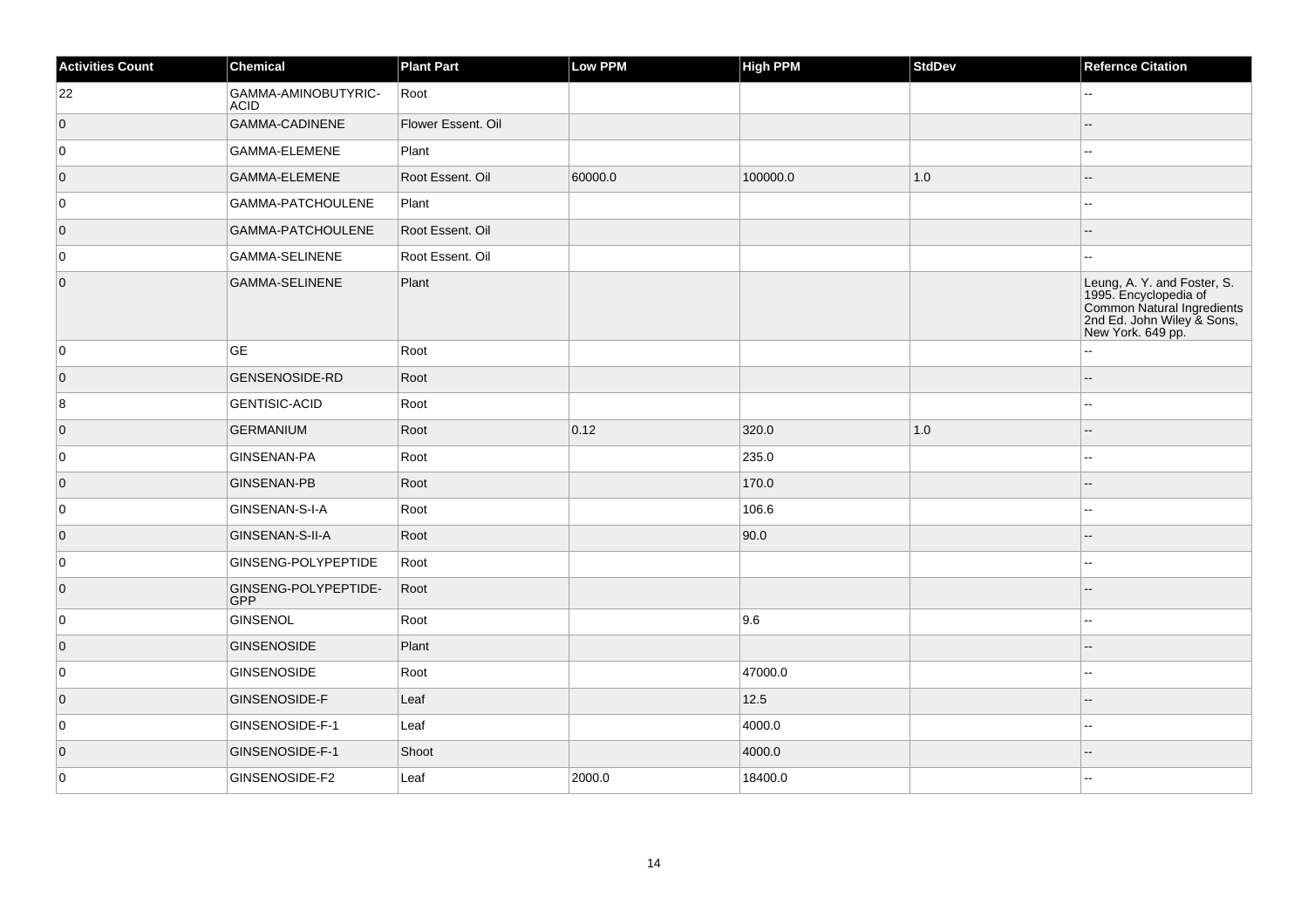| <b>Activities Count</b> | Chemical                           | <b>Plant Part</b>  | Low PPM | <b>High PPM</b> | StdDev | <b>Refernce Citation</b>                                                                                                              |
|-------------------------|------------------------------------|--------------------|---------|-----------------|--------|---------------------------------------------------------------------------------------------------------------------------------------|
| 22                      | GAMMA-AMINOBUTYRIC-<br><b>ACID</b> | Root               |         |                 |        |                                                                                                                                       |
| $\overline{0}$          | GAMMA-CADINENE                     | Flower Essent. Oil |         |                 |        |                                                                                                                                       |
| 0                       | GAMMA-ELEMENE                      | Plant              |         |                 |        |                                                                                                                                       |
| $\overline{0}$          | <b>GAMMA-ELEMENE</b>               | Root Essent, Oil   | 60000.0 | 100000.0        | 1.0    |                                                                                                                                       |
| 0                       | GAMMA-PATCHOULENE                  | Plant              |         |                 |        |                                                                                                                                       |
| $\overline{0}$          | GAMMA-PATCHOULENE                  | Root Essent. Oil   |         |                 |        |                                                                                                                                       |
| $\mathbf 0$             | <b>GAMMA-SELINENE</b>              | Root Essent. Oil   |         |                 |        | --                                                                                                                                    |
| $\overline{0}$          | GAMMA-SELINENE                     | Plant              |         |                 |        | Leung, A. Y. and Foster, S.<br>1995. Encyclopedia of<br>Common Natural Ingredients<br>2nd Ed. John Wiley & Sons,<br>New York. 649 pp. |
| 0                       | <b>GE</b>                          | Root               |         |                 |        | Ξ.                                                                                                                                    |
| $\overline{0}$          | <b>GENSENOSIDE-RD</b>              | Root               |         |                 |        |                                                                                                                                       |
| 8                       | GENTISIC-ACID                      | Root               |         |                 |        | --                                                                                                                                    |
| $\overline{0}$          | <b>GERMANIUM</b>                   | Root               | 0.12    | 320.0           | 1.0    |                                                                                                                                       |
| 0                       | GINSENAN-PA                        | Root               |         | 235.0           |        |                                                                                                                                       |
| $\overline{0}$          | <b>GINSENAN-PB</b>                 | Root               |         | 170.0           |        |                                                                                                                                       |
| 0                       | GINSENAN-S-I-A                     | Root               |         | 106.6           |        |                                                                                                                                       |
| $\overline{0}$          | GINSENAN-S-II-A                    | Root               |         | 90.0            |        |                                                                                                                                       |
| 0                       | GINSENG-POLYPEPTIDE                | Root               |         |                 |        | --                                                                                                                                    |
| $\overline{0}$          | GINSENG-POLYPEPTIDE-<br><b>GPP</b> | Root               |         |                 |        |                                                                                                                                       |
| 0                       | GINSENOL                           | Root               |         | 9.6             |        |                                                                                                                                       |
| $\overline{0}$          | GINSENOSIDE                        | Plant              |         |                 |        |                                                                                                                                       |
| 0                       | GINSENOSIDE                        | Root               |         | 47000.0         |        |                                                                                                                                       |
| $\overline{0}$          | <b>GINSENOSIDE-F</b>               | Leaf               |         | 12.5            |        |                                                                                                                                       |
| 0                       | GINSENOSIDE-F-1                    | Leaf               |         | 4000.0          |        | --                                                                                                                                    |
| $\overline{0}$          | GINSENOSIDE-F-1                    | Shoot              |         | 4000.0          |        |                                                                                                                                       |
| $\mathbf 0$             | GINSENOSIDE-F2                     | Leaf               | 2000.0  | 18400.0         |        |                                                                                                                                       |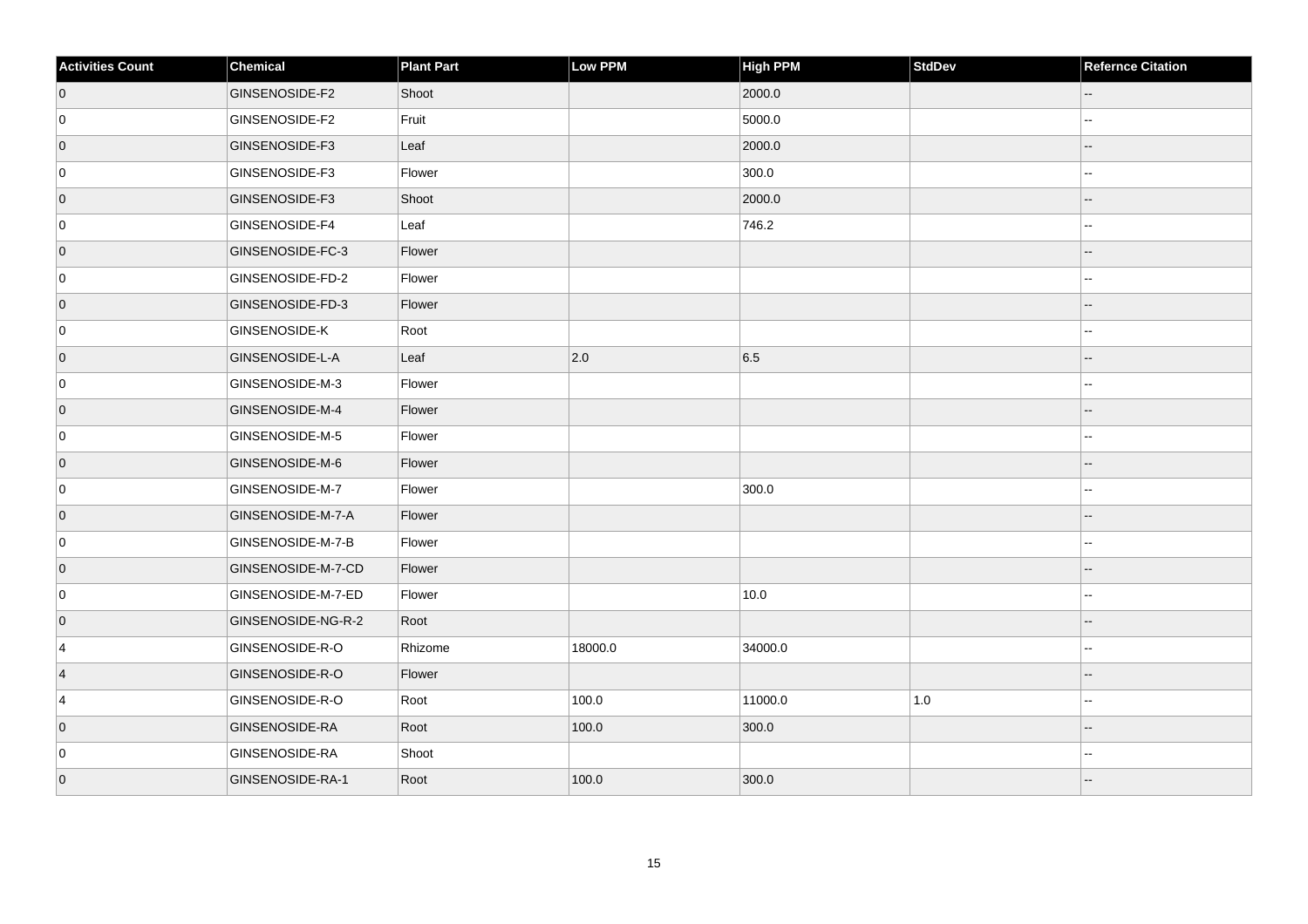| <b>Activities Count</b> | Chemical             | <b>Plant Part</b> | Low PPM | <b>High PPM</b> | <b>StdDev</b> | <b>Refernce Citation</b> |
|-------------------------|----------------------|-------------------|---------|-----------------|---------------|--------------------------|
| $\overline{0}$          | GINSENOSIDE-F2       | Shoot             |         | 2000.0          |               | $-$                      |
| $\overline{0}$          | GINSENOSIDE-F2       | Fruit             |         | 5000.0          |               |                          |
| $\overline{0}$          | GINSENOSIDE-F3       | Leaf              |         | 2000.0          |               |                          |
| $\overline{0}$          | GINSENOSIDE-F3       | Flower            |         | 300.0           |               |                          |
| $\overline{0}$          | GINSENOSIDE-F3       | Shoot             |         | 2000.0          |               |                          |
| $\overline{0}$          | GINSENOSIDE-F4       | Leaf              |         | 746.2           |               | ц,                       |
| $\overline{0}$          | GINSENOSIDE-FC-3     | Flower            |         |                 |               |                          |
| $\overline{0}$          | GINSENOSIDE-FD-2     | Flower            |         |                 |               |                          |
| $\overline{0}$          | GINSENOSIDE-FD-3     | Flower            |         |                 |               |                          |
| $\overline{0}$          | <b>GINSENOSIDE-K</b> | Root              |         |                 |               |                          |
| $\overline{0}$          | GINSENOSIDE-L-A      | Leaf              | 2.0     | 6.5             |               |                          |
| 0                       | GINSENOSIDE-M-3      | Flower            |         |                 |               | ц,                       |
| $\overline{0}$          | GINSENOSIDE-M-4      | Flower            |         |                 |               |                          |
| $\overline{0}$          | GINSENOSIDE-M-5      | Flower            |         |                 |               |                          |
| $\overline{0}$          | GINSENOSIDE-M-6      | Flower            |         |                 |               |                          |
| $\overline{0}$          | GINSENOSIDE-M-7      | Flower            |         | 300.0           |               |                          |
| $\overline{0}$          | GINSENOSIDE-M-7-A    | Flower            |         |                 |               |                          |
| $\overline{0}$          | GINSENOSIDE-M-7-B    | Flower            |         |                 |               | ц,                       |
| $\overline{0}$          | GINSENOSIDE-M-7-CD   | Flower            |         |                 |               |                          |
| $\overline{0}$          | GINSENOSIDE-M-7-ED   | Flower            |         | 10.0            |               |                          |
| $\overline{0}$          | GINSENOSIDE-NG-R-2   | Root              |         |                 |               |                          |
| $\overline{4}$          | GINSENOSIDE-R-O      | Rhizome           | 18000.0 | 34000.0         |               |                          |
| $\overline{4}$          | GINSENOSIDE-R-O      | Flower            |         |                 |               |                          |
| $\overline{4}$          | GINSENOSIDE-R-O      | Root              | 100.0   | 11000.0         | $1.0$         | ц,                       |
| $\overline{0}$          | GINSENOSIDE-RA       | Root              | 100.0   | 300.0           |               |                          |
| $\overline{0}$          | GINSENOSIDE-RA       | Shoot             |         |                 |               |                          |
| $\overline{0}$          | GINSENOSIDE-RA-1     | Root              | 100.0   | 300.0           |               |                          |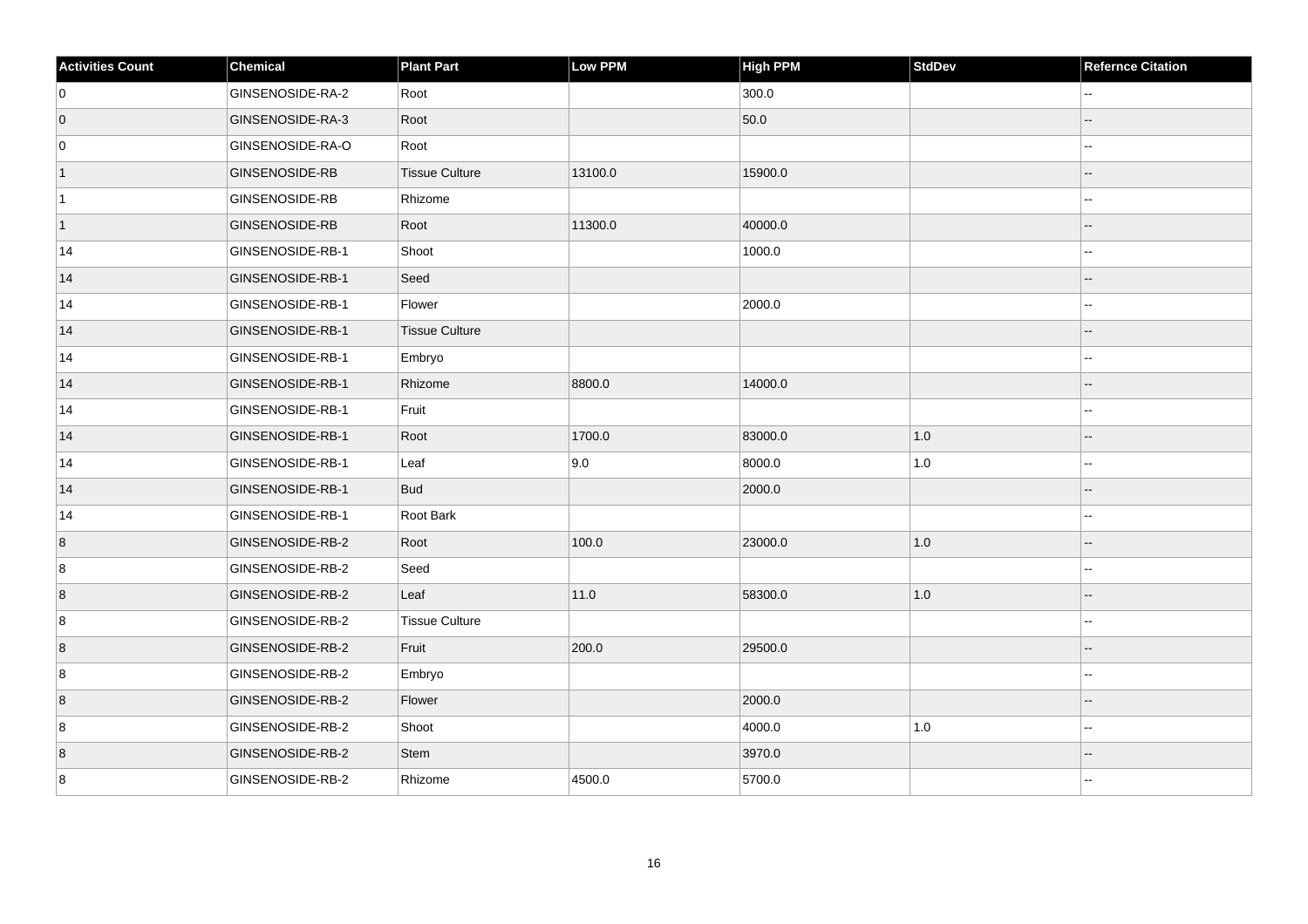| <b>Activities Count</b> | Chemical              | <b>Plant Part</b>     | Low PPM | <b>High PPM</b> | StdDev  | <b>Refernce Citation</b> |
|-------------------------|-----------------------|-----------------------|---------|-----------------|---------|--------------------------|
| 0                       | GINSENOSIDE-RA-2      | Root                  |         | 300.0           |         |                          |
| $\overline{0}$          | GINSENOSIDE-RA-3      | Root                  |         | 50.0            |         |                          |
| 0                       | GINSENOSIDE-RA-O      | Root                  |         |                 |         |                          |
| $\vert$ 1               | <b>GINSENOSIDE-RB</b> | <b>Tissue Culture</b> | 13100.0 | 15900.0         |         | --                       |
| $\vert$ 1               | <b>GINSENOSIDE-RB</b> | Rhizome               |         |                 |         | ۵.                       |
| $\vert$ 1               | <b>GINSENOSIDE-RB</b> | Root                  | 11300.0 | 40000.0         |         |                          |
| 14                      | GINSENOSIDE-RB-1      | Shoot                 |         | 1000.0          |         | --                       |
| 14                      | GINSENOSIDE-RB-1      | Seed                  |         |                 |         |                          |
| 14                      | GINSENOSIDE-RB-1      | Flower                |         | 2000.0          |         | --                       |
| 14                      | GINSENOSIDE-RB-1      | <b>Tissue Culture</b> |         |                 |         | $-$                      |
| 14                      | GINSENOSIDE-RB-1      | Embryo                |         |                 |         | Ξ.                       |
| 14                      | GINSENOSIDE-RB-1      | Rhizome               | 8800.0  | 14000.0         |         | --                       |
| 14                      | GINSENOSIDE-RB-1      | Fruit                 |         |                 |         | $\overline{a}$           |
| 14                      | GINSENOSIDE-RB-1      | Root                  | 1700.0  | 83000.0         | 1.0     | Ξ.                       |
| 14                      | GINSENOSIDE-RB-1      | Leaf                  | 9.0     | 8000.0          | $1.0$   | --                       |
| 14                      | GINSENOSIDE-RB-1      | <b>Bud</b>            |         | 2000.0          |         | --                       |
| 14                      | GINSENOSIDE-RB-1      | Root Bark             |         |                 |         | --                       |
| 8                       | GINSENOSIDE-RB-2      | Root                  | 100.0   | 23000.0         | 1.0     |                          |
| 8                       | GINSENOSIDE-RB-2      | Seed                  |         |                 |         | --                       |
| 8                       | GINSENOSIDE-RB-2      | Leaf                  | 11.0    | 58300.0         | 1.0     | --                       |
| 8                       | GINSENOSIDE-RB-2      | <b>Tissue Culture</b> |         |                 |         | --                       |
| $\boldsymbol{8}$        | GINSENOSIDE-RB-2      | Fruit                 | 200.0   | 29500.0         |         |                          |
| 8                       | GINSENOSIDE-RB-2      | Embryo                |         |                 |         | Ξ.                       |
| 8                       | GINSENOSIDE-RB-2      | Flower                |         | 2000.0          |         |                          |
| 8                       | GINSENOSIDE-RB-2      | Shoot                 |         | 4000.0          | $1.0\,$ |                          |
| 8                       | GINSENOSIDE-RB-2      | Stem                  |         | 3970.0          |         | $-$                      |
| 8                       | GINSENOSIDE-RB-2      | Rhizome               | 4500.0  | 5700.0          |         | $\overline{a}$           |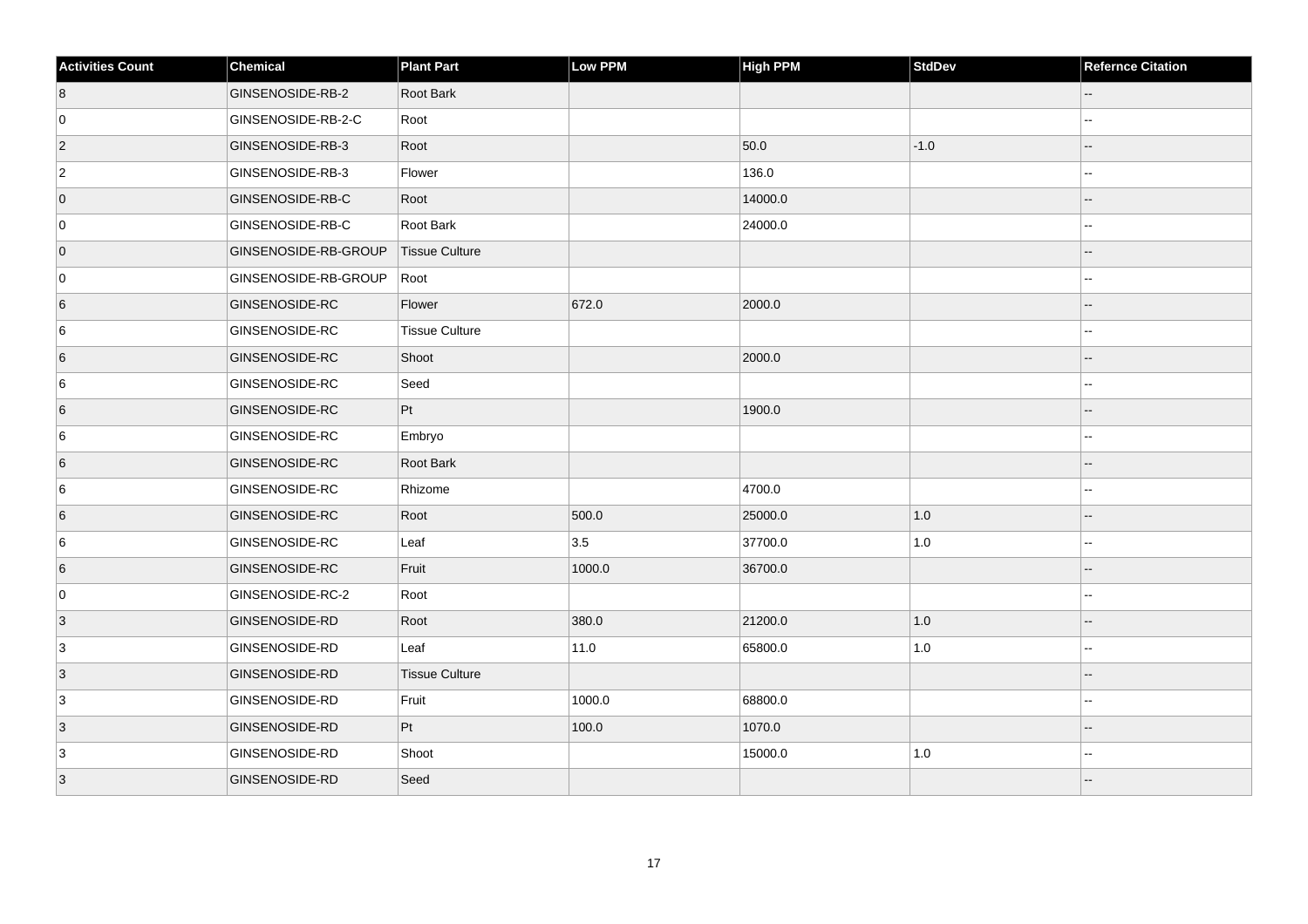| <b>Activities Count</b> | <b>Chemical</b>       | <b>Plant Part</b>     | Low PPM | <b>High PPM</b> | <b>StdDev</b> | <b>Refernce Citation</b> |
|-------------------------|-----------------------|-----------------------|---------|-----------------|---------------|--------------------------|
| 8                       | GINSENOSIDE-RB-2      | Root Bark             |         |                 |               | $\qquad \qquad -$        |
| 0                       | GINSENOSIDE-RB-2-C    | Root                  |         |                 |               |                          |
| $ 2\rangle$             | GINSENOSIDE-RB-3      | Root                  |         | 50.0            | $-1.0$        |                          |
| $\overline{2}$          | GINSENOSIDE-RB-3      | Flower                |         | 136.0           |               |                          |
| $\overline{0}$          | GINSENOSIDE-RB-C      | Root                  |         | 14000.0         |               |                          |
| 0                       | GINSENOSIDE-RB-C      | Root Bark             |         | 24000.0         |               |                          |
| $\overline{0}$          | GINSENOSIDE-RB-GROUP  | <b>Tissue Culture</b> |         |                 |               |                          |
| 0                       | GINSENOSIDE-RB-GROUP  | Root                  |         |                 |               |                          |
| $6\overline{6}$         | <b>GINSENOSIDE-RC</b> | Flower                | 672.0   | 2000.0          |               |                          |
| 6                       | <b>GINSENOSIDE-RC</b> | <b>Tissue Culture</b> |         |                 |               |                          |
| 6                       | <b>GINSENOSIDE-RC</b> | Shoot                 |         | 2000.0          |               |                          |
| 6                       | <b>GINSENOSIDE-RC</b> | Seed                  |         |                 |               |                          |
| 6                       | GINSENOSIDE-RC        | Pt                    |         | 1900.0          |               |                          |
| 6                       | <b>GINSENOSIDE-RC</b> | Embryo                |         |                 |               |                          |
| 6                       | GINSENOSIDE-RC        | Root Bark             |         |                 |               |                          |
| 6                       | <b>GINSENOSIDE-RC</b> | Rhizome               |         | 4700.0          |               |                          |
| 6                       | <b>GINSENOSIDE-RC</b> | Root                  | 500.0   | 25000.0         | 1.0           |                          |
| 6                       | <b>GINSENOSIDE-RC</b> | Leaf                  | 3.5     | 37700.0         | $1.0$         |                          |
| 6                       | <b>GINSENOSIDE-RC</b> | Fruit                 | 1000.0  | 36700.0         |               |                          |
| 0                       | GINSENOSIDE-RC-2      | Root                  |         |                 |               | --                       |
| $\vert 3 \vert$         | <b>GINSENOSIDE-RD</b> | Root                  | 380.0   | 21200.0         | 1.0           |                          |
| $\overline{3}$          | <b>GINSENOSIDE-RD</b> | Leaf                  | 11.0    | 65800.0         | $1.0$         | --                       |
| $\vert$ 3               | <b>GINSENOSIDE-RD</b> | <b>Tissue Culture</b> |         |                 |               |                          |
| 3                       | <b>GINSENOSIDE-RD</b> | Fruit                 | 1000.0  | 68800.0         |               |                          |
| $ 3\rangle$             | <b>GINSENOSIDE-RD</b> | Pt                    | 100.0   | 1070.0          |               |                          |
| $\overline{3}$          | <b>GINSENOSIDE-RD</b> | Shoot                 |         | 15000.0         | $1.0\,$       |                          |
| 3                       | <b>GINSENOSIDE-RD</b> | Seed                  |         |                 |               |                          |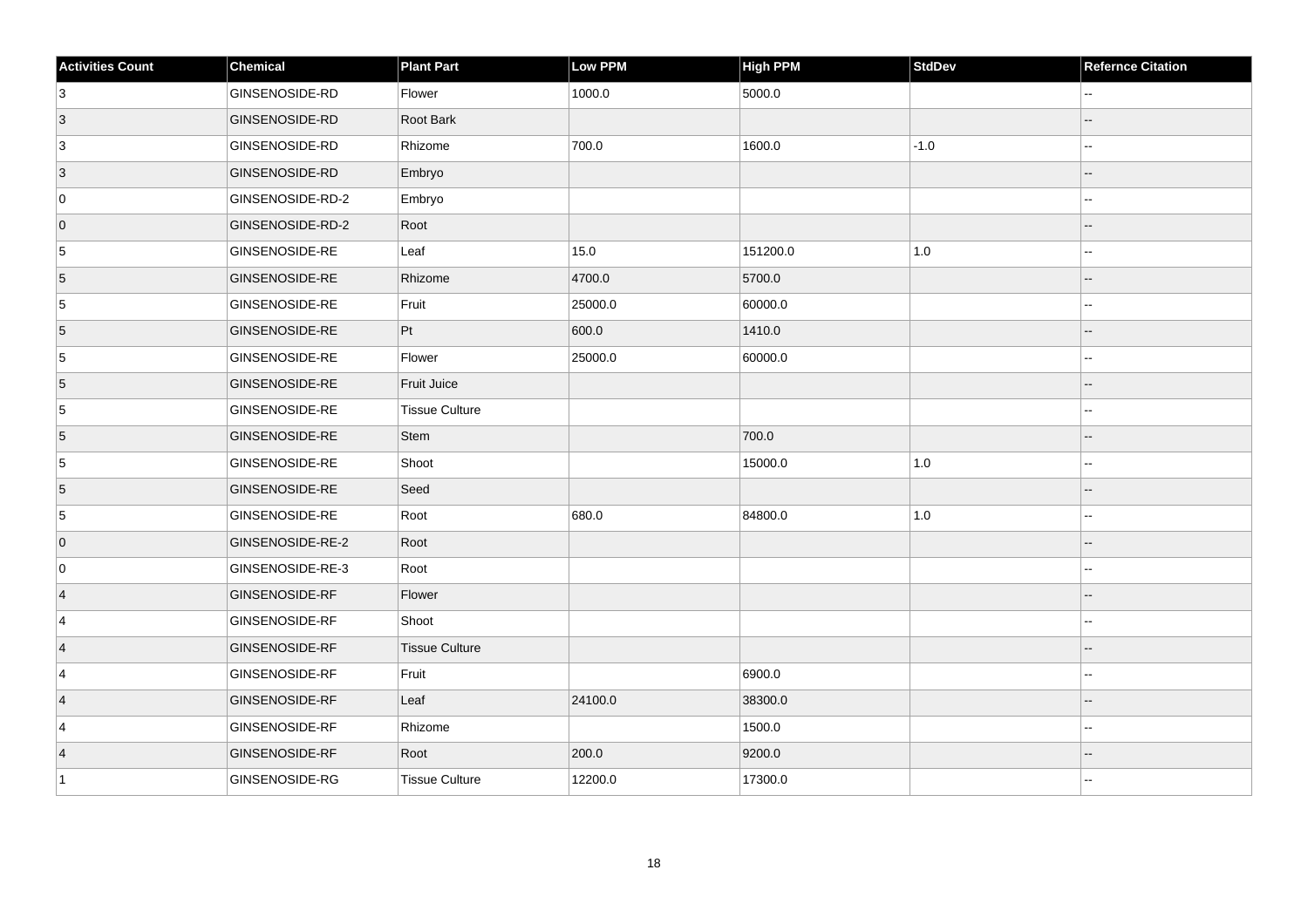| <b>Activities Count</b> | Chemical              | <b>Plant Part</b>     | Low PPM | High PPM | <b>StdDev</b> | <b>Refernce Citation</b> |
|-------------------------|-----------------------|-----------------------|---------|----------|---------------|--------------------------|
| $\vert$ 3               | GINSENOSIDE-RD        | Flower                | 1000.0  | 5000.0   |               |                          |
| 3                       | <b>GINSENOSIDE-RD</b> | Root Bark             |         |          |               |                          |
| $\overline{3}$          | <b>GINSENOSIDE-RD</b> | Rhizome               | 700.0   | 1600.0   | $-1.0$        |                          |
| $ 3\rangle$             | <b>GINSENOSIDE-RD</b> | Embryo                |         |          |               | $-$                      |
| 0                       | GINSENOSIDE-RD-2      | Embryo                |         |          |               |                          |
| $\overline{0}$          | GINSENOSIDE-RD-2      | Root                  |         |          |               |                          |
| $\sqrt{5}$              | <b>GINSENOSIDE-RE</b> | Leaf                  | 15.0    | 151200.0 | $1.0\,$       |                          |
| 5                       | GINSENOSIDE-RE        | Rhizome               | 4700.0  | 5700.0   |               |                          |
| 5                       | <b>GINSENOSIDE-RE</b> | Fruit                 | 25000.0 | 60000.0  |               |                          |
| $\overline{5}$          | GINSENOSIDE-RE        | Pt                    | 600.0   | 1410.0   |               |                          |
| 5                       | <b>GINSENOSIDE-RE</b> | Flower                | 25000.0 | 60000.0  |               | ۵.                       |
| 5                       | GINSENOSIDE-RE        | Fruit Juice           |         |          |               |                          |
| 5                       | <b>GINSENOSIDE-RE</b> | <b>Tissue Culture</b> |         |          |               | --                       |
| 5                       | <b>GINSENOSIDE-RE</b> | Stem                  |         | 700.0    |               | --                       |
| 5                       | <b>GINSENOSIDE-RE</b> | Shoot                 |         | 15000.0  | $1.0\,$       | --                       |
| $\overline{5}$          | GINSENOSIDE-RE        | Seed                  |         |          |               | $-$                      |
| $\overline{5}$          | <b>GINSENOSIDE-RE</b> | Root                  | 680.0   | 84800.0  | $1.0\,$       | ۵.                       |
| $\overline{0}$          | GINSENOSIDE-RE-2      | Root                  |         |          |               |                          |
| 0                       | GINSENOSIDE-RE-3      | Root                  |         |          |               | --                       |
| $\vert$ 4               | <b>GINSENOSIDE-RF</b> | Flower                |         |          |               |                          |
| $\overline{4}$          | GINSENOSIDE-RF        | Shoot                 |         |          |               |                          |
| $\vert$ 4               | GINSENOSIDE-RF        | <b>Tissue Culture</b> |         |          |               |                          |
| 4                       | <b>GINSENOSIDE-RF</b> | Fruit                 |         | 6900.0   |               | Ξ.                       |
| $\vert$ 4               | <b>GINSENOSIDE-RF</b> | Leaf                  | 24100.0 | 38300.0  |               |                          |
| 4                       | GINSENOSIDE-RF        | Rhizome               |         | 1500.0   |               |                          |
| $\vert$ 4               | GINSENOSIDE-RF        | Root                  | 200.0   | 9200.0   |               | $-$                      |
| $\vert$ 1               | <b>GINSENOSIDE-RG</b> | <b>Tissue Culture</b> | 12200.0 | 17300.0  |               | ۵.                       |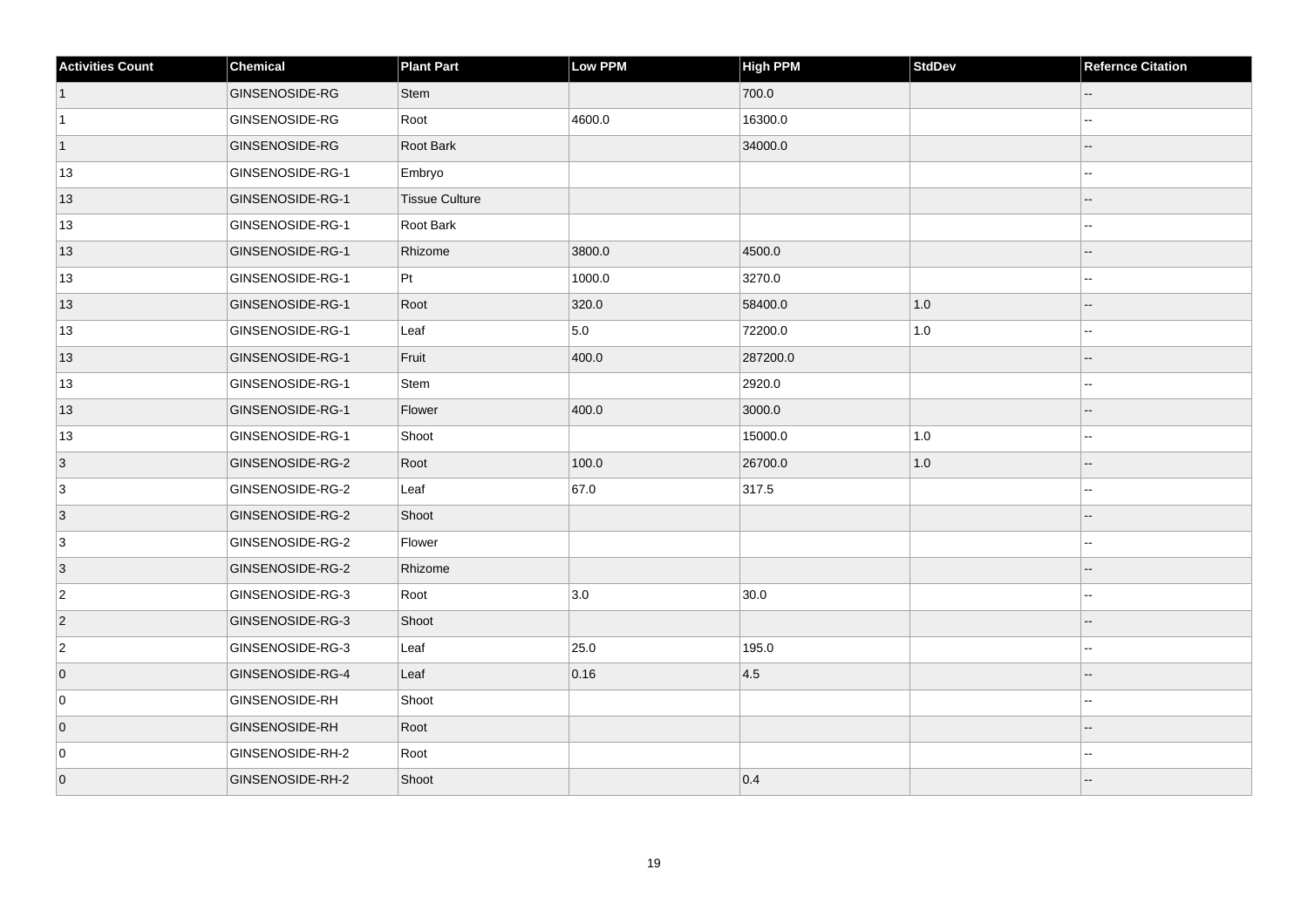| <b>Activities Count</b> | $ $ Chemical          | <b>Plant Part</b>     | Low PPM | High PPM | <b>StdDev</b> | <b>Refernce Citation</b> |
|-------------------------|-----------------------|-----------------------|---------|----------|---------------|--------------------------|
| $\vert$ 1               | GINSENOSIDE-RG        | <b>Stem</b>           |         | 700.0    |               |                          |
| $\vert$ 1               | GINSENOSIDE-RG        | Root                  | 4600.0  | 16300.0  |               | ۵.                       |
| $\vert$ 1               | GINSENOSIDE-RG        | Root Bark             |         | 34000.0  |               |                          |
| 13                      | GINSENOSIDE-RG-1      | Embryo                |         |          |               |                          |
| 13                      | GINSENOSIDE-RG-1      | <b>Tissue Culture</b> |         |          |               |                          |
| 13                      | GINSENOSIDE-RG-1      | Root Bark             |         |          |               |                          |
| 13                      | GINSENOSIDE-RG-1      | Rhizome               | 3800.0  | 4500.0   |               |                          |
| 13                      | GINSENOSIDE-RG-1      | Pt                    | 1000.0  | 3270.0   |               | Ξ.                       |
| 13                      | GINSENOSIDE-RG-1      | Root                  | 320.0   | 58400.0  | 1.0           |                          |
| 13                      | GINSENOSIDE-RG-1      | Leaf                  | 5.0     | 72200.0  | $1.0$         | --                       |
| 13                      | GINSENOSIDE-RG-1      | Fruit                 | 400.0   | 287200.0 |               |                          |
| 13                      | GINSENOSIDE-RG-1      | Stem                  |         | 2920.0   |               |                          |
| 13                      | GINSENOSIDE-RG-1      | Flower                | 400.0   | 3000.0   |               |                          |
| 13                      | GINSENOSIDE-RG-1      | Shoot                 |         | 15000.0  | $1.0\,$       | Ξ.                       |
| $\vert 3 \vert$         | GINSENOSIDE-RG-2      | Root                  | 100.0   | 26700.0  | 1.0           |                          |
| 3                       | GINSENOSIDE-RG-2      | Leaf                  | 67.0    | 317.5    |               | --                       |
| 3                       | GINSENOSIDE-RG-2      | Shoot                 |         |          |               |                          |
| 3                       | GINSENOSIDE-RG-2      | Flower                |         |          |               |                          |
| $\overline{3}$          | GINSENOSIDE-RG-2      | Rhizome               |         |          |               |                          |
| $\overline{2}$          | GINSENOSIDE-RG-3      | Root                  | 3.0     | 30.0     |               | ۵.                       |
| $\vert$ 2               | GINSENOSIDE-RG-3      | Shoot                 |         |          |               |                          |
| $\overline{2}$          | GINSENOSIDE-RG-3      | Leaf                  | 25.0    | 195.0    |               |                          |
| $\overline{0}$          | GINSENOSIDE-RG-4      | Leaf                  | 0.16    | 4.5      |               |                          |
| 0                       | <b>GINSENOSIDE-RH</b> | Shoot                 |         |          |               |                          |
| $\overline{0}$          | <b>GINSENOSIDE-RH</b> | Root                  |         |          |               |                          |
| 0                       | GINSENOSIDE-RH-2      | Root                  |         |          |               |                          |
| $\overline{0}$          | GINSENOSIDE-RH-2      | Shoot                 |         | 0.4      |               |                          |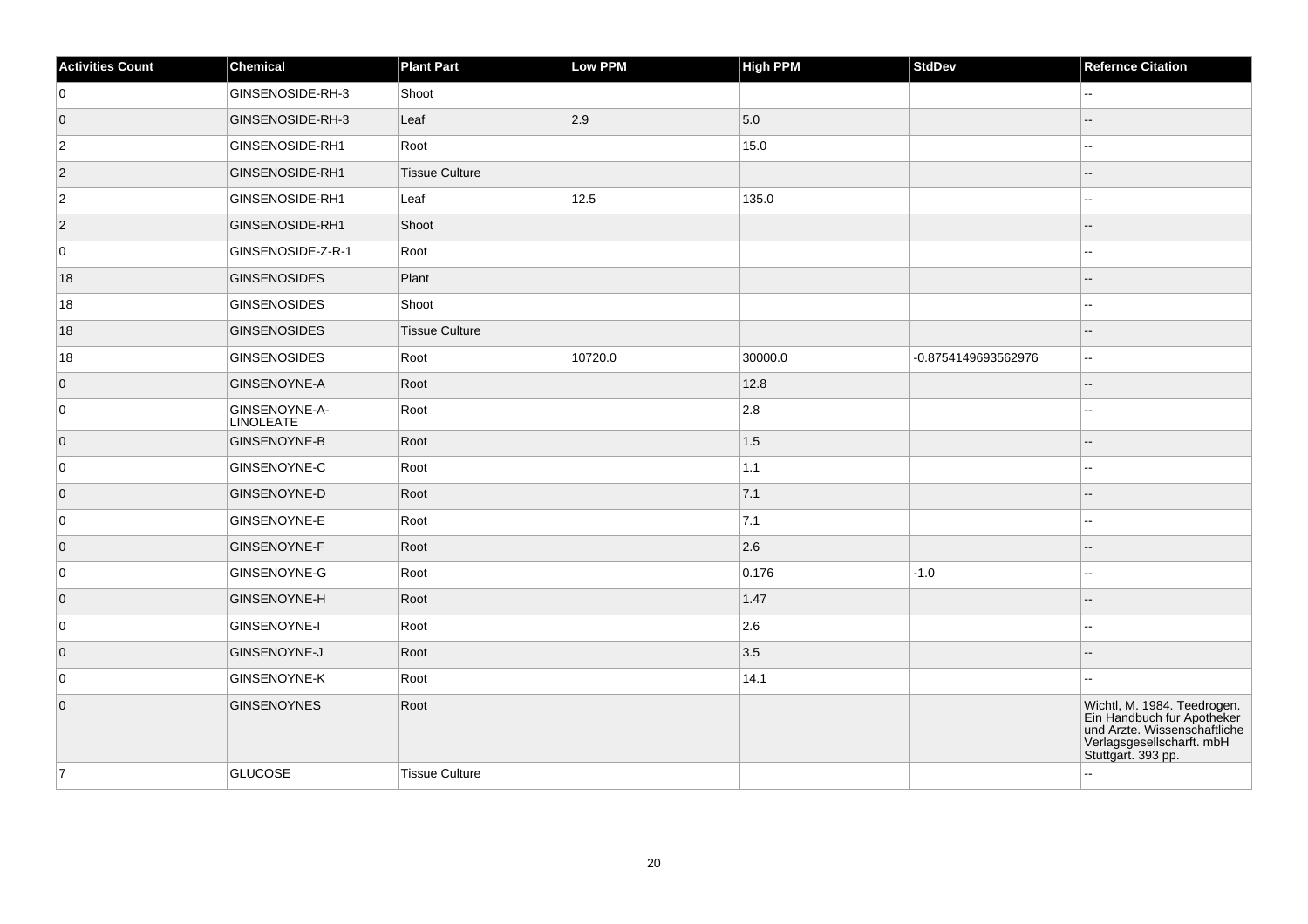| <b>Activities Count</b> | Chemical                   | <b>Plant Part</b>     | Low PPM | <b>High PPM</b> | <b>StdDev</b>       | <b>Refernce Citation</b>                                                                                                                     |
|-------------------------|----------------------------|-----------------------|---------|-----------------|---------------------|----------------------------------------------------------------------------------------------------------------------------------------------|
| 0                       | GINSENOSIDE-RH-3           | Shoot                 |         |                 |                     | --                                                                                                                                           |
| $\overline{0}$          | GINSENOSIDE-RH-3           | Leaf                  | 2.9     | 5.0             |                     |                                                                                                                                              |
| $\overline{2}$          | GINSENOSIDE-RH1            | Root                  |         | 15.0            |                     | ц,                                                                                                                                           |
| $ 2\rangle$             | GINSENOSIDE-RH1            | <b>Tissue Culture</b> |         |                 |                     |                                                                                                                                              |
| $\overline{2}$          | GINSENOSIDE-RH1            | Leaf                  | 12.5    | 135.0           |                     |                                                                                                                                              |
| $ 2\rangle$             | GINSENOSIDE-RH1            | Shoot                 |         |                 |                     |                                                                                                                                              |
| 0                       | GINSENOSIDE-Z-R-1          | Root                  |         |                 |                     |                                                                                                                                              |
| 18                      | GINSENOSIDES               | Plant                 |         |                 |                     |                                                                                                                                              |
| 18                      | GINSENOSIDES               | Shoot                 |         |                 |                     | ц,                                                                                                                                           |
| 18                      | GINSENOSIDES               | <b>Tissue Culture</b> |         |                 |                     | --                                                                                                                                           |
| 18                      | GINSENOSIDES               | Root                  | 10720.0 | 30000.0         | -0.8754149693562976 | ۵.                                                                                                                                           |
| $\overline{0}$          | GINSENOYNE-A               | Root                  |         | 12.8            |                     |                                                                                                                                              |
| 0                       | GINSENOYNE-A-<br>LINOLEATE | Root                  |         | 2.8             |                     | $\overline{a}$                                                                                                                               |
| $\overline{0}$          | GINSENOYNE-B               | Root                  |         | 1.5             |                     |                                                                                                                                              |
| 0                       | GINSENOYNE-C               | Root                  |         | 1.1             |                     |                                                                                                                                              |
| $\overline{0}$          | GINSENOYNE-D               | Root                  |         | 7.1             |                     |                                                                                                                                              |
| 0                       | <b>GINSENOYNE-E</b>        | Root                  |         | 7.1             |                     |                                                                                                                                              |
| $\overline{0}$          | GINSENOYNE-F               | Root                  |         | 2.6             |                     |                                                                                                                                              |
| 0                       | GINSENOYNE-G               | Root                  |         | 0.176           | $-1.0$              |                                                                                                                                              |
| $\overline{0}$          | GINSENOYNE-H               | Root                  |         | 1.47            |                     |                                                                                                                                              |
| 0                       | GINSENOYNE-I               | Root                  |         | 2.6             |                     | ц,                                                                                                                                           |
| $\overline{0}$          | GINSENOYNE-J               | Root                  |         | 3.5             |                     |                                                                                                                                              |
| 0                       | <b>GINSENOYNE-K</b>        | Root                  |         | 14.1            |                     | --                                                                                                                                           |
| $\overline{0}$          | <b>GINSENOYNES</b>         | Root                  |         |                 |                     | Wichtl, M. 1984. Teedrogen.<br>Ein Handbuch fur Apotheker<br>und Arzte. Wissenschaftliche<br>Verlagsgesellscharft. mbH<br>Stuttgart. 393 pp. |
| 7                       | <b>GLUCOSE</b>             | <b>Tissue Culture</b> |         |                 |                     | ż,                                                                                                                                           |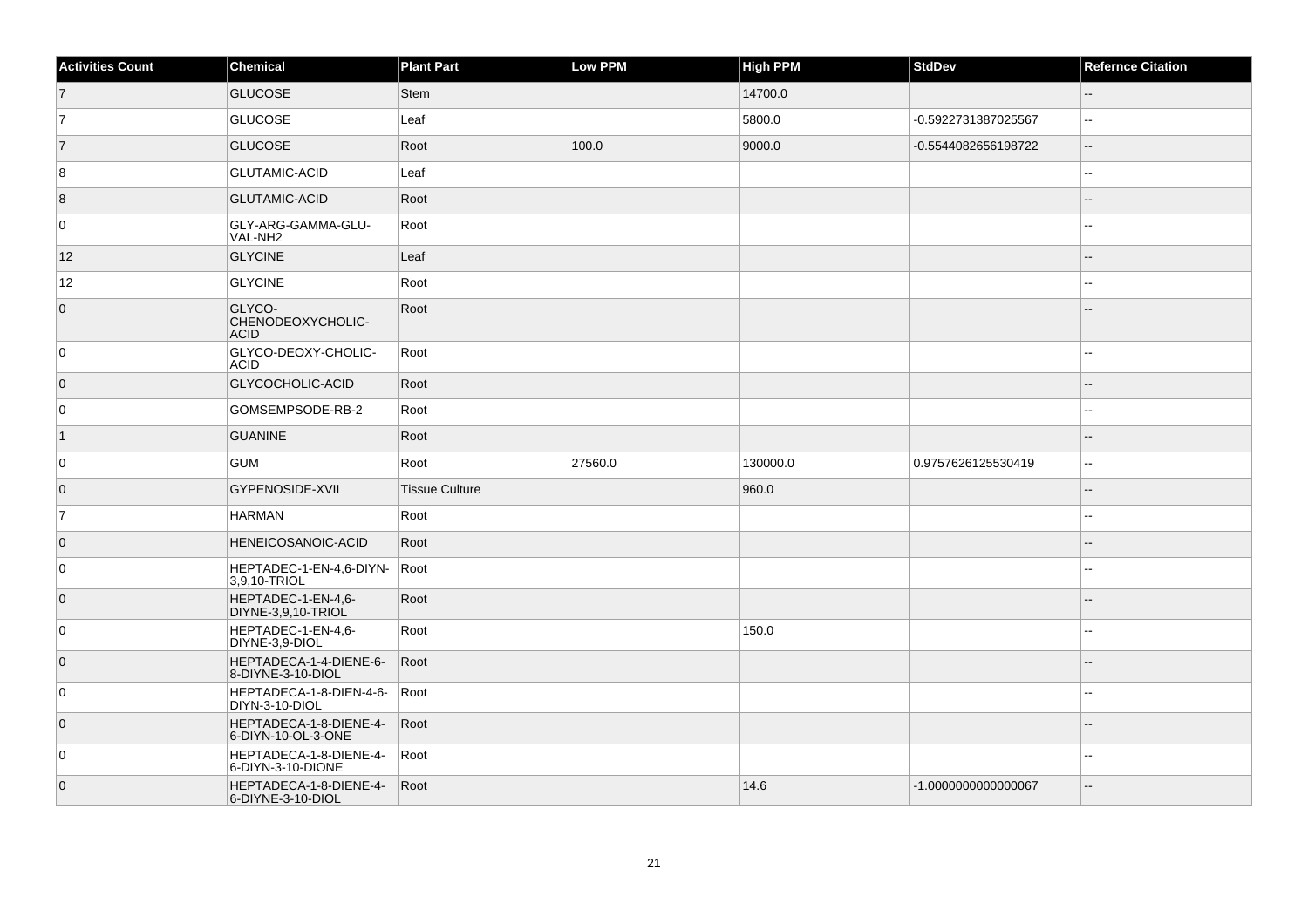| <b>Activities Count</b> | Chemical                                     | <b>Plant Part</b>     | Low PPM | <b>High PPM</b> | <b>StdDev</b>       | <b>Refernce Citation</b> |
|-------------------------|----------------------------------------------|-----------------------|---------|-----------------|---------------------|--------------------------|
| $\overline{7}$          | <b>GLUCOSE</b>                               | <b>Stem</b>           |         | 14700.0         |                     | $-$                      |
| 7                       | <b>GLUCOSE</b>                               | Leaf                  |         | 5800.0          | -0.5922731387025567 | Ξ.                       |
| $\overline{7}$          | <b>GLUCOSE</b>                               | Root                  | 100.0   | 9000.0          | -0.5544082656198722 | $\overline{\phantom{a}}$ |
| 8                       | <b>GLUTAMIC-ACID</b>                         | Leaf                  |         |                 |                     |                          |
| 8                       | <b>GLUTAMIC-ACID</b>                         | Root                  |         |                 |                     |                          |
| 0                       | GLY-ARG-GAMMA-GLU-<br>VAL-NH2                | Root                  |         |                 |                     |                          |
| 12                      | <b>GLYCINE</b>                               | Leaf                  |         |                 |                     | --                       |
| 12                      | <b>GLYCINE</b>                               | Root                  |         |                 |                     |                          |
| $\overline{0}$          | GLYCO-<br>CHENODEOXYCHOLIC-<br><b>ACID</b>   | Root                  |         |                 |                     |                          |
| 0                       | GLYCO-DEOXY-CHOLIC-<br><b>ACID</b>           | Root                  |         |                 |                     | $\overline{a}$           |
| $\overline{0}$          | GLYCOCHOLIC-ACID                             | Root                  |         |                 |                     |                          |
| 0                       | GOMSEMPSODE-RB-2                             | Root                  |         |                 |                     | $\overline{a}$           |
| $\vert$ 1               | <b>GUANINE</b>                               | Root                  |         |                 |                     | Ξ.                       |
| 0                       | <b>GUM</b>                                   | Root                  | 27560.0 | 130000.0        | 0.9757626125530419  | ۵.                       |
| $\overline{0}$          | <b>GYPENOSIDE-XVII</b>                       | <b>Tissue Culture</b> |         | 960.0           |                     |                          |
| 7                       | HARMAN                                       | Root                  |         |                 |                     |                          |
| $\overline{0}$          | <b>HENEICOSANOIC-ACID</b>                    | Root                  |         |                 |                     |                          |
| 0                       | HEPTADEC-1-EN-4,6-DIYN-<br>3,9,10-TRIOL      | Root                  |         |                 |                     |                          |
| $\overline{0}$          | HEPTADEC-1-EN-4,6-<br>DIYNE-3,9,10-TRIOL     | Root                  |         |                 |                     | --                       |
| 0                       | HEPTADEC-1-EN-4,6-<br>DIYNE-3,9-DIOL         | Root                  |         | 150.0           |                     |                          |
| 0                       | HEPTADECA-1-4-DIENE-6-<br>8-DIYNE-3-10-DIOL  | Root                  |         |                 |                     |                          |
| 0                       | HEPTADECA-1-8-DIEN-4-6-<br>DIYN-3-10-DIOL    | Root                  |         |                 |                     | ۵۵                       |
| $\overline{0}$          | HEPTADECA-1-8-DIENE-4-<br>6-DIYN-10-OL-3-ONE | Root                  |         |                 |                     |                          |
| $\mathbf 0$             | HEPTADECA-1-8-DIENE-4-<br>6-DIYN-3-10-DIONE  | Root                  |         |                 |                     | --                       |
| $\overline{0}$          | HEPTADECA-1-8-DIENE-4-<br>6-DIYNE-3-10-DIOL  | Root                  |         | 14.6            | -1.0000000000000067 | $\overline{a}$           |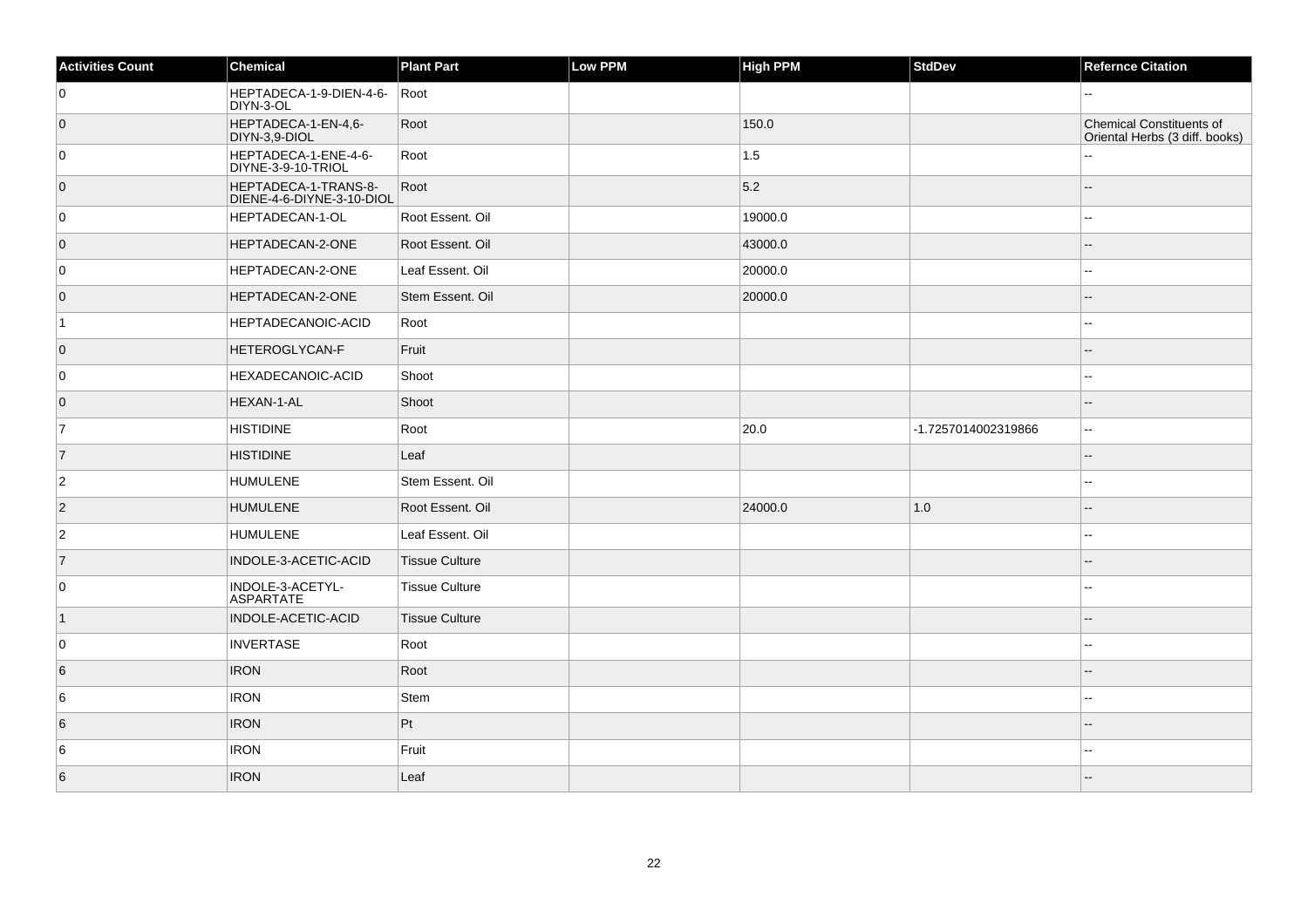| <b>Activities Count</b> | Chemical                                          | <b>Plant Part</b>     | Low PPM | <b>High PPM</b> | StdDev              | <b>Refernce Citation</b>                                          |
|-------------------------|---------------------------------------------------|-----------------------|---------|-----------------|---------------------|-------------------------------------------------------------------|
| $\overline{0}$          | HEPTADECA-1-9-DIEN-4-6-<br>DIYN-3-OL              | Root                  |         |                 |                     | ۵.                                                                |
| $\overline{0}$          | HEPTADECA-1-EN-4,6-<br>DIYN-3,9-DIOL              | Root                  |         | 150.0           |                     | <b>Chemical Constituents of</b><br>Oriental Herbs (3 diff. books) |
| $\overline{0}$          | HEPTADECA-1-ENE-4-6-<br>DIYNE-3-9-10-TRIOL        | Root                  |         | 1.5             |                     |                                                                   |
| $\overline{0}$          | HEPTADECA-1-TRANS-8-<br>DIENE-4-6-DIYNE-3-10-DIOL | Root                  |         | 5.2             |                     |                                                                   |
| $\overline{0}$          | HEPTADECAN-1-OL                                   | Root Essent. Oil      |         | 19000.0         |                     | $\overline{a}$                                                    |
| $\overline{0}$          | HEPTADECAN-2-ONE                                  | Root Essent. Oil      |         | 43000.0         |                     |                                                                   |
| $\overline{0}$          | HEPTADECAN-2-ONE                                  | Leaf Essent. Oil      |         | 20000.0         |                     | --                                                                |
| $\overline{0}$          | HEPTADECAN-2-ONE                                  | Stem Essent. Oil      |         | 20000.0         |                     |                                                                   |
| $\vert$ 1               | HEPTADECANOIC-ACID                                | Root                  |         |                 |                     | --                                                                |
| $\overline{0}$          | HETEROGLYCAN-F                                    | Fruit                 |         |                 |                     | --                                                                |
| $\overline{0}$          | HEXADECANOIC-ACID                                 | Shoot                 |         |                 |                     | --                                                                |
| $\overline{0}$          | HEXAN-1-AL                                        | Shoot                 |         |                 |                     | --                                                                |
| $\overline{7}$          | <b>HISTIDINE</b>                                  | Root                  |         | 20.0            | -1.7257014002319866 | $\overline{a}$                                                    |
| $\vert$ 7               | <b>HISTIDINE</b>                                  | Leaf                  |         |                 |                     |                                                                   |
| $\overline{c}$          | HUMULENE                                          | Stem Essent. Oil      |         |                 |                     | --                                                                |
| $ 2\rangle$             | <b>HUMULENE</b>                                   | Root Essent. Oil      |         | 24000.0         | 1.0                 |                                                                   |
| $\overline{c}$          | <b>HUMULENE</b>                                   | Leaf Essent. Oil      |         |                 |                     |                                                                   |
| $\overline{7}$          | INDOLE-3-ACETIC-ACID                              | Tissue Culture        |         |                 |                     |                                                                   |
| 0                       | INDOLE-3-ACETYL-<br>ASPARTATE                     | <b>Tissue Culture</b> |         |                 |                     | ٠.                                                                |
| $\vert$ 1               | INDOLE-ACETIC-ACID                                | Tissue Culture        |         |                 |                     |                                                                   |
| $\overline{0}$          | <b>INVERTASE</b>                                  | Root                  |         |                 |                     |                                                                   |
| 6                       | <b>IRON</b>                                       | Root                  |         |                 |                     |                                                                   |
| 6                       | <b>IRON</b>                                       | Stem                  |         |                 |                     |                                                                   |
| 6                       | <b>IRON</b>                                       | Pt                    |         |                 |                     |                                                                   |
| 6                       | <b>IRON</b>                                       | Fruit                 |         |                 |                     | --                                                                |
| 6                       | <b>IRON</b>                                       | Leaf                  |         |                 |                     |                                                                   |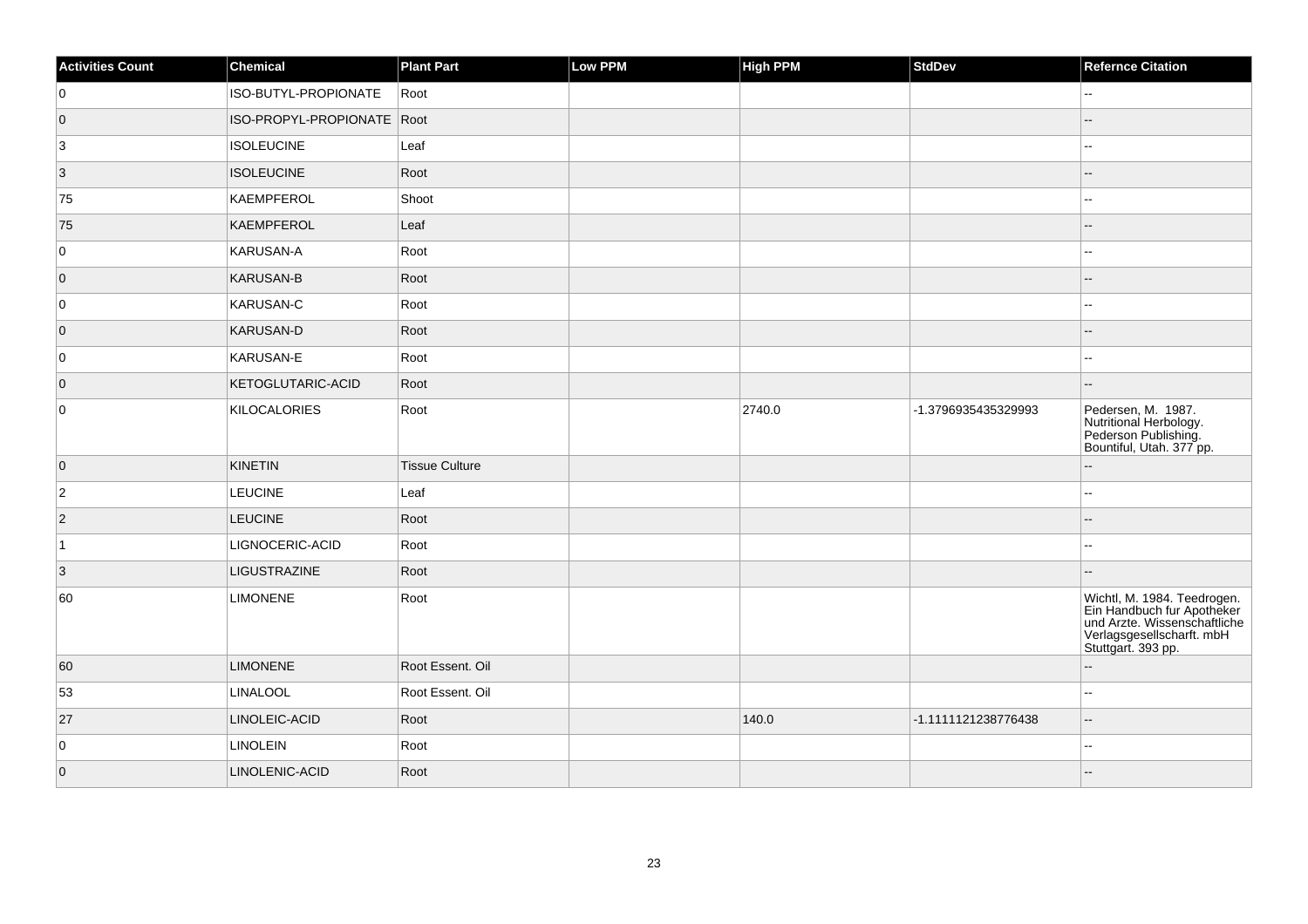| <b>Activities Count</b> | Chemical                   | <b>Plant Part</b>     | Low PPM | <b>High PPM</b> | <b>StdDev</b>       | <b>Refernce Citation</b>                                                                                                                     |
|-------------------------|----------------------------|-----------------------|---------|-----------------|---------------------|----------------------------------------------------------------------------------------------------------------------------------------------|
| 0                       | ISO-BUTYL-PROPIONATE       | Root                  |         |                 |                     | ۵۵                                                                                                                                           |
| $\overline{0}$          | ISO-PROPYL-PROPIONATE Root |                       |         |                 |                     |                                                                                                                                              |
| $\overline{3}$          | <b>ISOLEUCINE</b>          | Leaf                  |         |                 |                     | ц,                                                                                                                                           |
| $ 3\rangle$             | <b>ISOLEUCINE</b>          | Root                  |         |                 |                     |                                                                                                                                              |
| 75                      | KAEMPFEROL                 | Shoot                 |         |                 |                     | $\sim$                                                                                                                                       |
| 75                      | KAEMPFEROL                 | Leaf                  |         |                 |                     |                                                                                                                                              |
| 0                       | KARUSAN-A                  | Root                  |         |                 |                     | ۵۵                                                                                                                                           |
| $\overline{0}$          | KARUSAN-B                  | Root                  |         |                 |                     |                                                                                                                                              |
| 0                       | KARUSAN-C                  | Root                  |         |                 |                     | Ξ.                                                                                                                                           |
| $\overline{0}$          | KARUSAN-D                  | Root                  |         |                 |                     |                                                                                                                                              |
| 0                       | KARUSAN-E                  | Root                  |         |                 |                     |                                                                                                                                              |
| $\overline{0}$          | KETOGLUTARIC-ACID          | Root                  |         |                 |                     | ц,                                                                                                                                           |
| 0                       | KILOCALORIES               | Root                  |         | 2740.0          | -1.3796935435329993 | Pedersen, M. 1987.<br>Nutritional Herbology.<br>Pederson Publishing.<br>Bountiful, Utah. 377 pp.                                             |
| $\overline{0}$          | KINETIN                    | <b>Tissue Culture</b> |         |                 |                     | ц,                                                                                                                                           |
| $\overline{2}$          | <b>LEUCINE</b>             | Leaf                  |         |                 |                     | ۵.                                                                                                                                           |
| $\overline{2}$          | <b>LEUCINE</b>             | Root                  |         |                 |                     |                                                                                                                                              |
| $\vert$ 1               | LIGNOCERIC-ACID            | Root                  |         |                 |                     | ۵۵                                                                                                                                           |
| $\overline{3}$          | LIGUSTRAZINE               | Root                  |         |                 |                     |                                                                                                                                              |
| 60                      | <b>LIMONENE</b>            | Root                  |         |                 |                     | Wichtl, M. 1984. Teedrogen.<br>Ein Handbuch fur Apotheker<br>und Arzte. Wissenschaftliche<br>Verlagsgesellscharft. mbH<br>Stuttgart. 393 pp. |
| 60                      | <b>LIMONENE</b>            | Root Essent. Oil      |         |                 |                     | ц,                                                                                                                                           |
| 53                      | <b>LINALOOL</b>            | Root Essent. Oil      |         |                 |                     | 4                                                                                                                                            |
| 27                      | LINOLEIC-ACID              | Root                  |         | 140.0           | -1.1111121238776438 |                                                                                                                                              |
| 0                       | <b>LINOLEIN</b>            | Root                  |         |                 |                     | Ξ.                                                                                                                                           |
| $\overline{0}$          | LINOLENIC-ACID             | Root                  |         |                 |                     |                                                                                                                                              |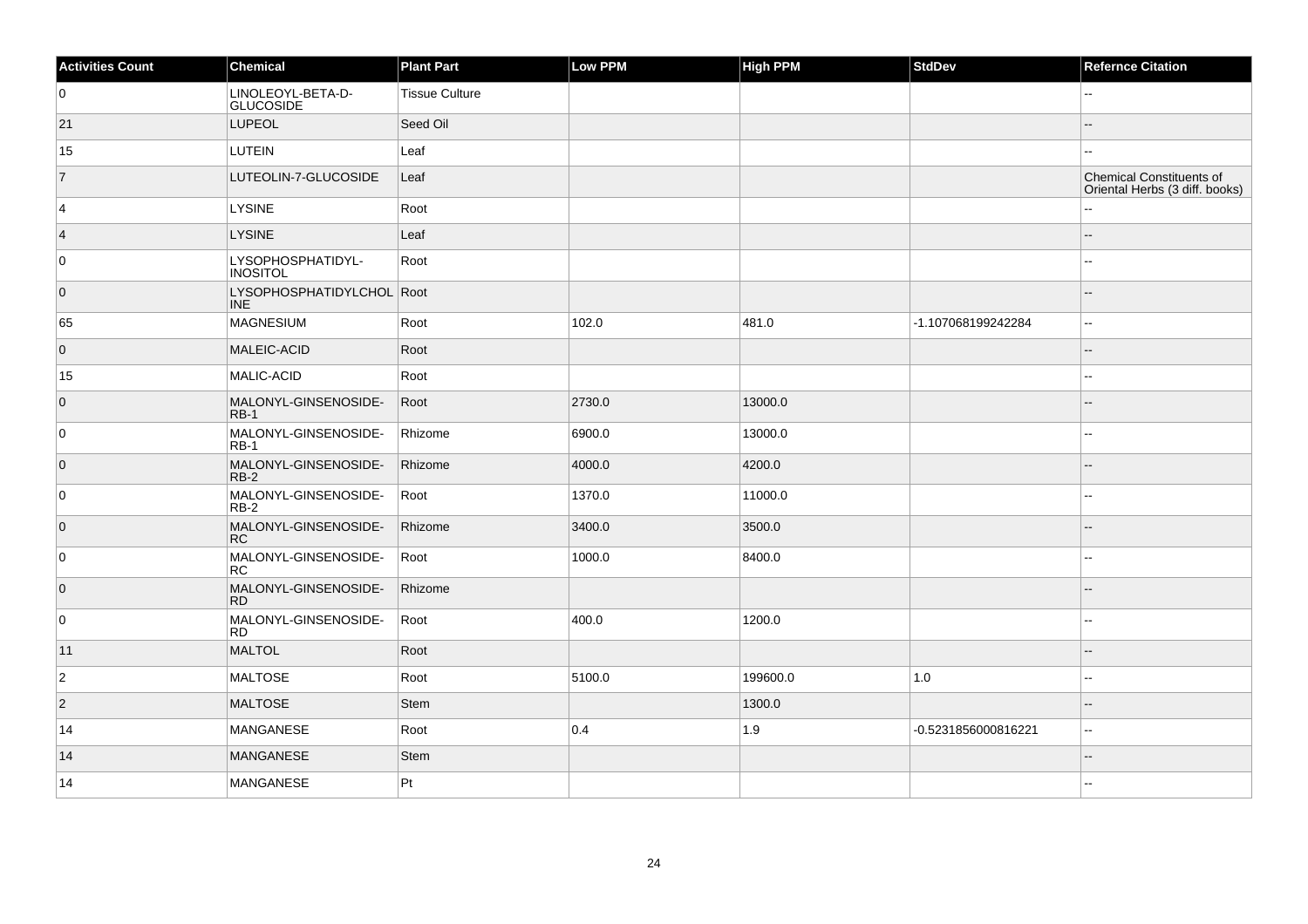| <b>Activities Count</b> | Chemical                                | <b>Plant Part</b>     | Low PPM | <b>High PPM</b> | StdDev              | <b>Refernce Citation</b>                                   |
|-------------------------|-----------------------------------------|-----------------------|---------|-----------------|---------------------|------------------------------------------------------------|
| 0                       | LINOLEOYL-BETA-D-<br><b>GLUCOSIDE</b>   | <b>Tissue Culture</b> |         |                 |                     |                                                            |
| 21                      | LUPEOL                                  | Seed Oil              |         |                 |                     |                                                            |
| 15                      | LUTEIN                                  | Leaf                  |         |                 |                     |                                                            |
| $\overline{7}$          | LUTEOLIN-7-GLUCOSIDE                    | Leaf                  |         |                 |                     | Chemical Constituents of<br>Oriental Herbs (3 diff. books) |
| $\overline{4}$          | <b>LYSINE</b>                           | Root                  |         |                 |                     |                                                            |
| $\vert 4 \vert$         | <b>LYSINE</b>                           | Leaf                  |         |                 |                     | --                                                         |
| 0                       | LYSOPHOSPHATIDYL-<br><b>INOSITOL</b>    | Root                  |         |                 |                     |                                                            |
| $\overline{0}$          | LYSOPHOSPHATIDYLCHOL Root<br><b>INE</b> |                       |         |                 |                     |                                                            |
| 65                      | <b>MAGNESIUM</b>                        | Root                  | 102.0   | 481.0           | -1.107068199242284  | Щ,                                                         |
| $\overline{0}$          | MALEIC-ACID                             | Root                  |         |                 |                     |                                                            |
| 15                      | MALIC-ACID                              | Root                  |         |                 |                     | $-1$                                                       |
| $\overline{0}$          | MALONYL-GINSENOSIDE-<br>$RB-1$          | Root                  | 2730.0  | 13000.0         |                     |                                                            |
| 0                       | MALONYL-GINSENOSIDE-<br>$RB-1$          | Rhizome               | 6900.0  | 13000.0         |                     | --                                                         |
| $\overline{0}$          | MALONYL-GINSENOSIDE-<br>$RB-2$          | Rhizome               | 4000.0  | 4200.0          |                     |                                                            |
| 0                       | MALONYL-GINSENOSIDE-<br>RB-2            | Root                  | 1370.0  | 11000.0         |                     | 44                                                         |
| $\overline{0}$          | MALONYL-GINSENOSIDE-<br><b>RC</b>       | Rhizome               | 3400.0  | 3500.0          |                     |                                                            |
| $\overline{0}$          | MALONYL-GINSENOSIDE-<br>RC.             | Root                  | 1000.0  | 8400.0          |                     |                                                            |
| $\overline{0}$          | MALONYL-GINSENOSIDE-<br><b>RD</b>       | Rhizome               |         |                 |                     |                                                            |
| $\overline{0}$          | MALONYL-GINSENOSIDE-<br><b>RD</b>       | Root                  | 400.0   | 1200.0          |                     | ۵.                                                         |
| 11                      | <b>MALTOL</b>                           | Root                  |         |                 |                     |                                                            |
| $\overline{2}$          | <b>MALTOSE</b>                          | Root                  | 5100.0  | 199600.0        | 1.0                 | --                                                         |
| $\overline{2}$          | <b>MALTOSE</b>                          | Stem                  |         | 1300.0          |                     | $-$                                                        |
| 14                      | MANGANESE                               | Root                  | 0.4     | 1.9             | -0.5231856000816221 |                                                            |
| 14                      | <b>MANGANESE</b>                        | <b>Stem</b>           |         |                 |                     |                                                            |
| 14                      | MANGANESE                               | Pt                    |         |                 |                     | ц.                                                         |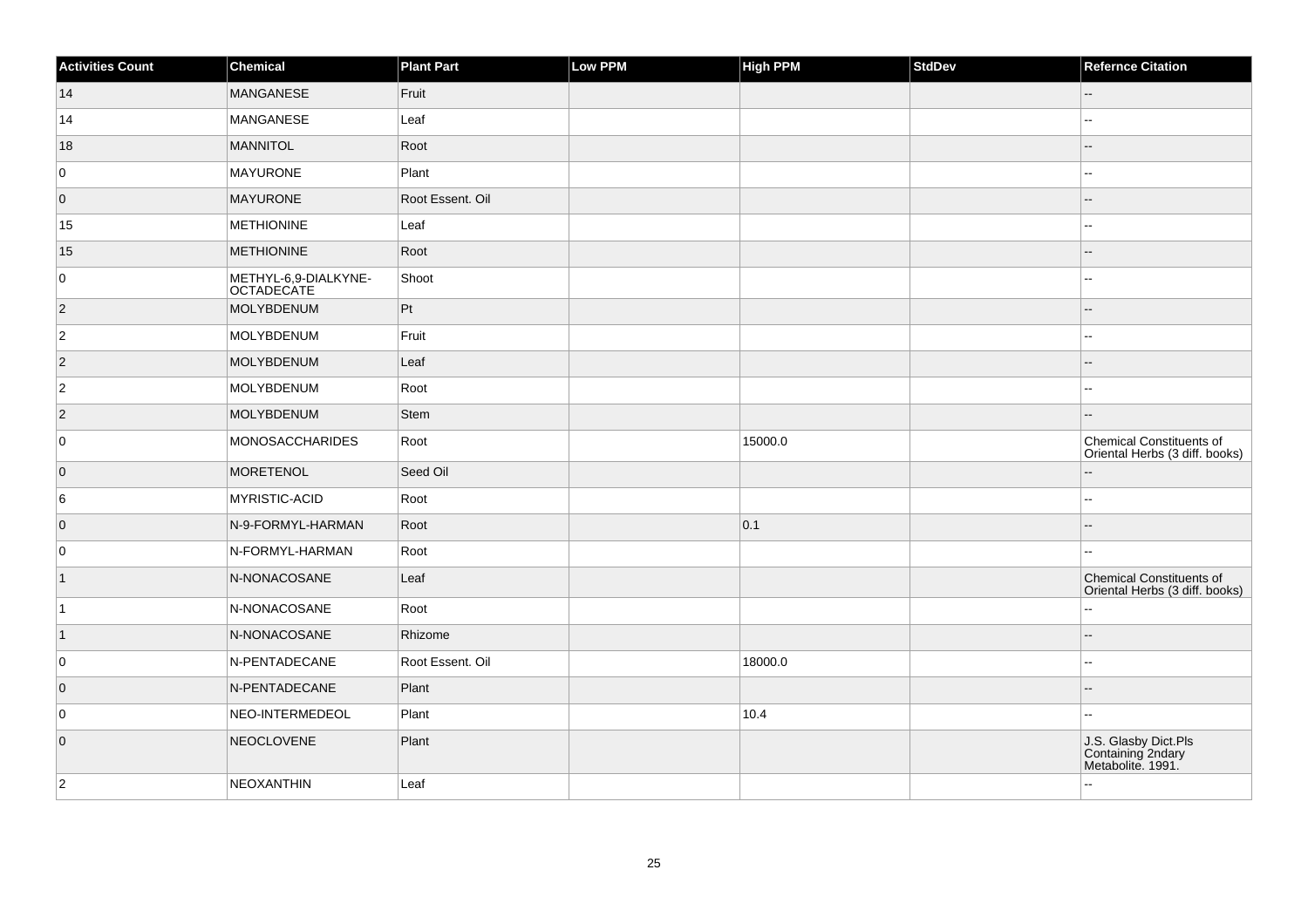| <b>Activities Count</b> | Chemical                                  | <b>Plant Part</b> | Low PPM | <b>High PPM</b> | StdDev | <b>Refernce Citation</b>                                       |
|-------------------------|-------------------------------------------|-------------------|---------|-----------------|--------|----------------------------------------------------------------|
| 14                      | MANGANESE                                 | Fruit             |         |                 |        |                                                                |
| 14                      | MANGANESE                                 | Leaf              |         |                 |        | шш.                                                            |
| 18                      | MANNITOL                                  | Root              |         |                 |        |                                                                |
| 0                       | MAYURONE                                  | Plant             |         |                 |        | --                                                             |
| $\overline{0}$          | <b>MAYURONE</b>                           | Root Essent. Oil  |         |                 |        | ۵.                                                             |
| 15                      | <b>METHIONINE</b>                         | Leaf              |         |                 |        | 4                                                              |
| 15                      | <b>METHIONINE</b>                         | Root              |         |                 |        | $-$                                                            |
| 0                       | METHYL-6,9-DIALKYNE-<br><b>OCTADECATE</b> | Shoot             |         |                 |        | ÷÷.                                                            |
| $ 2\rangle$             | MOLYBDENUM                                | Pt                |         |                 |        |                                                                |
| $ 2\rangle$             | <b>MOLYBDENUM</b>                         | Fruit             |         |                 |        |                                                                |
| $\overline{2}$          | <b>MOLYBDENUM</b>                         | Leaf              |         |                 |        | $- -$                                                          |
| $ 2\rangle$             | MOLYBDENUM                                | Root              |         |                 |        | ۵.                                                             |
| $\vert$ 2               | <b>MOLYBDENUM</b>                         | <b>Stem</b>       |         |                 |        | --                                                             |
| 0                       | <b>MONOSACCHARIDES</b>                    | Root              |         | 15000.0         |        | Chemical Constituents of<br>Oriental Herbs (3 diff. books)     |
| $\overline{0}$          | <b>MORETENOL</b>                          | Seed Oil          |         |                 |        | --                                                             |
| 6                       | MYRISTIC-ACID                             | Root              |         |                 |        | ۵.                                                             |
| $\overline{0}$          | N-9-FORMYL-HARMAN                         | Root              |         | 0.1             |        |                                                                |
| 0                       | N-FORMYL-HARMAN                           | Root              |         |                 |        |                                                                |
| $\vert$ 1               | N-NONACOSANE                              | Leaf              |         |                 |        | Chemical Constituents of<br>Oriental Herbs (3 diff. books)     |
| $\overline{1}$          | N-NONACOSANE                              | Root              |         |                 |        | Щ,                                                             |
| $\vert$ 1               | N-NONACOSANE                              | Rhizome           |         |                 |        | $-$                                                            |
| 0                       | N-PENTADECANE                             | Root Essent. Oil  |         | 18000.0         |        | $\overline{a}$                                                 |
| 0                       | N-PENTADECANE                             | Plant             |         |                 |        |                                                                |
| 0                       | NEO-INTERMEDEOL                           | Plant             |         | 10.4            |        | ۵.                                                             |
| $\overline{0}$          | <b>NEOCLOVENE</b>                         | Plant             |         |                 |        | J.S. Glasby Dict.Pls<br>Containing 2ndary<br>Metabolite. 1991. |
| $\vert$ 2               | <b>NEOXANTHIN</b>                         | Leaf              |         |                 |        | ä.                                                             |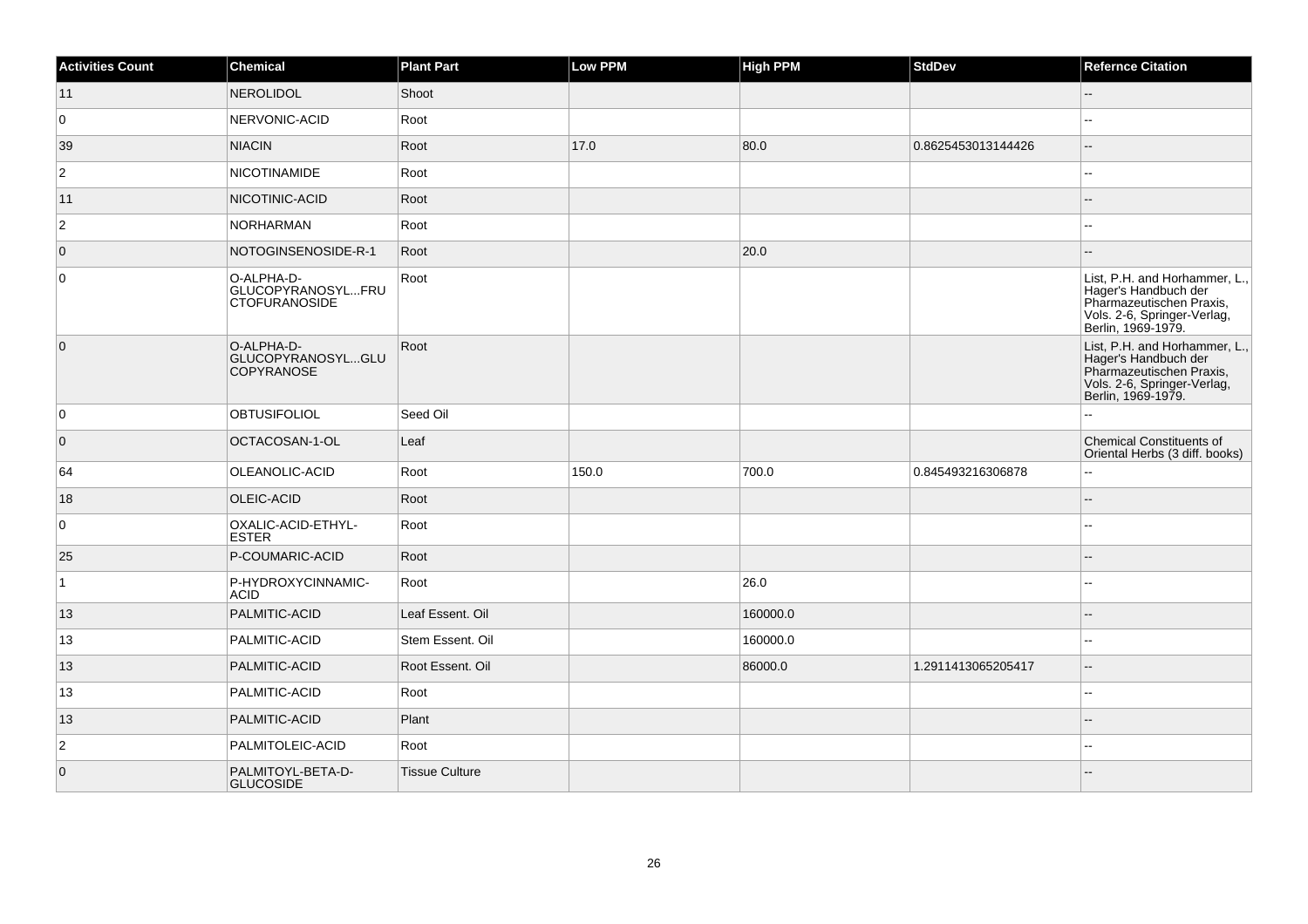| <b>Activities Count</b> | Chemical                                                | <b>Plant Part</b>     | Low PPM | <b>High PPM</b> | <b>StdDev</b>      | <b>Refernce Citation</b>                                                                                                               |
|-------------------------|---------------------------------------------------------|-----------------------|---------|-----------------|--------------------|----------------------------------------------------------------------------------------------------------------------------------------|
| 11                      | <b>NEROLIDOL</b>                                        | Shoot                 |         |                 |                    | $-$                                                                                                                                    |
| 0                       | NERVONIC-ACID                                           | Root                  |         |                 |                    |                                                                                                                                        |
| 39                      | <b>NIACIN</b>                                           | Root                  | 17.0    | 80.0            | 0.8625453013144426 | ш,                                                                                                                                     |
| $\overline{2}$          | <b>NICOTINAMIDE</b>                                     | Root                  |         |                 |                    | --                                                                                                                                     |
| 11                      | NICOTINIC-ACID                                          | Root                  |         |                 |                    | --                                                                                                                                     |
| $\overline{2}$          | <b>NORHARMAN</b>                                        | Root                  |         |                 |                    |                                                                                                                                        |
| $\overline{0}$          | NOTOGINSENOSIDE-R-1                                     | Root                  |         | 20.0            |                    |                                                                                                                                        |
| $\overline{0}$          | O-ALPHA-D-<br>GLUCOPYRANOSYLFRU<br><b>CTOFURANOSIDE</b> | Root                  |         |                 |                    | List, P.H. and Horhammer, L.,<br>Hager's Handbuch der<br>Pharmazeutischen Praxis,<br>Vols. 2-6, Springer-Verlag,<br>Berlin, 1969-1979. |
| $\overline{0}$          | O-ALPHA-D-<br>GLUCOPYRANOSYLGLU<br><b>COPYRANOSE</b>    | Root                  |         |                 |                    | List, P.H. and Horhammer, L.,<br>Hager's Handbuch der<br>Pharmazeutischen Praxis.<br>Vols. 2-6, Springer-Verlag,<br>Berlin, 1969-1979. |
| 0                       | <b>OBTUSIFOLIOL</b>                                     | Seed Oil              |         |                 |                    | Щ,                                                                                                                                     |
| $\overline{0}$          | OCTACOSAN-1-OL                                          | Leaf                  |         |                 |                    | <b>Chemical Constituents of</b><br>Oriental Herbs (3 diff. books)                                                                      |
| 64                      | OLEANOLIC-ACID                                          | Root                  | 150.0   | 700.0           | 0.845493216306878  | ă.                                                                                                                                     |
| 18                      | OLEIC-ACID                                              | Root                  |         |                 |                    |                                                                                                                                        |
| $\overline{0}$          | OXALIC-ACID-ETHYL-<br><b>ESTER</b>                      | Root                  |         |                 |                    | --                                                                                                                                     |
| 25                      | P-COUMARIC-ACID                                         | Root                  |         |                 |                    |                                                                                                                                        |
| $\mathbf{1}$            | P-HYDROXYCINNAMIC-<br><b>ACID</b>                       | Root                  |         | 26.0            |                    | ۵.                                                                                                                                     |
| 13                      | PALMITIC-ACID                                           | Leaf Essent. Oil      |         | 160000.0        |                    | --                                                                                                                                     |
| 13                      | PALMITIC-ACID                                           | Stem Essent. Oil      |         | 160000.0        |                    | шш.                                                                                                                                    |
| 13                      | PALMITIC-ACID                                           | Root Essent. Oil      |         | 86000.0         | 1.2911413065205417 | $\overline{a}$                                                                                                                         |
| 13                      | PALMITIC-ACID                                           | Root                  |         |                 |                    | $-1$                                                                                                                                   |
| 13                      | PALMITIC-ACID                                           | Plant                 |         |                 |                    | $\overline{a}$                                                                                                                         |
| $\overline{2}$          | PALMITOLEIC-ACID                                        | Root                  |         |                 |                    | $\sim$ $\sim$                                                                                                                          |
| $\overline{0}$          | PALMITOYL-BETA-D-<br><b>GLUCOSIDE</b>                   | <b>Tissue Culture</b> |         |                 |                    |                                                                                                                                        |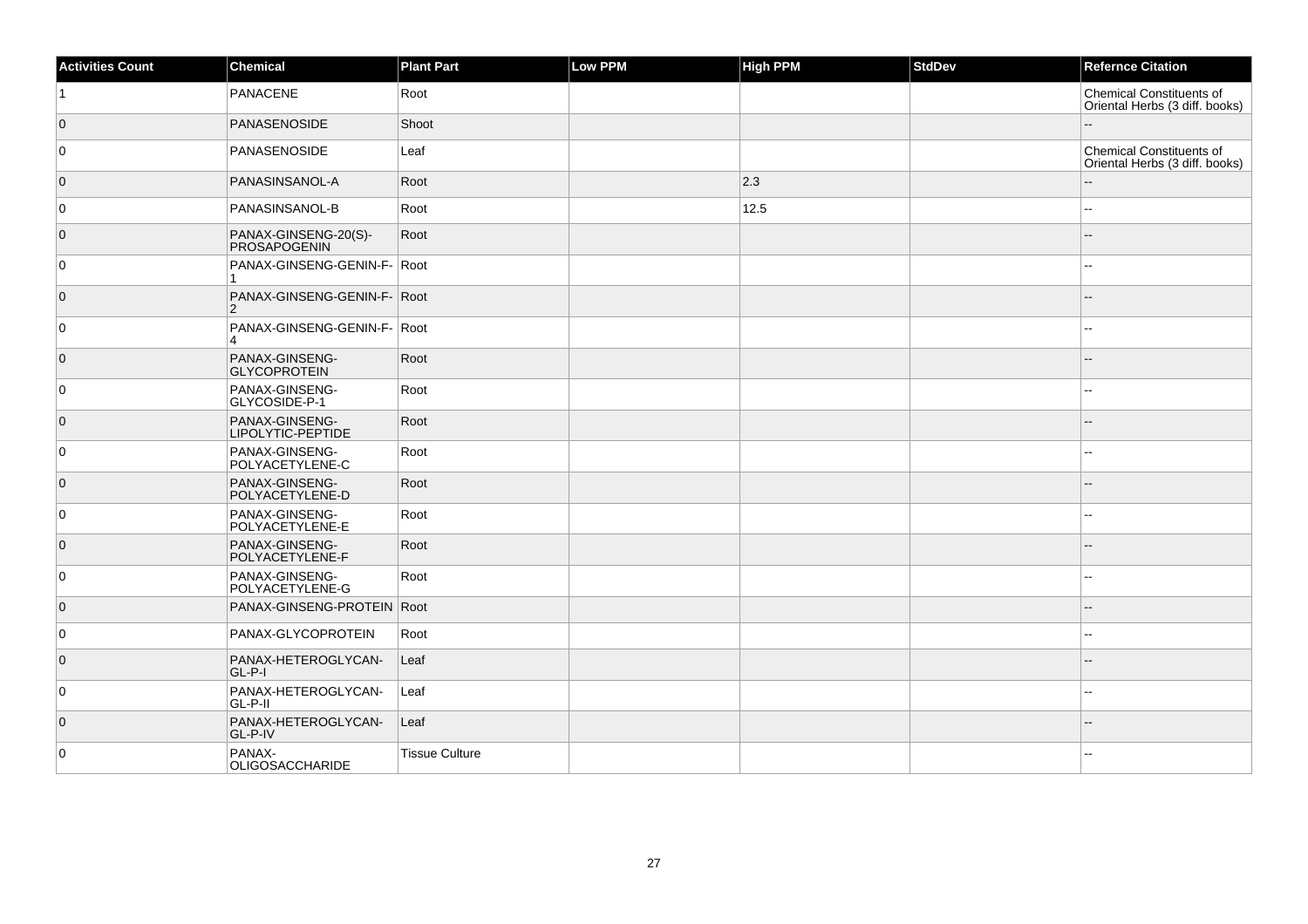| <b>Activities Count</b> | Chemical                                              | <b>Plant Part</b>     | Low PPM | <b>High PPM</b> | StdDev | <b>Refernce Citation</b>                                          |
|-------------------------|-------------------------------------------------------|-----------------------|---------|-----------------|--------|-------------------------------------------------------------------|
| ∣1.                     | PANACENE                                              | Root                  |         |                 |        | <b>Chemical Constituents of</b><br>Oriental Herbs (3 diff. books) |
| $\overline{0}$          | <b>PANASENOSIDE</b>                                   | Shoot                 |         |                 |        |                                                                   |
| 0                       | PANASENOSIDE                                          | Leaf                  |         |                 |        | <b>Chemical Constituents of</b><br>Oriental Herbs (3 diff. books) |
| $\overline{0}$          | PANASINSANOL-A                                        | Root                  |         | 2.3             |        |                                                                   |
| $\overline{0}$          | PANASINSANOL-B                                        | Root                  |         | 12.5            |        | $\overline{a}$                                                    |
| $\overline{0}$          | PANAX-GINSENG-20(S)-<br>PROSAPOGENIN                  | Root                  |         |                 |        |                                                                   |
| 0                       | PANAX-GINSENG-GENIN-F- Root<br>-1                     |                       |         |                 |        | $\overline{a}$                                                    |
| $\overline{0}$          | PANAX-GINSENG-GENIN-F- Root<br>2                      |                       |         |                 |        |                                                                   |
| 0                       | PANAX-GINSENG-GENIN-F- Root<br>$\boldsymbol{\Lambda}$ |                       |         |                 |        |                                                                   |
| $\overline{0}$          | PANAX-GINSENG-<br><b>GLYCOPROTEIN</b>                 | Root                  |         |                 |        |                                                                   |
| $\overline{0}$          | PANAX-GINSENG-<br>GLYCOSIDE-P-1                       | Root                  |         |                 |        |                                                                   |
| $\overline{0}$          | PANAX-GINSENG-<br>LIPOLYTIC-PEPTIDE                   | Root                  |         |                 |        |                                                                   |
| 0                       | PANAX-GINSENG-<br>POLYACETYLENE-C                     | Root                  |         |                 |        |                                                                   |
| $\overline{0}$          | PANAX-GINSENG-<br>POLYACETYLENE-D                     | Root                  |         |                 |        | $- -$                                                             |
| 0                       | PANAX-GINSENG-<br>POLYACETYLENE-E                     | Root                  |         |                 |        | ۵.                                                                |
| $\overline{0}$          | PANAX-GINSENG-<br>POLYACETYLENE-F                     | Root                  |         |                 |        |                                                                   |
| 0                       | PANAX-GINSENG-<br>POLYACETYLENE-G                     | Root                  |         |                 |        | --                                                                |
| $\overline{0}$          | PANAX-GINSENG-PROTEIN Root                            |                       |         |                 |        |                                                                   |
| 0                       | PANAX-GLYCOPROTEIN                                    | Root                  |         |                 |        | $\sim$ $\sim$                                                     |
| $\overline{0}$          | PANAX-HETEROGLYCAN-<br>GL-P-I                         | Leaf                  |         |                 |        | --                                                                |
| $\overline{0}$          | PANAX-HETEROGLYCAN-<br>GL-P-II                        | Leaf                  |         |                 |        | $\overline{a}$                                                    |
| $\overline{0}$          | PANAX-HETEROGLYCAN-<br>GL-P-IV                        | Leaf                  |         |                 |        |                                                                   |
| $\overline{0}$          | PANAX-<br>OLIGOSACCHARIDE                             | <b>Tissue Culture</b> |         |                 |        | --                                                                |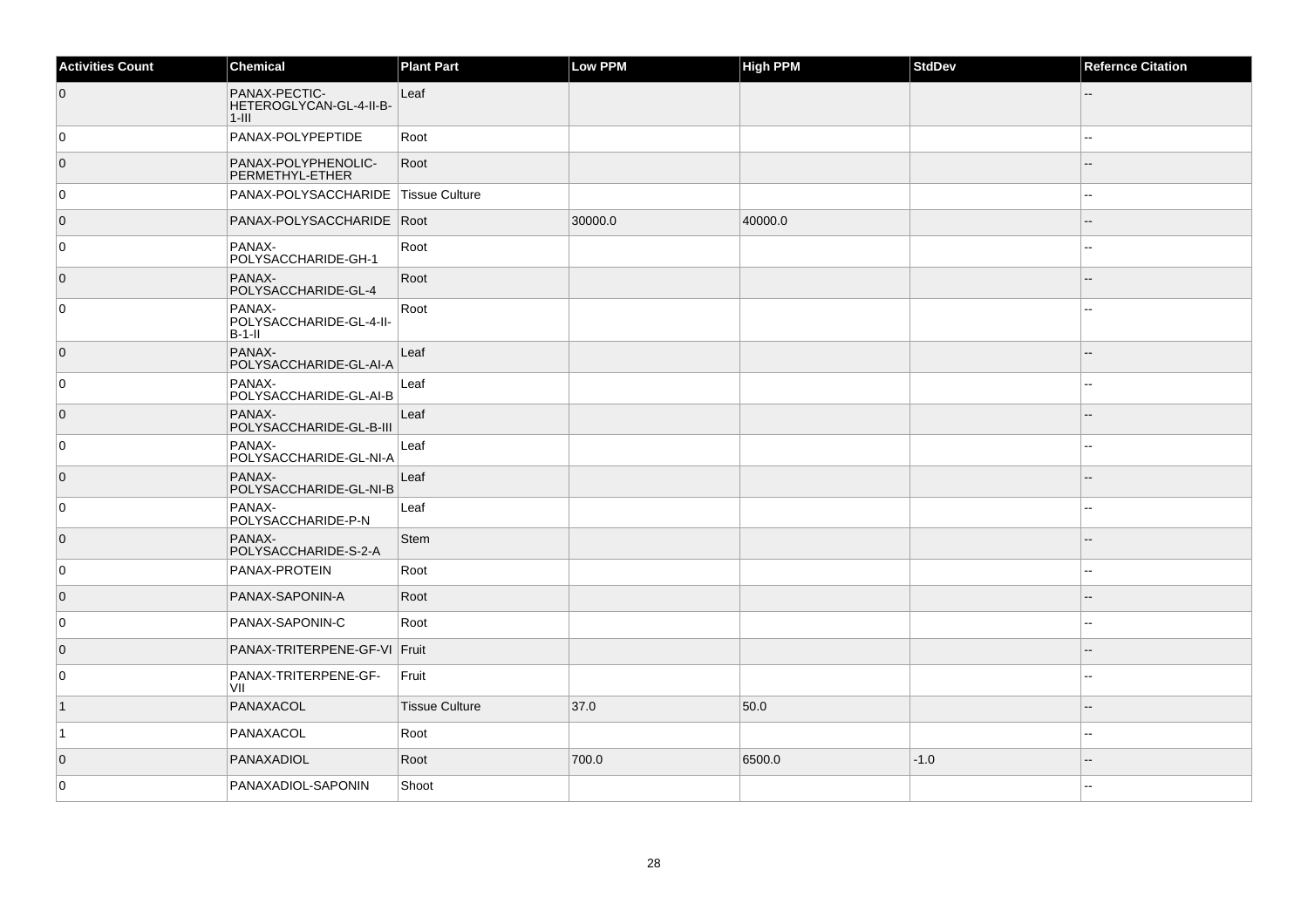| <b>Activities Count</b> | Chemical                                             | <b>Plant Part</b>     | Low PPM | <b>High PPM</b> | StdDev | <b>Refernce Citation</b> |
|-------------------------|------------------------------------------------------|-----------------------|---------|-----------------|--------|--------------------------|
| $\overline{0}$          | PANAX-PECTIC-<br>HETEROGLYCAN-GL-4-II-B-<br>$1$ -III | Leaf                  |         |                 |        |                          |
| 0                       | PANAX-POLYPEPTIDE                                    | Root                  |         |                 |        |                          |
| $\overline{0}$          | PANAX-POLYPHENOLIC-<br>PERMETHYL-ETHER               | Root                  |         |                 |        |                          |
| 0                       | PANAX-POLYSACCHARIDE                                 | <b>Tissue Culture</b> |         |                 |        |                          |
| $\overline{0}$          | PANAX-POLYSACCHARIDE   Root                          |                       | 30000.0 | 40000.0         |        |                          |
| 0                       | PANAX-<br>POLYSACCHARIDE-GH-1                        | Root                  |         |                 |        |                          |
| $\overline{0}$          | PANAX-<br>POLYSACCHARIDE-GL-4                        | Root                  |         |                 |        |                          |
| $\mathsf 0$             | PANAX-<br>POLYSACCHARIDE-GL-4-II-<br>$B-1-I$         | Root                  |         |                 |        |                          |
| $\overline{0}$          | PANAX-<br>POLYSACCHARIDE-GL-AI-A                     | Leaf                  |         |                 |        |                          |
| 0                       | PANAX-<br>POLYSACCHARIDE-GL-AI-B                     | Leaf                  |         |                 |        |                          |
| $\overline{0}$          | PANAX-<br>POLYSACCHARIDE-GL-B-III                    | Leaf                  |         |                 |        | $\overline{a}$           |
| 0                       | PANAX-<br>POLYSACCHARIDE-GL-NI-A                     | Leaf                  |         |                 |        |                          |
| $\overline{0}$          | PANAX-<br>POLYSACCHARIDE-GL-NI-B                     | Leaf                  |         |                 |        |                          |
| $\overline{0}$          | PANAX-<br>POLYSACCHARIDE-P-N                         | Leaf                  |         |                 |        | $\overline{a}$           |
| $\overline{0}$          | PANAX-<br>POLYSACCHARIDE-S-2-A                       | <b>Stem</b>           |         |                 |        |                          |
| $\overline{0}$          | PANAX-PROTEIN                                        | Root                  |         |                 |        | $\overline{a}$           |
| $\overline{0}$          | PANAX-SAPONIN-A                                      | Root                  |         |                 |        |                          |
| 0                       | PANAX-SAPONIN-C                                      | Root                  |         |                 |        | $\sim$                   |
| $\overline{0}$          | PANAX-TRITERPENE-GF-VI Fruit                         |                       |         |                 |        |                          |
| 0                       | PANAX-TRITERPENE-GF-<br>VII                          | Fruit                 |         |                 |        |                          |
| $\vert$ 1               | PANAXACOL                                            | <b>Tissue Culture</b> | 37.0    | 50.0            |        | $-$                      |
| $\vert$ 1               | PANAXACOL                                            | Root                  |         |                 |        | --                       |
| $\overline{0}$          | PANAXADIOL                                           | Root                  | 700.0   | 6500.0          | $-1.0$ | --                       |
| 0                       | PANAXADIOL-SAPONIN                                   | Shoot                 |         |                 |        |                          |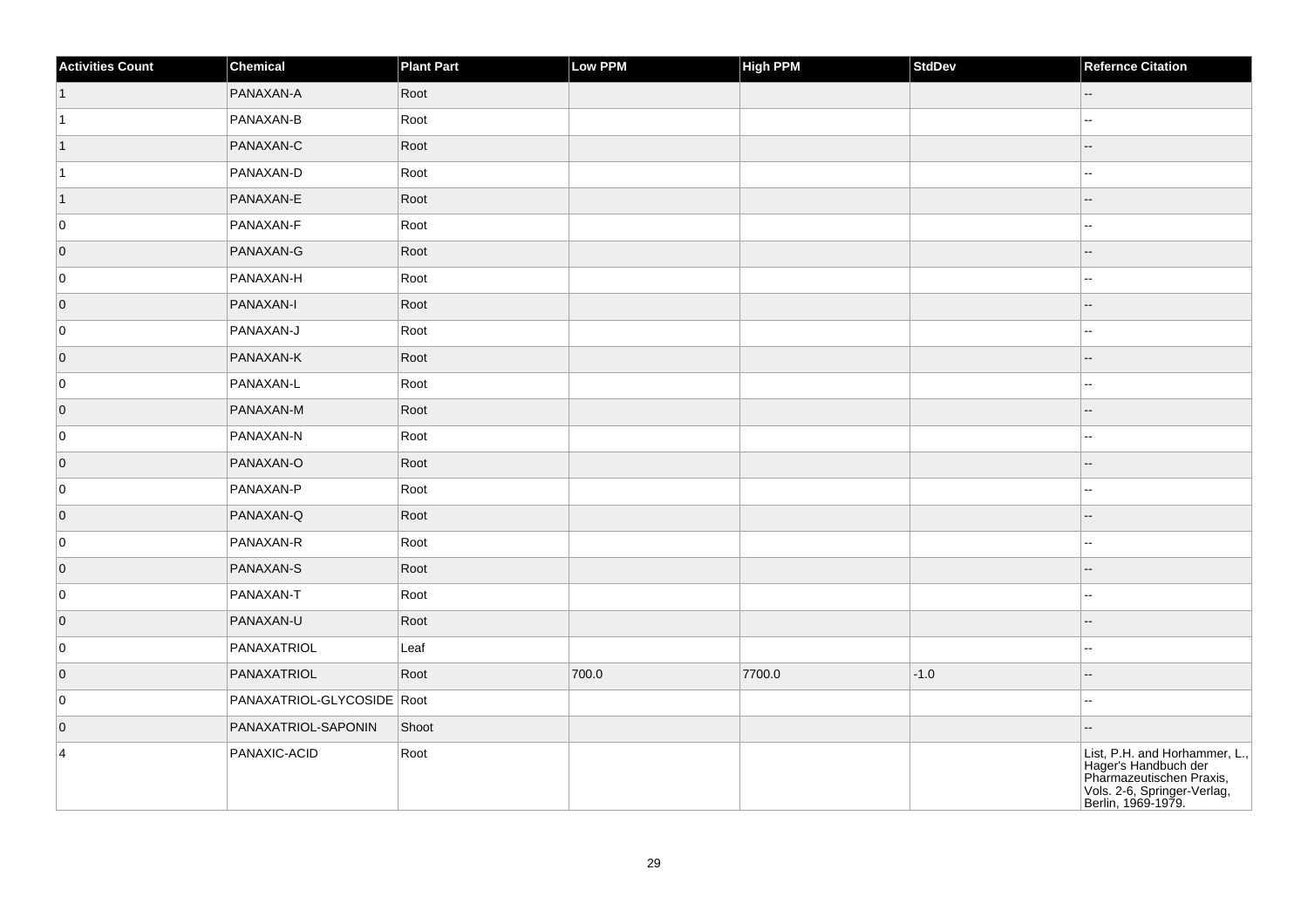| <b>Activities Count</b> | Chemical                   | <b>Plant Part</b> | Low PPM | <b>High PPM</b> | StdDev | <b>Refernce Citation</b>                                                                                                               |
|-------------------------|----------------------------|-------------------|---------|-----------------|--------|----------------------------------------------------------------------------------------------------------------------------------------|
| $\vert$ 1               | PANAXAN-A                  | Root              |         |                 |        | $\sim$ $\sim$                                                                                                                          |
| $\vert$ 1               | PANAXAN-B                  | Root              |         |                 |        | $\overline{\phantom{a}}$                                                                                                               |
| $\vert$ 1               | PANAXAN-C                  | Root              |         |                 |        | $-$                                                                                                                                    |
| $\vert$ 1               | PANAXAN-D                  | Root              |         |                 |        | $\mathbf{u}$                                                                                                                           |
| $\overline{1}$          | PANAXAN-E                  | Root              |         |                 |        |                                                                                                                                        |
| 0                       | PANAXAN-F                  | Root              |         |                 |        | $\overline{a}$                                                                                                                         |
| $\overline{0}$          | PANAXAN-G                  | Root              |         |                 |        | --                                                                                                                                     |
| 0                       | PANAXAN-H                  | Root              |         |                 |        | ÷÷.                                                                                                                                    |
| $\overline{0}$          | PANAXAN-I                  | Root              |         |                 |        |                                                                                                                                        |
| 0                       | PANAXAN-J                  | Root              |         |                 |        | --                                                                                                                                     |
| $\overline{0}$          | PANAXAN-K                  | Root              |         |                 |        |                                                                                                                                        |
| 0                       | PANAXAN-L                  | Root              |         |                 |        | Щ,                                                                                                                                     |
| $\overline{0}$          | PANAXAN-M                  | Root              |         |                 |        |                                                                                                                                        |
| 0                       | PANAXAN-N                  | Root              |         |                 |        | ۵.                                                                                                                                     |
| $\overline{0}$          | PANAXAN-O                  | Root              |         |                 |        |                                                                                                                                        |
| 0                       | PANAXAN-P                  | Root              |         |                 |        | $\sim$                                                                                                                                 |
| $\overline{0}$          | PANAXAN-Q                  | Root              |         |                 |        |                                                                                                                                        |
| 0                       | PANAXAN-R                  | Root              |         |                 |        | $\sim$                                                                                                                                 |
| $\overline{0}$          | PANAXAN-S                  | Root              |         |                 |        |                                                                                                                                        |
| 0                       | PANAXAN-T                  | Root              |         |                 |        | $\overline{\phantom{a}}$                                                                                                               |
| $ 0\rangle$             | PANAXAN-U                  | Root              |         |                 |        |                                                                                                                                        |
| 0                       | PANAXATRIOL                | Leaf              |         |                 |        | --                                                                                                                                     |
| $\overline{0}$          | PANAXATRIOL                | Root              | 700.0   | 7700.0          | $-1.0$ |                                                                                                                                        |
| 0                       | PANAXATRIOL-GLYCOSIDE Root |                   |         |                 |        | --                                                                                                                                     |
| $\overline{0}$          | PANAXATRIOL-SAPONIN        | Shoot             |         |                 |        | --                                                                                                                                     |
| $\overline{4}$          | PANAXIC-ACID               | Root              |         |                 |        | List, P.H. and Horhammer, L.,<br>Hager's Handbuch der<br>Pharmazeutischen Praxis,<br>Vols. 2-6, Springer-Verlag,<br>Berlin, 1969-1979. |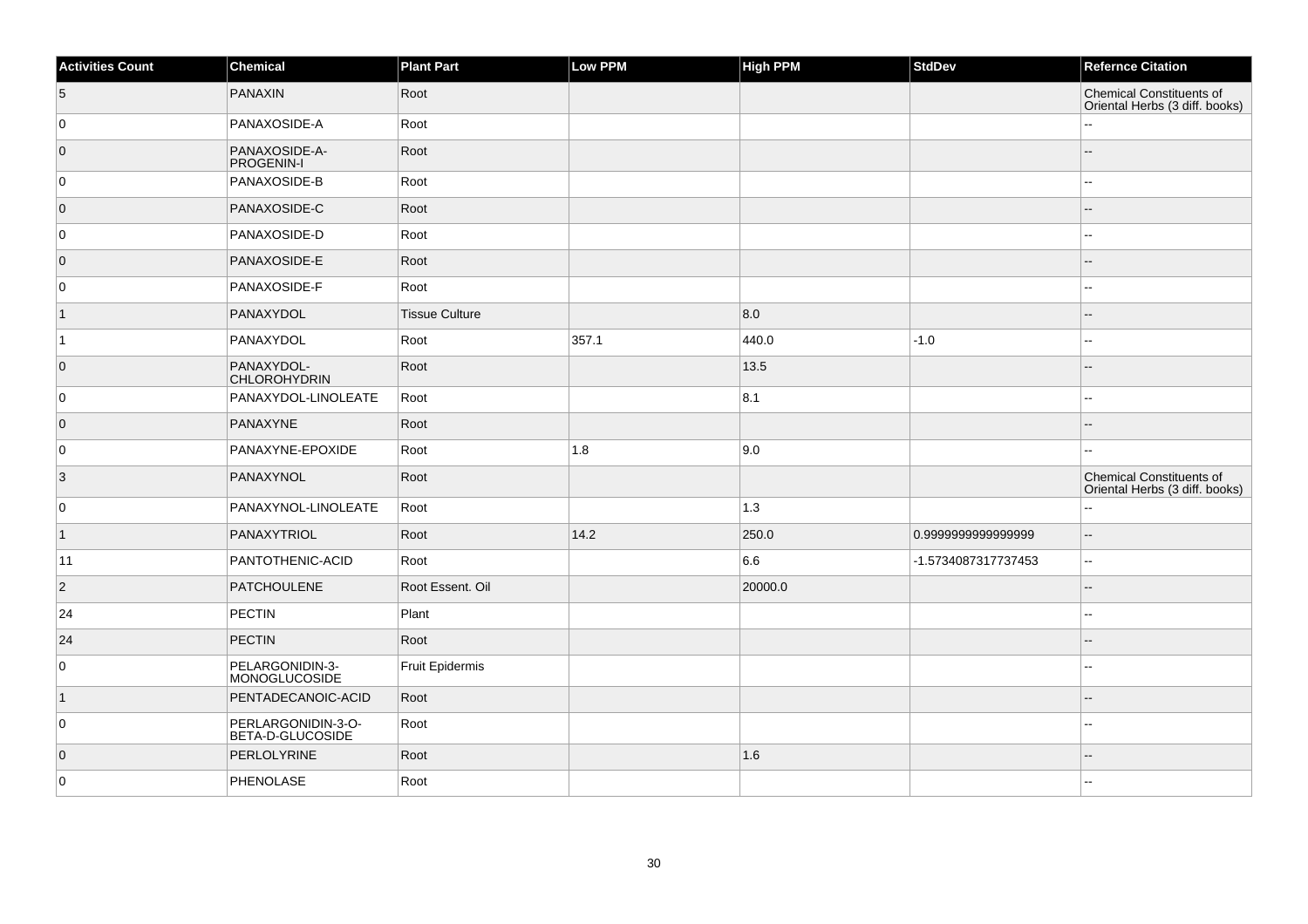| <b>Activities Count</b> | Chemical                                | <b>Plant Part</b>     | Low PPM | <b>High PPM</b>   | <b>StdDev</b>       | <b>Refernce Citation</b>                                          |
|-------------------------|-----------------------------------------|-----------------------|---------|-------------------|---------------------|-------------------------------------------------------------------|
| 5                       | <b>PANAXIN</b>                          | Root                  |         |                   |                     | <b>Chemical Constituents of</b><br>Oriental Herbs (3 diff. books) |
| 0                       | PANAXOSIDE-A                            | Root                  |         |                   |                     |                                                                   |
| $\overline{0}$          | PANAXOSIDE-A-<br><b>PROGENIN-I</b>      | Root                  |         |                   |                     |                                                                   |
| 0                       | PANAXOSIDE-B                            | Root                  |         |                   |                     |                                                                   |
| $\overline{0}$          | PANAXOSIDE-C                            | Root                  |         |                   |                     |                                                                   |
| 0                       | PANAXOSIDE-D                            | Root                  |         |                   |                     | 4                                                                 |
| $\overline{0}$          | PANAXOSIDE-E                            | Root                  |         |                   |                     |                                                                   |
| 0                       | PANAXOSIDE-F                            | Root                  |         |                   |                     | $\overline{a}$                                                    |
| $\vert$ 1               | PANAXYDOL                               | <b>Tissue Culture</b> |         | 8.0               |                     |                                                                   |
| $\vert$ 1               | PANAXYDOL                               | Root                  | 357.1   | 440.0             | $-1.0$              |                                                                   |
| $\overline{0}$          | PANAXYDOL-<br><b>CHLOROHYDRIN</b>       | Root                  |         | 13.5              |                     |                                                                   |
| 0                       | PANAXYDOL-LINOLEATE                     | Root                  |         | 8.1               |                     | ۵.                                                                |
| $\overline{0}$          | PANAXYNE                                | Root                  |         |                   |                     |                                                                   |
| 0                       | PANAXYNE-EPOXIDE                        | Root                  | 1.8     | 9.0               |                     |                                                                   |
| $\overline{3}$          | PANAXYNOL                               | Root                  |         |                   |                     | Chemical Constituents of<br>Oriental Herbs (3 diff. books)        |
| $\overline{0}$          | PANAXYNOL-LINOLEATE                     | Root                  |         | $\vert 1.3 \vert$ |                     |                                                                   |
| $\overline{1}$          | PANAXYTRIOL                             | Root                  | 14.2    | 250.0             | 0.999999999999999   | --                                                                |
| 11                      | PANTOTHENIC-ACID                        | Root                  |         | 6.6               | -1.5734087317737453 | ۵.                                                                |
| $\overline{2}$          | <b>PATCHOULENE</b>                      | Root Essent. Oil      |         | 20000.0           |                     |                                                                   |
| 24                      | PECTIN                                  | Plant                 |         |                   |                     |                                                                   |
| 24                      | PECTIN                                  | Root                  |         |                   |                     |                                                                   |
| $\overline{0}$          | PELARGONIDIN-3-<br><b>MONOGLUCOSIDE</b> | Fruit Epidermis       |         |                   |                     | ۵.                                                                |
| $\mathbf 1$             | PENTADECANOIC-ACID                      | Root                  |         |                   |                     |                                                                   |
| 0                       | PERLARGONIDIN-3-O-<br>BETA-D-GLUCOSIDE  | Root                  |         |                   |                     |                                                                   |
| $\overline{0}$          | PERLOLYRINE                             | Root                  |         | 1.6               |                     |                                                                   |
| 0                       | PHENOLASE                               | Root                  |         |                   |                     |                                                                   |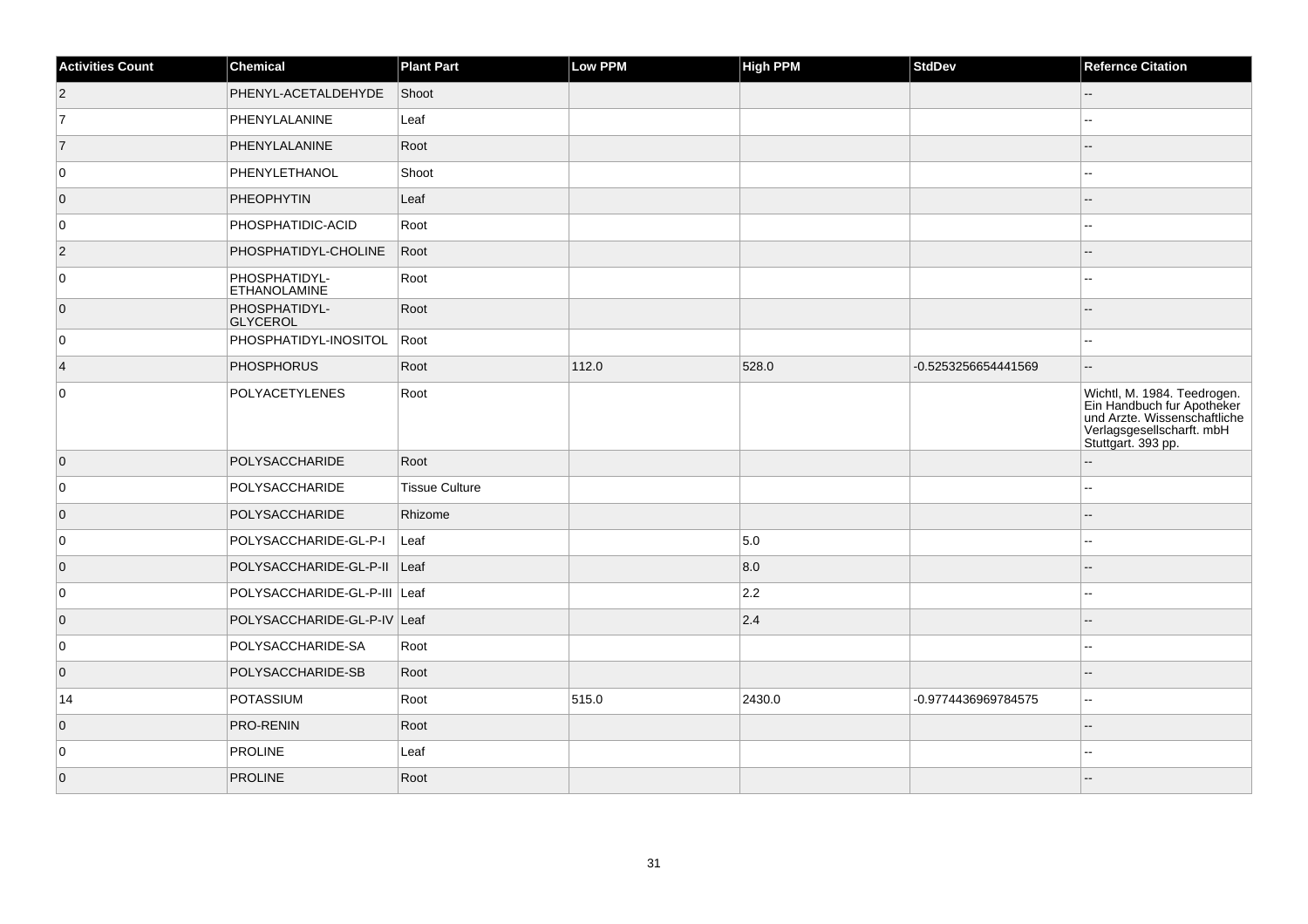| <b>Activities Count</b> | Chemical                             | <b>Plant Part</b>     | Low PPM | High PPM | <b>StdDev</b>       | <b>Refernce Citation</b>                                                                                                                    |
|-------------------------|--------------------------------------|-----------------------|---------|----------|---------------------|---------------------------------------------------------------------------------------------------------------------------------------------|
| $\overline{c}$          | PHENYL-ACETALDEHYDE                  | Shoot                 |         |          |                     | --                                                                                                                                          |
| $\overline{7}$          | PHENYLALANINE                        | Leaf                  |         |          |                     |                                                                                                                                             |
| 7                       | PHENYLALANINE                        | Root                  |         |          |                     |                                                                                                                                             |
| $\overline{0}$          | PHENYLETHANOL                        | Shoot                 |         |          |                     | --                                                                                                                                          |
| $\overline{0}$          | PHEOPHYTIN                           | Leaf                  |         |          |                     |                                                                                                                                             |
| $\overline{0}$          | PHOSPHATIDIC-ACID                    | Root                  |         |          |                     | --                                                                                                                                          |
| $ 2\rangle$             | PHOSPHATIDYL-CHOLINE                 | Root                  |         |          |                     | $-$                                                                                                                                         |
| 0                       | PHOSPHATIDYL-<br><b>ETHANOLAMINE</b> | Root                  |         |          |                     |                                                                                                                                             |
| $\overline{0}$          | PHOSPHATIDYL-<br>GLYCEROL            | Root                  |         |          |                     |                                                                                                                                             |
| $\mathbf 0$             | PHOSPHATIDYL-INOSITOL Root           |                       |         |          |                     |                                                                                                                                             |
| $\overline{4}$          | PHOSPHORUS                           | Root                  | 112.0   | 528.0    | -0.5253256654441569 | $-$                                                                                                                                         |
| 0                       | <b>POLYACETYLENES</b>                | Root                  |         |          |                     | Wichtl, M. 1984. Teedrogen.<br>Ein Handbuch fur Apotheker<br>und Arzte. Wissenschaftliche<br>Verlagsgesellscharft.mbH<br>Stuttgart. 393 pp. |
| $\overline{0}$          | POLYSACCHARIDE                       | Root                  |         |          |                     |                                                                                                                                             |
| $\mathbf 0$             | POLYSACCHARIDE                       | <b>Tissue Culture</b> |         |          |                     |                                                                                                                                             |
| $\overline{0}$          | POLYSACCHARIDE                       | Rhizome               |         |          |                     |                                                                                                                                             |
| $\overline{0}$          | POLYSACCHARIDE-GL-P-I                | Leaf                  |         | 5.0      |                     |                                                                                                                                             |
| $\overline{0}$          | POLYSACCHARIDE-GL-P-II Leaf          |                       |         | 8.0      |                     |                                                                                                                                             |
| $\overline{0}$          | POLYSACCHARIDE-GL-P-III Leaf         |                       |         | 2.2      |                     |                                                                                                                                             |
| $\overline{0}$          | POLYSACCHARIDE-GL-P-IV Leaf          |                       |         | 2.4      |                     |                                                                                                                                             |
| 0                       | POLYSACCHARIDE-SA                    | Root                  |         |          |                     |                                                                                                                                             |
| $\overline{0}$          | POLYSACCHARIDE-SB                    | Root                  |         |          |                     |                                                                                                                                             |
| 14                      | <b>POTASSIUM</b>                     | Root                  | 515.0   | 2430.0   | -0.9774436969784575 | --                                                                                                                                          |
| $\overline{0}$          | PRO-RENIN                            | Root                  |         |          |                     | $-$                                                                                                                                         |
| 0                       | <b>PROLINE</b>                       | Leaf                  |         |          |                     |                                                                                                                                             |
| $\overline{0}$          | <b>PROLINE</b>                       | Root                  |         |          |                     |                                                                                                                                             |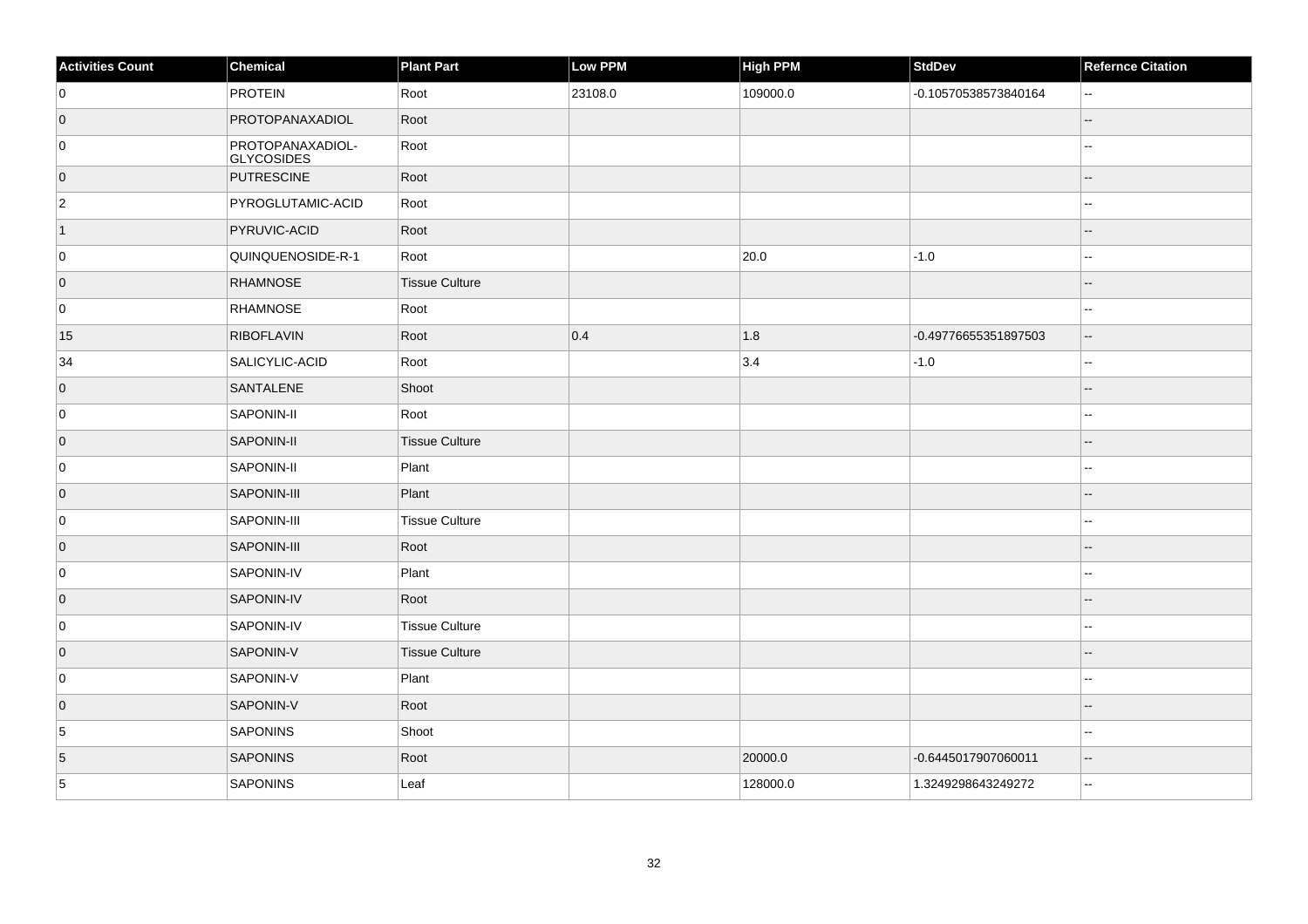| <b>Activities Count</b> | Chemical                       | <b>Plant Part</b>     | <b>Low PPM</b> | <b>High PPM</b> | <b>StdDev</b>        | <b>Refernce Citation</b>                      |
|-------------------------|--------------------------------|-----------------------|----------------|-----------------|----------------------|-----------------------------------------------|
| 0                       | <b>PROTEIN</b>                 | Root                  | 23108.0        | 109000.0        | -0.10570538573840164 | $\sim$                                        |
| $\overline{0}$          | PROTOPANAXADIOL                | Root                  |                |                 |                      | $\sim$                                        |
| 0                       | PROTOPANAXADIOL-<br>GLYCOSIDES | Root                  |                |                 |                      |                                               |
| $\overline{0}$          | PUTRESCINE                     | Root                  |                |                 |                      | $-$                                           |
| $\overline{2}$          | PYROGLUTAMIC-ACID              | Root                  |                |                 |                      |                                               |
| $\vert$ 1               | PYRUVIC-ACID                   | Root                  |                |                 |                      |                                               |
| 0                       | QUINQUENOSIDE-R-1              | Root                  |                | 20.0            | $-1.0$               | $\overline{\phantom{a}}$                      |
| $\overline{0}$          | <b>RHAMNOSE</b>                | <b>Tissue Culture</b> |                |                 |                      | $\overline{a}$                                |
| 0                       | RHAMNOSE                       | Root                  |                |                 |                      | $\sim$                                        |
| 15                      | <b>RIBOFLAVIN</b>              | Root                  | 0.4            | 1.8             | -0.49776655351897503 | $\mathord{\hspace{1pt}\text{--}\hspace{1pt}}$ |
| 34                      | SALICYLIC-ACID                 | Root                  |                | 3.4             | $-1.0$               | $\sim$ $\sim$                                 |
| $\overline{0}$          | SANTALENE                      | Shoot                 |                |                 |                      | $\overline{a}$                                |
| 0                       | SAPONIN-II                     | Root                  |                |                 |                      | $\sim$ $\sim$                                 |
| $\overline{0}$          | SAPONIN-II                     | Tissue Culture        |                |                 |                      |                                               |
| 0                       | SAPONIN-II                     | Plant                 |                |                 |                      | $\sim$                                        |
| $\overline{0}$          | SAPONIN-III                    | Plant                 |                |                 |                      | ٠.                                            |
| 0                       | SAPONIN-III                    | Tissue Culture        |                |                 |                      | $\sim$                                        |
| $\overline{0}$          | SAPONIN-III                    | Root                  |                |                 |                      |                                               |
| 0                       | SAPONIN-IV                     | Plant                 |                |                 |                      |                                               |
| $\overline{0}$          | SAPONIN-IV                     | Root                  |                |                 |                      |                                               |
| 0                       | SAPONIN-IV                     | <b>Tissue Culture</b> |                |                 |                      | $\sim$                                        |
| $\overline{0}$          | SAPONIN-V                      | Tissue Culture        |                |                 |                      |                                               |
| 0                       | SAPONIN-V                      | Plant                 |                |                 |                      | $\overline{a}$                                |
| $\overline{0}$          | SAPONIN-V                      | Root                  |                |                 |                      |                                               |
| 5                       | SAPONINS                       | Shoot                 |                |                 |                      | ٠.                                            |
| $\overline{5}$          | SAPONINS                       | Root                  |                | 20000.0         | -0.6445017907060011  | $-$                                           |
| 5                       | <b>SAPONINS</b>                | Leaf                  |                | 128000.0        | 1.3249298643249272   | $\ddotsc$                                     |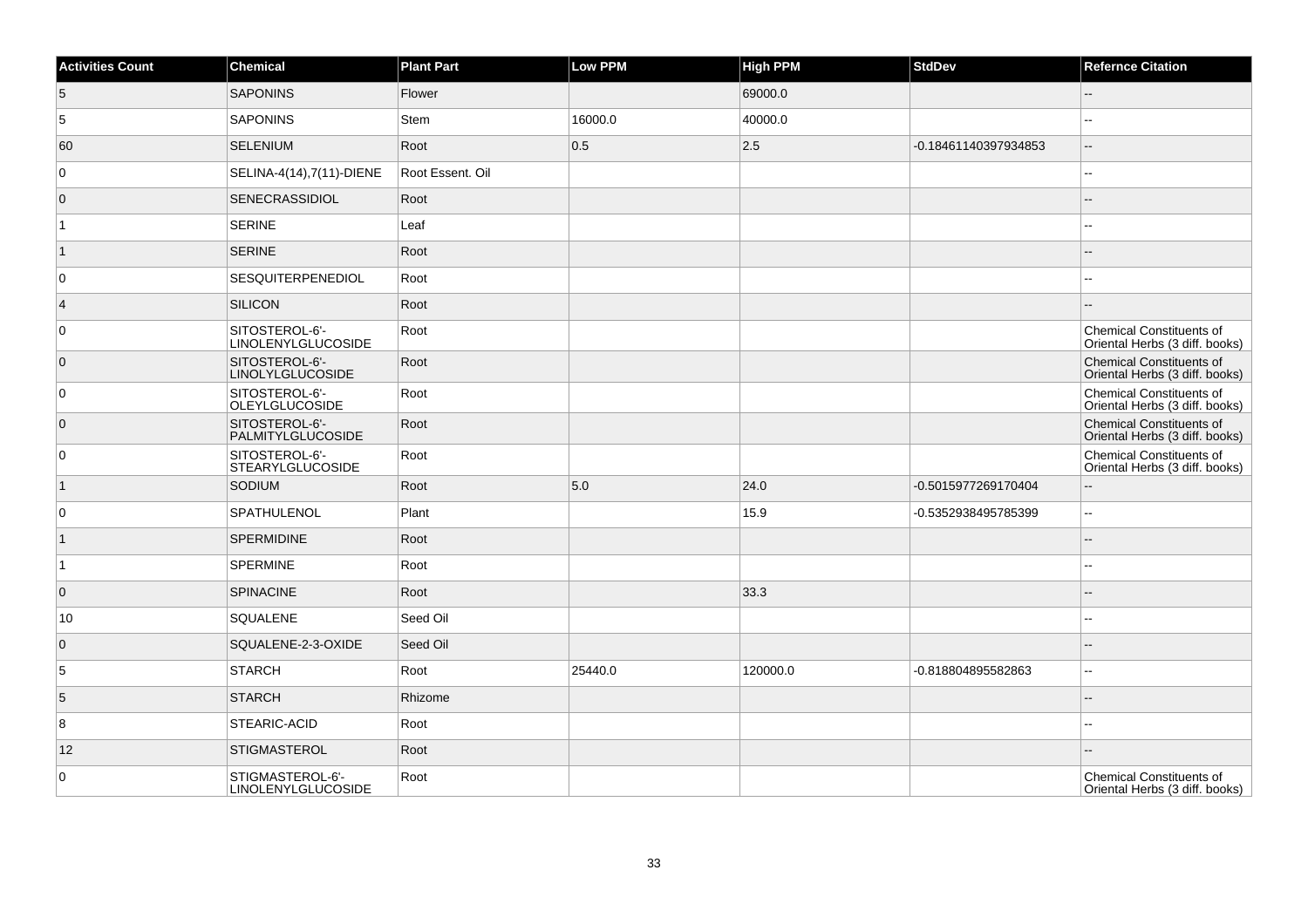| <b>Activities Count</b> | Chemical                                    | <b>Plant Part</b> | Low PPM | <b>High PPM</b> | <b>StdDev</b>        | <b>Refernce Citation</b>                                          |
|-------------------------|---------------------------------------------|-------------------|---------|-----------------|----------------------|-------------------------------------------------------------------|
| 5                       | <b>SAPONINS</b>                             | Flower            |         | 69000.0         |                      | $-$                                                               |
| 5                       | SAPONINS                                    | <b>Stem</b>       | 16000.0 | 40000.0         |                      |                                                                   |
| 60                      | SELENIUM                                    | Root              | 0.5     | 2.5             | -0.18461140397934853 | ш,                                                                |
| $\overline{0}$          | SELINA-4(14),7(11)-DIENE                    | Root Essent. Oil  |         |                 |                      | ۵.                                                                |
| $\overline{0}$          | SENECRASSIDIOL                              | Root              |         |                 |                      |                                                                   |
| 1                       | <b>SERINE</b>                               | Leaf              |         |                 |                      |                                                                   |
| $\vert$ 1               | <b>SERINE</b>                               | Root              |         |                 |                      |                                                                   |
| 0                       | SESQUITERPENEDIOL                           | Root              |         |                 |                      | --                                                                |
| $\vert 4$               | SILICON                                     | Root              |         |                 |                      |                                                                   |
| $\overline{0}$          | SITOSTEROL-6'-<br><b>LINOLENYLGLUCOSIDE</b> | Root              |         |                 |                      | <b>Chemical Constituents of</b><br>Oriental Herbs (3 diff. books) |
| $\overline{0}$          | SITOSTEROL-6'-<br><b>LINOLYLGLUCOSIDE</b>   | Root              |         |                 |                      | <b>Chemical Constituents of</b><br>Oriental Herbs (3 diff. books) |
| $\overline{0}$          | SITOSTEROL-6'-<br>OLEYLGLUCOSIDE            | Root              |         |                 |                      | <b>Chemical Constituents of</b><br>Oriental Herbs (3 diff. books) |
| $\overline{0}$          | SITOSTEROL-6'-<br><b>PALMITYLGLUCOSIDE</b>  | Root              |         |                 |                      | <b>Chemical Constituents of</b><br>Oriental Herbs (3 diff. books) |
| $\overline{0}$          | SITOSTEROL-6'-<br><b>STEARYLGLUCOSIDE</b>   | Root              |         |                 |                      | <b>Chemical Constituents of</b><br>Oriental Herbs (3 diff. books) |
| $\vert$ 1               | SODIUM                                      | Root              | 5.0     | 24.0            | -0.5015977269170404  | ۵.                                                                |
| $\overline{0}$          | <b>SPATHULENOL</b>                          | Plant             |         | 15.9            | -0.5352938495785399  | $\overline{\phantom{a}}$                                          |
| $\vert$ 1               | <b>SPERMIDINE</b>                           | Root              |         |                 |                      | $\overline{a}$                                                    |
| $\overline{1}$          | <b>SPERMINE</b>                             | Root              |         |                 |                      | ۵.                                                                |
| $\overline{0}$          | <b>SPINACINE</b>                            | Root              |         | 33.3            |                      |                                                                   |
| 10                      | SQUALENE                                    | Seed Oil          |         |                 |                      | $\overline{a}$                                                    |
| $\overline{0}$          | SQUALENE-2-3-OXIDE                          | Seed Oil          |         |                 |                      |                                                                   |
| 5                       | <b>STARCH</b>                               | Root              | 25440.0 | 120000.0        | -0.818804895582863   | 44                                                                |
| 5                       | <b>STARCH</b>                               | Rhizome           |         |                 |                      | --                                                                |
| 8                       | STEARIC-ACID                                | Root              |         |                 |                      | шш.                                                               |
| 12                      | <b>STIGMASTEROL</b>                         | Root              |         |                 |                      | --                                                                |
| $\overline{0}$          | STIGMASTEROL-6'-<br>LINOLENYLGLUCOSIDE      | Root              |         |                 |                      | <b>Chemical Constituents of</b><br>Oriental Herbs (3 diff. books) |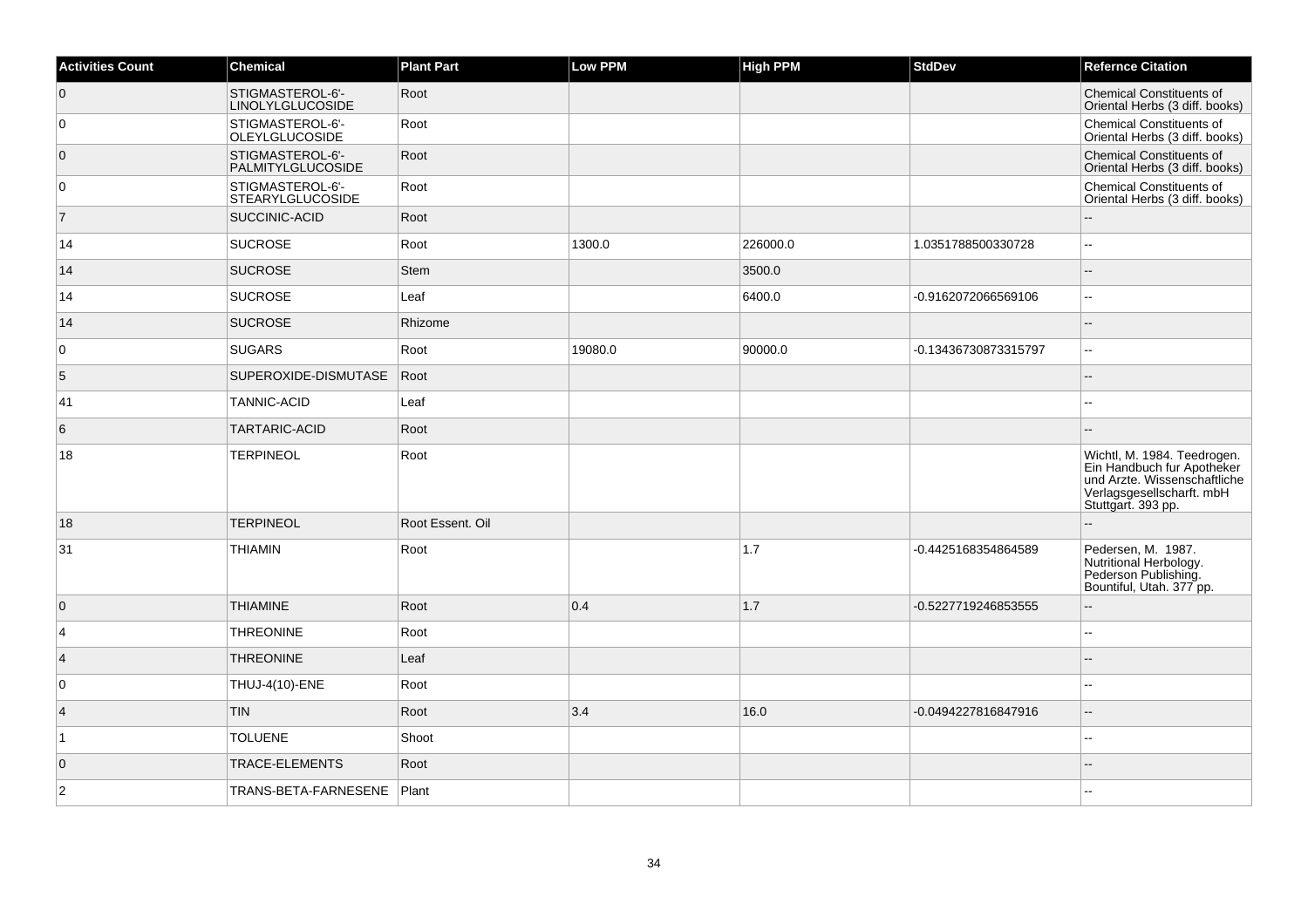| <b>Activities Count</b> | Chemical                                     | <b>Plant Part</b> | Low PPM | <b>High PPM</b> | <b>StdDev</b>        | <b>Refernce Citation</b>                                                                                                                     |
|-------------------------|----------------------------------------------|-------------------|---------|-----------------|----------------------|----------------------------------------------------------------------------------------------------------------------------------------------|
| 0                       | STIGMASTEROL-6'-<br><b>LINOLYLGLUCOSIDE</b>  | Root              |         |                 |                      | <b>Chemical Constituents of</b><br>Oriental Herbs (3 diff. books)                                                                            |
| 0                       | STIGMASTEROL-6'-<br><b>OLEYLGLUCOSIDE</b>    | Root              |         |                 |                      | <b>Chemical Constituents of</b><br>Oriental Herbs (3 diff. books)                                                                            |
| $\overline{0}$          | STIGMASTEROL-6'-<br><b>PALMITYLGLUCOSIDE</b> | Root              |         |                 |                      | <b>Chemical Constituents of</b><br>Oriental Herbs (3 diff. books)                                                                            |
| 0                       | STIGMASTEROL-6'-<br><b>STEARYLGLUCOSIDE</b>  | Root              |         |                 |                      | <b>Chemical Constituents of</b><br>Oriental Herbs (3 diff. books)                                                                            |
| $\overline{7}$          | <b>SUCCINIC-ACID</b>                         | Root              |         |                 |                      |                                                                                                                                              |
| 14                      | <b>SUCROSE</b>                               | Root              | 1300.0  | 226000.0        | 1.0351788500330728   | $\overline{a}$                                                                                                                               |
| 14                      | <b>SUCROSE</b>                               | Stem              |         | 3500.0          |                      |                                                                                                                                              |
| 14                      | <b>SUCROSE</b>                               | Leaf              |         | 6400.0          | -0.9162072066569106  | $\overline{a}$                                                                                                                               |
| 14                      | <b>SUCROSE</b>                               | Rhizome           |         |                 |                      |                                                                                                                                              |
| 0                       | <b>SUGARS</b>                                | Root              | 19080.0 | 90000.0         | -0.13436730873315797 | $\overline{\phantom{a}}$                                                                                                                     |
| 5                       | SUPEROXIDE-DISMUTASE                         | Root              |         |                 |                      | $-$                                                                                                                                          |
| 41                      | <b>TANNIC-ACID</b>                           | Leaf              |         |                 |                      |                                                                                                                                              |
| 6                       | <b>TARTARIC-ACID</b>                         | Root              |         |                 |                      |                                                                                                                                              |
| 18                      | <b>TERPINEOL</b>                             | Root              |         |                 |                      | Wichtl, M. 1984. Teedrogen.<br>Ein Handbuch fur Apotheker<br>und Arzte. Wissenschaftliche<br>Verlagsgesellscharft. mbH<br>Stuttgart. 393 pp. |
| 18                      | <b>TERPINEOL</b>                             | Root Essent, Oil  |         |                 |                      |                                                                                                                                              |
| 31                      | <b>THIAMIN</b>                               | Root              |         | 1.7             | -0.4425168354864589  | Pedersen, M. 1987.<br>Nutritional Herbology.<br>Pederson Publishing.<br>Bountiful, Utah. 377 pp.                                             |
| 0                       | <b>THIAMINE</b>                              | Root              | 0.4     | 1.7             | -0.5227719246853555  |                                                                                                                                              |
| $\overline{4}$          | <b>THREONINE</b>                             | Root              |         |                 |                      | $\overline{\phantom{a}}$                                                                                                                     |
| $\overline{4}$          | <b>THREONINE</b>                             | Leaf              |         |                 |                      |                                                                                                                                              |
| $\mathbf 0$             | THUJ-4(10)-ENE                               | Root              |         |                 |                      |                                                                                                                                              |
| $\overline{4}$          | <b>TIN</b>                                   | Root              | 3.4     | 16.0            | -0.0494227816847916  | Ξ.                                                                                                                                           |
| $\vert$ 1               | <b>TOLUENE</b>                               | Shoot             |         |                 |                      |                                                                                                                                              |
| $\overline{0}$          | TRACE-ELEMENTS                               | Root              |         |                 |                      |                                                                                                                                              |
| $\overline{2}$          | TRANS-BETA-FARNESENE                         | Plant             |         |                 |                      |                                                                                                                                              |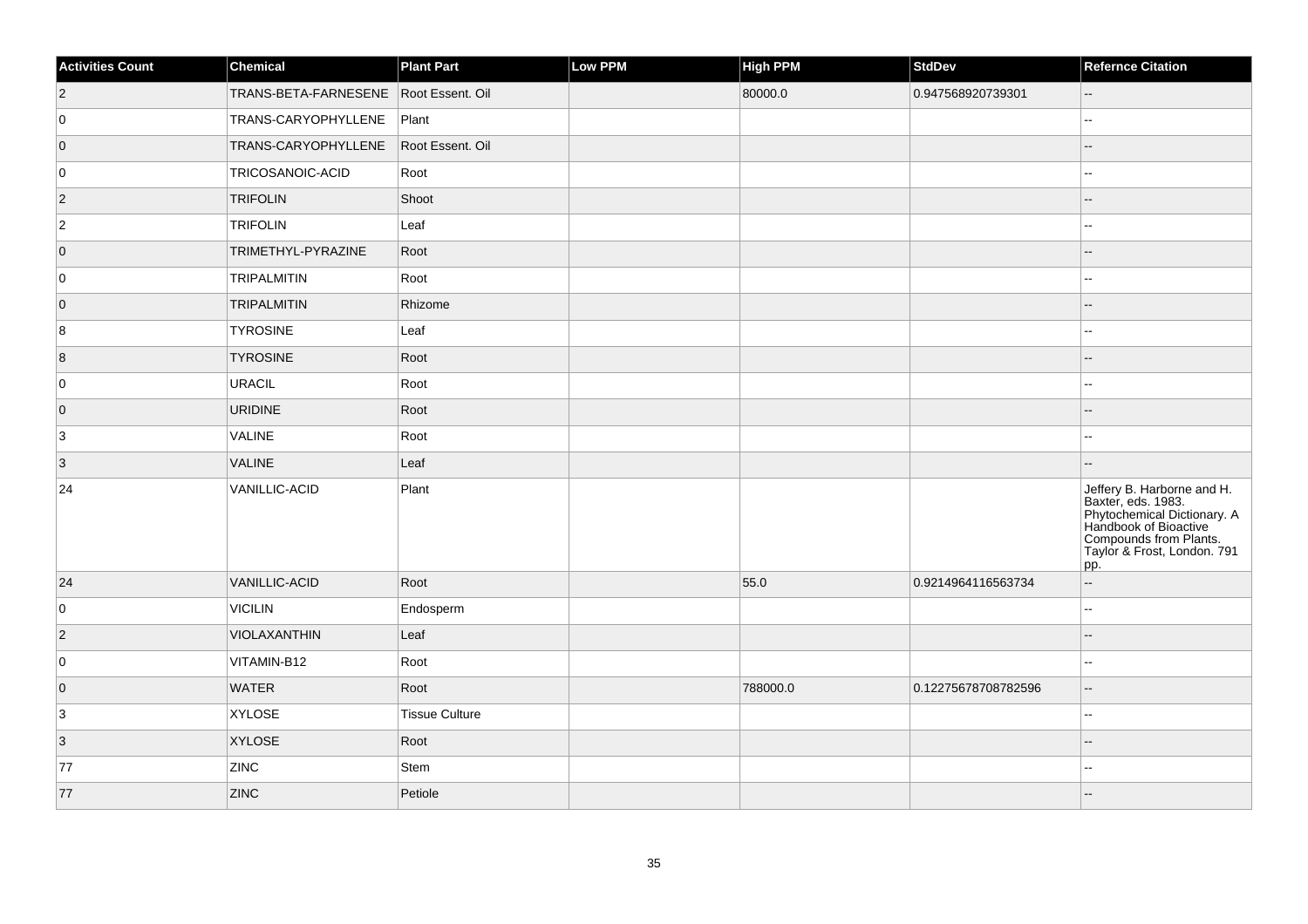| <b>Activities Count</b> | Chemical                              | <b>Plant Part</b>     | Low PPM | <b>High PPM</b> | <b>StdDev</b>       | <b>Refernce Citation</b>                                                                                                                                                 |
|-------------------------|---------------------------------------|-----------------------|---------|-----------------|---------------------|--------------------------------------------------------------------------------------------------------------------------------------------------------------------------|
| $ 2\rangle$             | TRANS-BETA-FARNESENE Root Essent. Oil |                       |         | 80000.0         | 0.947568920739301   | $\mathcal{L}_{\mathcal{F}}$                                                                                                                                              |
| 0                       | TRANS-CARYOPHYLLENE                   | Plant                 |         |                 |                     | L.                                                                                                                                                                       |
| $\overline{0}$          | TRANS-CARYOPHYLLENE                   | Root Essent. Oil      |         |                 |                     | --                                                                                                                                                                       |
| 0                       | TRICOSANOIC-ACID                      | Root                  |         |                 |                     |                                                                                                                                                                          |
| $ 2\rangle$             | <b>TRIFOLIN</b>                       | Shoot                 |         |                 |                     |                                                                                                                                                                          |
| $\overline{2}$          | <b>TRIFOLIN</b>                       | Leaf                  |         |                 |                     | ۵.                                                                                                                                                                       |
| $\overline{0}$          | TRIMETHYL-PYRAZINE                    | Root                  |         |                 |                     |                                                                                                                                                                          |
| 0                       | TRIPALMITIN                           | Root                  |         |                 |                     |                                                                                                                                                                          |
| $\overline{0}$          | <b>TRIPALMITIN</b>                    | Rhizome               |         |                 |                     |                                                                                                                                                                          |
| 8                       | <b>TYROSINE</b>                       | Leaf                  |         |                 |                     | --                                                                                                                                                                       |
| 8                       | <b>TYROSINE</b>                       | Root                  |         |                 |                     | ш,                                                                                                                                                                       |
| 0                       | URACIL                                | Root                  |         |                 |                     | $\sim$                                                                                                                                                                   |
| $\overline{0}$          | URIDINE                               | Root                  |         |                 |                     |                                                                                                                                                                          |
| $\overline{3}$          | VALINE                                | Root                  |         |                 |                     | $-1$                                                                                                                                                                     |
| $\vert 3 \vert$         | <b>VALINE</b>                         | Leaf                  |         |                 |                     |                                                                                                                                                                          |
| 24                      | VANILLIC-ACID                         | Plant                 |         |                 |                     | Jeffery B. Harborne and H.<br>Baxter, eds. 1983.<br>Phytochemical Dictionary. A<br>Handbook of Bioactive<br>Compounds from Plants.<br>Taylor & Frost, London. 791<br>pp. |
| 24                      | VANILLIC-ACID                         | Root                  |         | 55.0            | 0.9214964116563734  | $\overline{\phantom{a}}$                                                                                                                                                 |
| 0                       | VICILIN                               | Endosperm             |         |                 |                     | $\overline{a}$                                                                                                                                                           |
| $\vert$ 2               | VIOLAXANTHIN                          | Leaf                  |         |                 |                     | --                                                                                                                                                                       |
| 0                       | VITAMIN-B12                           | Root                  |         |                 |                     | $\overline{\phantom{a}}$                                                                                                                                                 |
| $\overline{0}$          | <b>WATER</b>                          | Root                  |         | 788000.0        | 0.12275678708782596 | ш,                                                                                                                                                                       |
| $\overline{3}$          | <b>XYLOSE</b>                         | <b>Tissue Culture</b> |         |                 |                     | $\overline{\phantom{a}}$                                                                                                                                                 |
| $\overline{3}$          | <b>XYLOSE</b>                         | Root                  |         |                 |                     |                                                                                                                                                                          |
| 77                      | <b>ZINC</b>                           | Stem                  |         |                 |                     | --                                                                                                                                                                       |
| 77                      | <b>ZINC</b>                           | Petiole               |         |                 |                     |                                                                                                                                                                          |